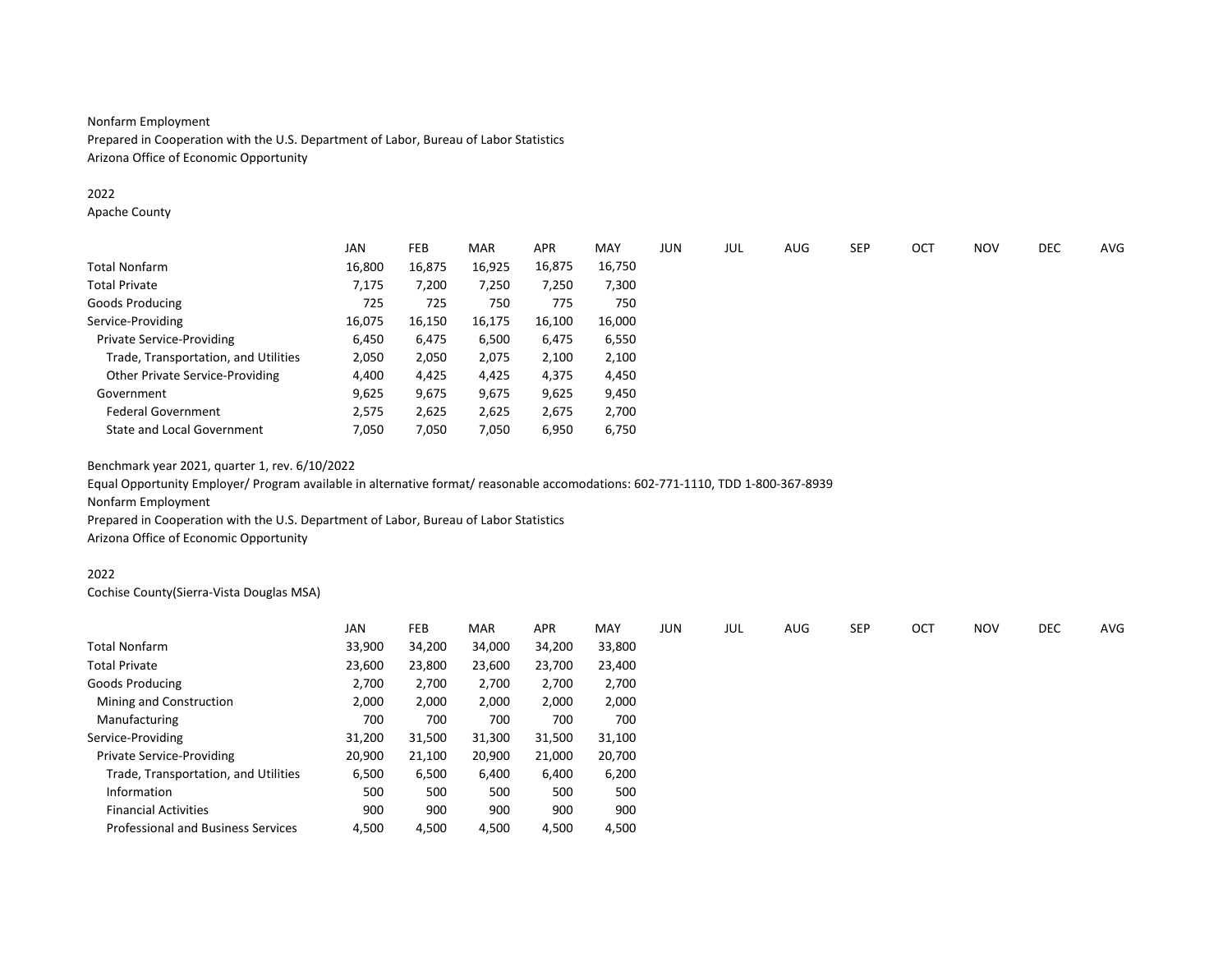### Nonfarm Employment

Prepared in Cooperation with the U.S. Department of Labor, Bureau of Labor Statistics Arizona Office of Economic Opportunity

### 2022

Apache County

|                                      | <b>JAN</b> | FEB    | MAR    | <b>APR</b> | MAY    | <b>JUN</b> | JUL | AUG | <b>SEP</b> | OCT | <b>NOV</b> | DEC | AVG |
|--------------------------------------|------------|--------|--------|------------|--------|------------|-----|-----|------------|-----|------------|-----|-----|
| Total Nonfarm                        | 16,800     | 16,875 | 16,925 | 16,875     | 16,750 |            |     |     |            |     |            |     |     |
| Total Private                        | 7,175      | 7,200  | 7,250  | 7,250      | 7,300  |            |     |     |            |     |            |     |     |
| Goods Producing                      | 725        | 725    | 750    | 775        | 750    |            |     |     |            |     |            |     |     |
| Service-Providing                    | 16,075     | 16,150 | 16,175 | 16,100     | 16,000 |            |     |     |            |     |            |     |     |
| <b>Private Service-Providing</b>     | 6,450      | 6,475  | 6,500  | 6,475      | 6,550  |            |     |     |            |     |            |     |     |
| Trade, Transportation, and Utilities | 2,050      | 2,050  | 2,075  | 2,100      | 2,100  |            |     |     |            |     |            |     |     |
| Other Private Service-Providing      | 4,400      | 4,425  | 4,425  | 4,375      | 4,450  |            |     |     |            |     |            |     |     |
| Government                           | 9,625      | 9,675  | 9,675  | 9,625      | 9,450  |            |     |     |            |     |            |     |     |
| <b>Federal Government</b>            | 2,575      | 2,625  | 2,625  | 2,675      | 2,700  |            |     |     |            |     |            |     |     |
| <b>State and Local Government</b>    | 7,050      | 7,050  | 7,050  | 6,950      | 6,750  |            |     |     |            |     |            |     |     |

Benchmark year 2021, quarter 1, rev. 6/10/2022

Equal Opportunity Employer/ Program available in alternative format/ reasonable accomodations: 602-771-1110, TDD 1-800-367-8939 Nonfarm Employment

Prepared in Cooperation with the U.S. Department of Labor, Bureau of Labor Statistics Arizona Office of Economic Opportunity

### 2022

Cochise County(Sierra-Vista Douglas MSA)

|                                           | <b>JAN</b> | FEB    | <b>MAR</b> | APR    | MAY    | JUN | JUL | AUG | <b>SEP</b> | OCT | <b>NOV</b> | DEC | AVG |
|-------------------------------------------|------------|--------|------------|--------|--------|-----|-----|-----|------------|-----|------------|-----|-----|
| <b>Total Nonfarm</b>                      | 33,900     | 34,200 | 34,000     | 34,200 | 33,800 |     |     |     |            |     |            |     |     |
| <b>Total Private</b>                      | 23,600     | 23,800 | 23,600     | 23,700 | 23,400 |     |     |     |            |     |            |     |     |
| Goods Producing                           | 2,700      | 2,700  | 2,700      | 2,700  | 2,700  |     |     |     |            |     |            |     |     |
| Mining and Construction                   | 2,000      | 2,000  | 2,000      | 2,000  | 2,000  |     |     |     |            |     |            |     |     |
| Manufacturing                             | 700        | 700    | 700        | 700    | 700    |     |     |     |            |     |            |     |     |
| Service-Providing                         | 31,200     | 31,500 | 31,300     | 31,500 | 31,100 |     |     |     |            |     |            |     |     |
| <b>Private Service-Providing</b>          | 20,900     | 21,100 | 20,900     | 21,000 | 20,700 |     |     |     |            |     |            |     |     |
| Trade, Transportation, and Utilities      | 6,500      | 6,500  | 6,400      | 6,400  | 6,200  |     |     |     |            |     |            |     |     |
| Information                               | 500        | 500    | 500        | 500    | 500    |     |     |     |            |     |            |     |     |
| <b>Financial Activities</b>               | 900        | 900    | 900        | 900    | 900    |     |     |     |            |     |            |     |     |
| <b>Professional and Business Services</b> | 4,500      | 4,500  | 4,500      | 4,500  | 4,500  |     |     |     |            |     |            |     |     |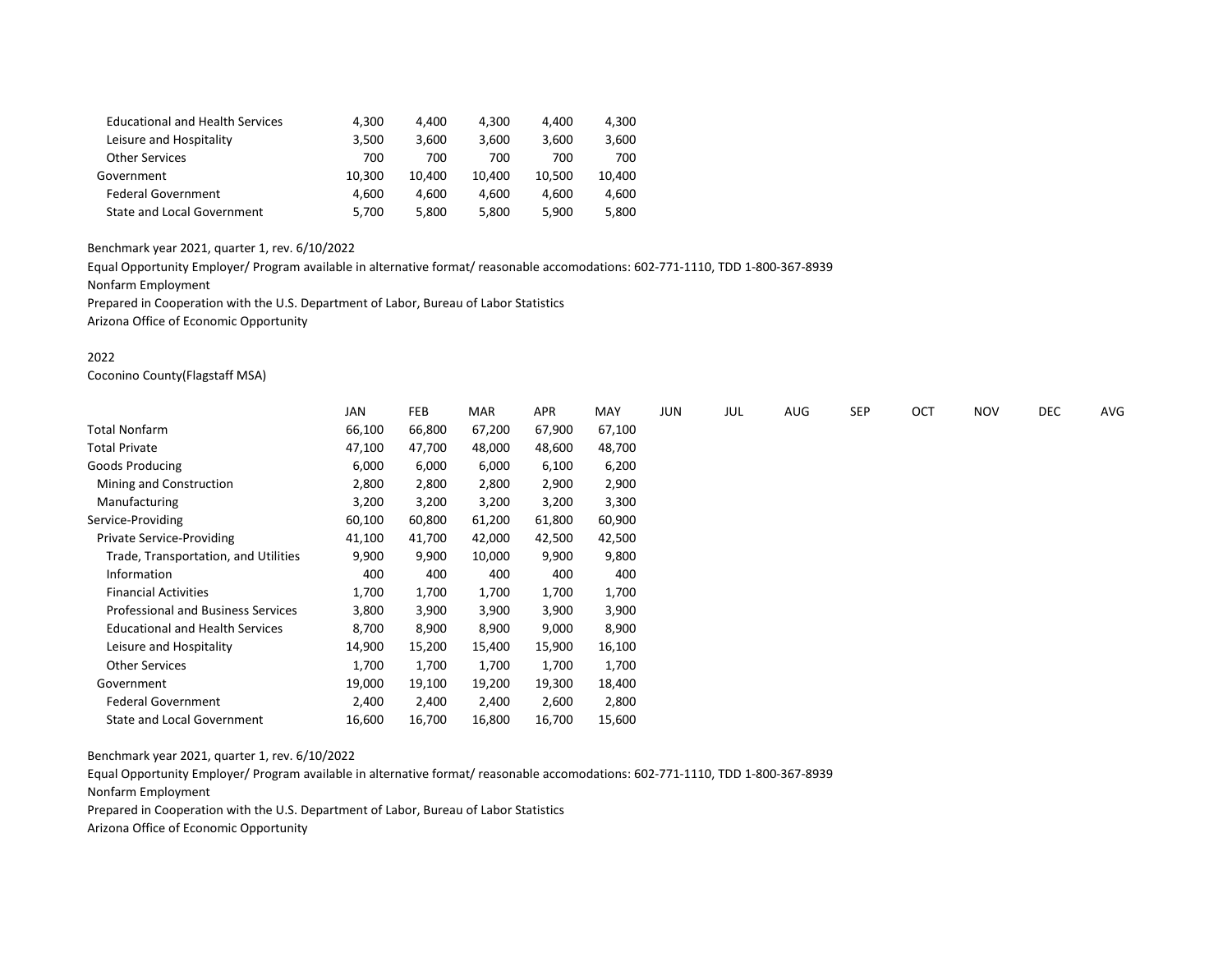| <b>Educational and Health Services</b> | 4.300  | 4.400  | 4.300  | 4.400  | 4,300  |
|----------------------------------------|--------|--------|--------|--------|--------|
| Leisure and Hospitality                | 3,500  | 3.600  | 3.600  | 3.600  | 3,600  |
| <b>Other Services</b>                  | 700    | 700    | 700    | 700    | 700    |
| Government                             | 10.300 | 10.400 | 10.400 | 10.500 | 10.400 |
| <b>Federal Government</b>              | 4.600  | 4.600  | 4.600  | 4.600  | 4,600  |
| <b>State and Local Government</b>      | 5.700  | 5,800  | 5.800  | 5,900  | 5,800  |

Equal Opportunity Employer/ Program available in alternative format/ reasonable accomodations: 602-771-1110, TDD 1-800-367-8939

Nonfarm Employment

Prepared in Cooperation with the U.S. Department of Labor, Bureau of Labor Statistics Arizona Office of Economic Opportunity

### 2022

Coconino County(Flagstaff MSA)

|                                           | <b>JAN</b> | FEB    | <b>MAR</b> | APR    | MAY    | JUN | JUL | <b>AUG</b> | SEP | OCT | <b>NOV</b> | <b>DEC</b> | AVG |
|-------------------------------------------|------------|--------|------------|--------|--------|-----|-----|------------|-----|-----|------------|------------|-----|
| Total Nonfarm                             | 66,100     | 66,800 | 67,200     | 67,900 | 67,100 |     |     |            |     |     |            |            |     |
| Total Private                             | 47,100     | 47,700 | 48,000     | 48,600 | 48,700 |     |     |            |     |     |            |            |     |
| Goods Producing                           | 6,000      | 6,000  | 6,000      | 6,100  | 6,200  |     |     |            |     |     |            |            |     |
| Mining and Construction                   | 2,800      | 2,800  | 2,800      | 2,900  | 2,900  |     |     |            |     |     |            |            |     |
| Manufacturing                             | 3,200      | 3,200  | 3,200      | 3,200  | 3,300  |     |     |            |     |     |            |            |     |
| Service-Providing                         | 60,100     | 60,800 | 61,200     | 61,800 | 60,900 |     |     |            |     |     |            |            |     |
| Private Service-Providing                 | 41,100     | 41,700 | 42,000     | 42,500 | 42,500 |     |     |            |     |     |            |            |     |
| Trade, Transportation, and Utilities      | 9,900      | 9,900  | 10,000     | 9,900  | 9,800  |     |     |            |     |     |            |            |     |
| Information                               | 400        | 400    | 400        | 400    | 400    |     |     |            |     |     |            |            |     |
| <b>Financial Activities</b>               | 1,700      | 1,700  | 1,700      | 1,700  | 1,700  |     |     |            |     |     |            |            |     |
| <b>Professional and Business Services</b> | 3,800      | 3,900  | 3,900      | 3,900  | 3,900  |     |     |            |     |     |            |            |     |
| <b>Educational and Health Services</b>    | 8,700      | 8,900  | 8,900      | 9,000  | 8,900  |     |     |            |     |     |            |            |     |
| Leisure and Hospitality                   | 14,900     | 15,200 | 15,400     | 15,900 | 16,100 |     |     |            |     |     |            |            |     |
| <b>Other Services</b>                     | 1,700      | 1,700  | 1,700      | 1,700  | 1,700  |     |     |            |     |     |            |            |     |
| Government                                | 19,000     | 19,100 | 19,200     | 19,300 | 18,400 |     |     |            |     |     |            |            |     |
| <b>Federal Government</b>                 | 2,400      | 2,400  | 2,400      | 2,600  | 2,800  |     |     |            |     |     |            |            |     |
| State and Local Government                | 16,600     | 16,700 | 16,800     | 16,700 | 15,600 |     |     |            |     |     |            |            |     |

Benchmark year 2021, quarter 1, rev. 6/10/2022

Equal Opportunity Employer/ Program available in alternative format/ reasonable accomodations: 602-771-1110, TDD 1-800-367-8939 Nonfarm Employment

Prepared in Cooperation with the U.S. Department of Labor, Bureau of Labor Statistics

Arizona Office of Economic Opportunity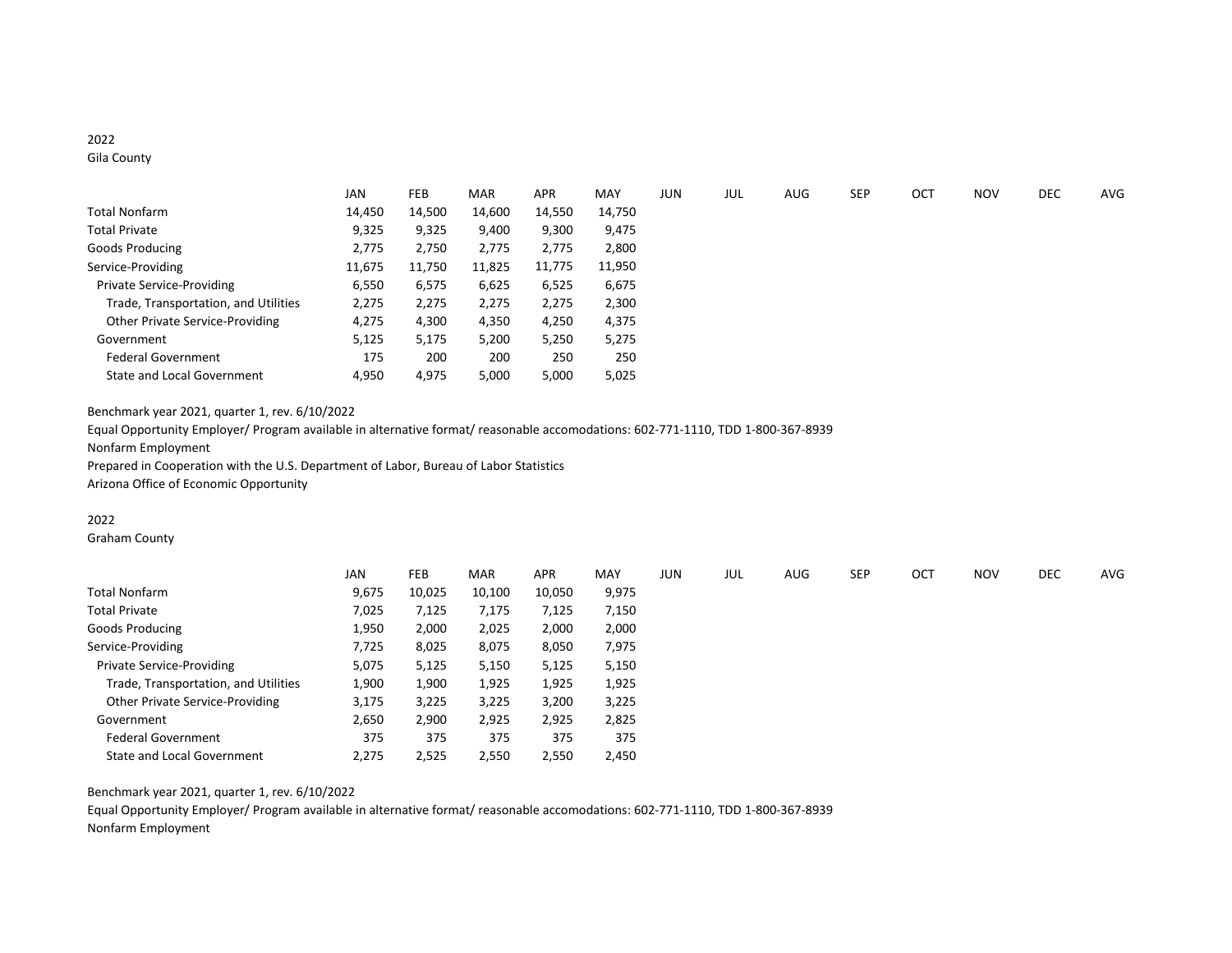# 2022

Gila County

|                                      | JAN    | <b>FEB</b> | <b>MAR</b> | <b>APR</b> | MAY    | JUN | JUL | AUG | <b>SEP</b> | OCT | <b>NOV</b> | DEC | AVG |
|--------------------------------------|--------|------------|------------|------------|--------|-----|-----|-----|------------|-----|------------|-----|-----|
| Total Nonfarm                        | 14,450 | 14,500     | 14,600     | 14,550     | 14,750 |     |     |     |            |     |            |     |     |
| <b>Total Private</b>                 | 9,325  | 9,325      | 9,400      | 9,300      | 9,475  |     |     |     |            |     |            |     |     |
| Goods Producing                      | 2,775  | 2,750      | 2,775      | 2,775      | 2,800  |     |     |     |            |     |            |     |     |
| Service-Providing                    | 11,675 | 11,750     | 11,825     | 11,775     | 11,950 |     |     |     |            |     |            |     |     |
| <b>Private Service-Providing</b>     | 6,550  | 6,575      | 6,625      | 6,525      | 6,675  |     |     |     |            |     |            |     |     |
| Trade, Transportation, and Utilities | 2,275  | 2,275      | 2,275      | 2,275      | 2,300  |     |     |     |            |     |            |     |     |
| Other Private Service-Providing      | 4,275  | 4,300      | 4,350      | 4,250      | 4,375  |     |     |     |            |     |            |     |     |
| Government                           | 5,125  | 5,175      | 5,200      | 5,250      | 5,275  |     |     |     |            |     |            |     |     |
| <b>Federal Government</b>            | 175    | 200        | 200        | 250        | 250    |     |     |     |            |     |            |     |     |
| State and Local Government           | 4,950  | 4,975      | 5,000      | 5,000      | 5,025  |     |     |     |            |     |            |     |     |

Benchmark year 2021, quarter 1, rev. 6/10/2022

Equal Opportunity Employer/ Program available in alternative format/ reasonable accomodations: 602-771-1110, TDD 1-800-367-8939 Nonfarm Employment Prepared in Cooperation with the U.S. Department of Labor, Bureau of Labor Statistics

Arizona Office of Economic Opportunity

## 2022

Graham County

|                                      | <b>JAN</b> | <b>FEB</b> | <b>MAR</b> | <b>APR</b> | MAY   | <b>JUN</b> | JUL | AUG | <b>SEP</b> | OCT | <b>NOV</b> | DEC | AVG |
|--------------------------------------|------------|------------|------------|------------|-------|------------|-----|-----|------------|-----|------------|-----|-----|
| Total Nonfarm                        | 9,675      | 10,025     | 10,100     | 10,050     | 9,975 |            |     |     |            |     |            |     |     |
| Total Private                        | 7,025      | 7,125      | 7,175      | 7,125      | 7,150 |            |     |     |            |     |            |     |     |
| Goods Producing                      | 1,950      | 2,000      | 2,025      | 2,000      | 2,000 |            |     |     |            |     |            |     |     |
| Service-Providing                    | 7,725      | 8,025      | 8,075      | 8,050      | 7,975 |            |     |     |            |     |            |     |     |
| <b>Private Service-Providing</b>     | 5,075      | 5,125      | 5,150      | 5,125      | 5,150 |            |     |     |            |     |            |     |     |
| Trade, Transportation, and Utilities | 1,900      | 1,900      | 1,925      | 1,925      | 1,925 |            |     |     |            |     |            |     |     |
| Other Private Service-Providing      | 3,175      | 3,225      | 3,225      | 3,200      | 3,225 |            |     |     |            |     |            |     |     |
| Government                           | 2,650      | 2,900      | 2,925      | 2,925      | 2,825 |            |     |     |            |     |            |     |     |
| <b>Federal Government</b>            | 375        | 375        | 375        | 375        | 375   |            |     |     |            |     |            |     |     |
| <b>State and Local Government</b>    | 2,275      | 2,525      | 2,550      | 2,550      | 2,450 |            |     |     |            |     |            |     |     |

Benchmark year 2021, quarter 1, rev. 6/10/2022

Equal Opportunity Employer/ Program available in alternative format/ reasonable accomodations: 602-771-1110, TDD 1-800-367-8939 Nonfarm Employment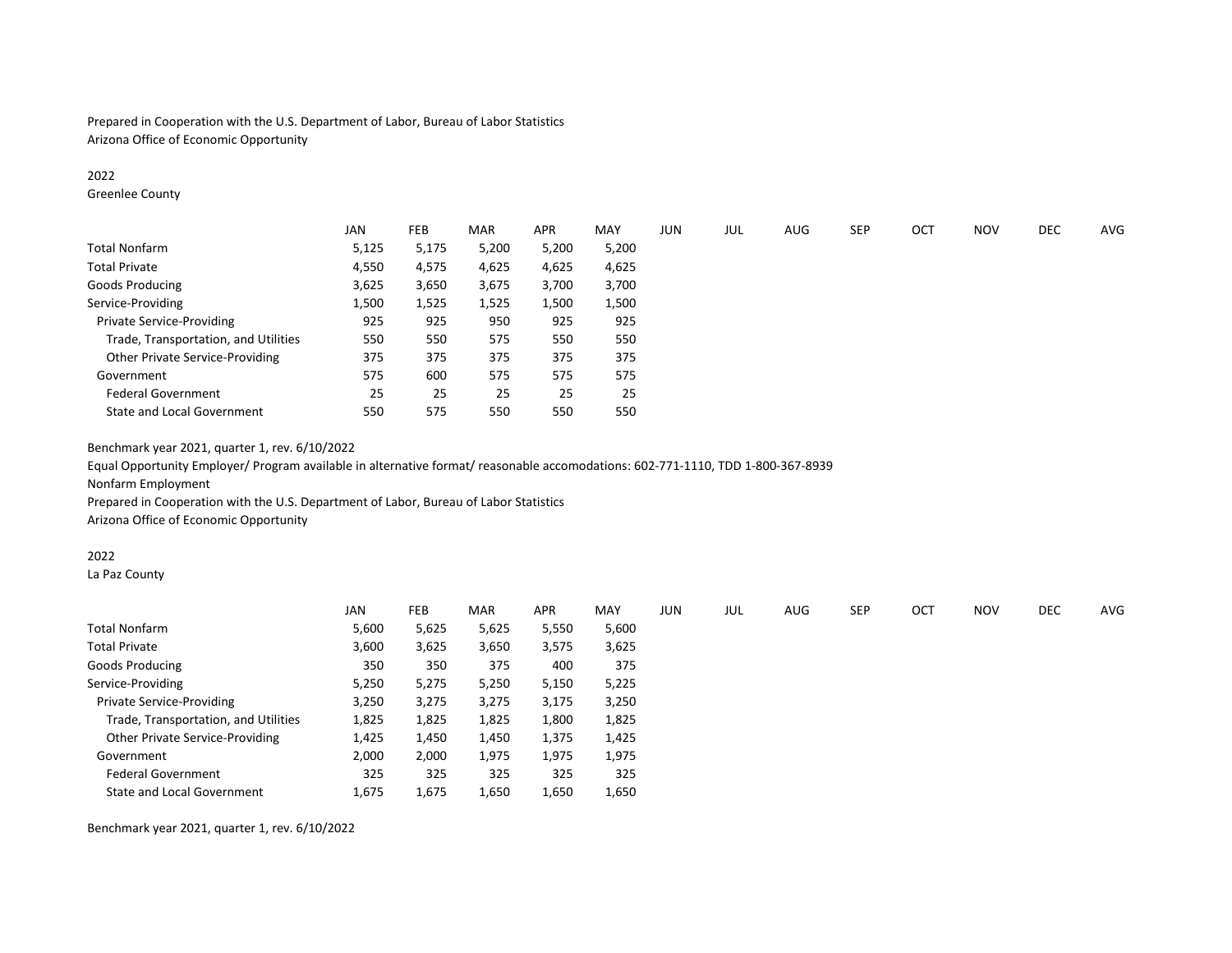Prepared in Cooperation with the U.S. Department of Labor, Bureau of Labor Statistics Arizona Office of Economic Opportunity

### 2022

Greenlee County

|                                      | <b>JAN</b> | <b>FEB</b> | <b>MAR</b> | <b>APR</b> | MAY   | <b>JUN</b> | JUL | AUG | <b>SEP</b> | OCT | <b>NOV</b> | DEC | AVG |
|--------------------------------------|------------|------------|------------|------------|-------|------------|-----|-----|------------|-----|------------|-----|-----|
| Total Nonfarm                        | 5,125      | 5,175      | 5,200      | 5,200      | 5,200 |            |     |     |            |     |            |     |     |
| <b>Total Private</b>                 | 4,550      | 4,575      | 4,625      | 4,625      | 4,625 |            |     |     |            |     |            |     |     |
| Goods Producing                      | 3,625      | 3,650      | 3,675      | 3,700      | 3,700 |            |     |     |            |     |            |     |     |
| Service-Providing                    | 1,500      | 1,525      | 1,525      | 1,500      | 1,500 |            |     |     |            |     |            |     |     |
| <b>Private Service-Providing</b>     | 925        | 925        | 950        | 925        | 925   |            |     |     |            |     |            |     |     |
| Trade, Transportation, and Utilities | 550        | 550        | 575        | 550        | 550   |            |     |     |            |     |            |     |     |
| Other Private Service-Providing      | 375        | 375        | 375        | 375        | 375   |            |     |     |            |     |            |     |     |
| Government                           | 575        | 600        | 575        | 575        | 575   |            |     |     |            |     |            |     |     |
| <b>Federal Government</b>            | 25         | 25         | 25         | 25         | 25    |            |     |     |            |     |            |     |     |
| <b>State and Local Government</b>    | 550        | 575        | 550        | 550        | 550   |            |     |     |            |     |            |     |     |

Benchmark year 2021, quarter 1, rev. 6/10/2022

Equal Opportunity Employer/ Program available in alternative format/ reasonable accomodations: 602-771-1110, TDD 1-800-367-8939 Nonfarm Employment

Prepared in Cooperation with the U.S. Department of Labor, Bureau of Labor Statistics

Arizona Office of Economic Opportunity

#### 2022

La Paz County

| <b>JAN</b> | <b>FEB</b> | <b>MAR</b> | <b>APR</b> | MAY   | <b>JUN</b> | JUL | AUG | <b>SEP</b> | OCT | <b>NOV</b> | <b>DEC</b> | AVG |
|------------|------------|------------|------------|-------|------------|-----|-----|------------|-----|------------|------------|-----|
| 5,600      | 5,625      | 5,625      | 5,550      | 5,600 |            |     |     |            |     |            |            |     |
| 3,600      | 3,625      | 3,650      | 3,575      | 3,625 |            |     |     |            |     |            |            |     |
| 350        | 350        | 375        | 400        | 375   |            |     |     |            |     |            |            |     |
| 5,250      | 5,275      | 5,250      | 5,150      | 5,225 |            |     |     |            |     |            |            |     |
| 3,250      | 3,275      | 3,275      | 3,175      | 3,250 |            |     |     |            |     |            |            |     |
| 1,825      | 1,825      | 1,825      | 1,800      | 1,825 |            |     |     |            |     |            |            |     |
| 1,425      | 1,450      | 1,450      | 1,375      | 1,425 |            |     |     |            |     |            |            |     |
| 2,000      | 2,000      | 1,975      | 1,975      | 1,975 |            |     |     |            |     |            |            |     |
| 325        | 325        | 325        | 325        | 325   |            |     |     |            |     |            |            |     |
| 1,675      | 1,675      | 1,650      | 1,650      | 1,650 |            |     |     |            |     |            |            |     |
|            |            |            |            |       |            |     |     |            |     |            |            |     |

Benchmark year 2021, quarter 1, rev. 6/10/2022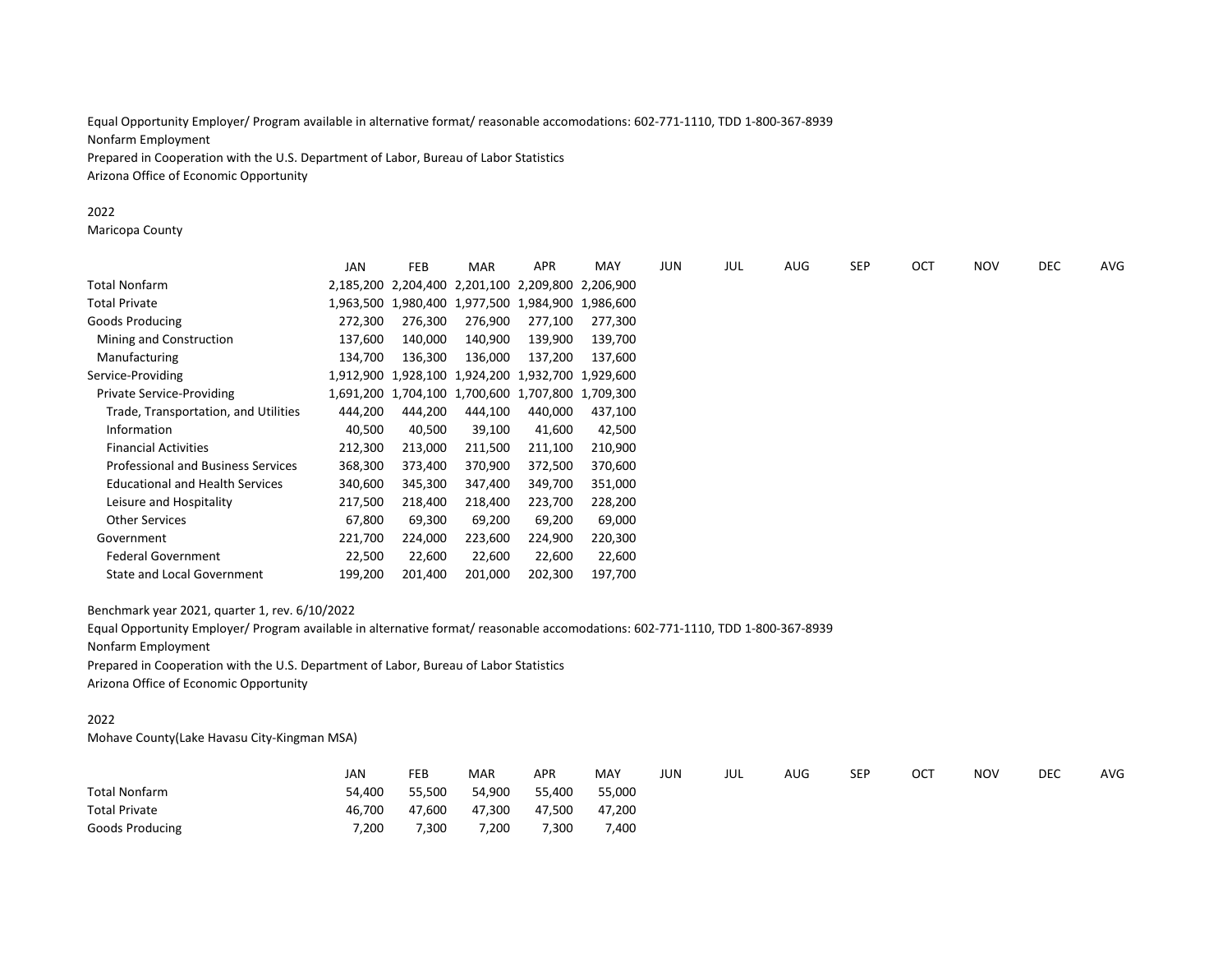Equal Opportunity Employer/ Program available in alternative format/ reasonable accomodations: 602-771-1110, TDD 1-800-367-8939 Nonfarm Employment Prepared in Cooperation with the U.S. Department of Labor, Bureau of Labor Statistics Arizona Office of Economic Opportunity

#### 2022

Maricopa County

|                                           | JAN     | FEB     | <b>MAR</b>                                        | <b>APR</b> | <b>MAY</b> | <b>JUN</b> | JUL | <b>AUG</b> | <b>SEP</b> | OCT | <b>NOV</b> | DEC | AVG |
|-------------------------------------------|---------|---------|---------------------------------------------------|------------|------------|------------|-----|------------|------------|-----|------------|-----|-----|
| Total Nonfarm                             |         |         | 2,185,200 2,204,400 2,201,100 2,209,800 2,206,900 |            |            |            |     |            |            |     |            |     |     |
| Total Private                             |         |         | 1,963,500 1,980,400 1,977,500 1,984,900 1,986,600 |            |            |            |     |            |            |     |            |     |     |
| Goods Producing                           | 272,300 | 276,300 | 276,900                                           | 277,100    | 277,300    |            |     |            |            |     |            |     |     |
| Mining and Construction                   | 137,600 | 140,000 | 140,900                                           | 139,900    | 139,700    |            |     |            |            |     |            |     |     |
| Manufacturing                             | 134,700 | 136,300 | 136,000                                           | 137,200    | 137.600    |            |     |            |            |     |            |     |     |
| Service-Providing                         |         |         | 1,912,900 1,928,100 1,924,200 1,932,700 1,929,600 |            |            |            |     |            |            |     |            |     |     |
| <b>Private Service-Providing</b>          |         |         | 1,691,200 1,704,100 1,700,600 1,707,800 1,709,300 |            |            |            |     |            |            |     |            |     |     |
| Trade, Transportation, and Utilities      | 444,200 | 444,200 | 444,100                                           | 440,000    | 437,100    |            |     |            |            |     |            |     |     |
| Information                               | 40,500  | 40,500  | 39,100                                            | 41,600     | 42,500     |            |     |            |            |     |            |     |     |
| <b>Financial Activities</b>               | 212,300 | 213,000 | 211,500                                           | 211,100    | 210,900    |            |     |            |            |     |            |     |     |
| <b>Professional and Business Services</b> | 368,300 | 373,400 | 370,900                                           | 372,500    | 370,600    |            |     |            |            |     |            |     |     |
| <b>Educational and Health Services</b>    | 340,600 | 345,300 | 347,400                                           | 349,700    | 351,000    |            |     |            |            |     |            |     |     |
| Leisure and Hospitality                   | 217,500 | 218,400 | 218,400                                           | 223,700    | 228,200    |            |     |            |            |     |            |     |     |
| <b>Other Services</b>                     | 67,800  | 69,300  | 69,200                                            | 69,200     | 69,000     |            |     |            |            |     |            |     |     |
| Government                                | 221,700 | 224,000 | 223,600                                           | 224,900    | 220,300    |            |     |            |            |     |            |     |     |
| <b>Federal Government</b>                 | 22,500  | 22,600  | 22,600                                            | 22,600     | 22,600     |            |     |            |            |     |            |     |     |
| State and Local Government                | 199,200 | 201,400 | 201,000                                           | 202,300    | 197,700    |            |     |            |            |     |            |     |     |

Benchmark year 2021, quarter 1, rev. 6/10/2022

Equal Opportunity Employer/ Program available in alternative format/ reasonable accomodations: 602-771-1110, TDD 1-800-367-8939 Nonfarm Employment

Prepared in Cooperation with the U.S. Department of Labor, Bureau of Labor Statistics Arizona Office of Economic Opportunity

### 2022

Mohave County(Lake Havasu City-Kingman MSA)

|                      | <b>JAN</b> | FEB    | MAR    | <b>APR</b> | MAY    | JUN | JUL | AUG | <b>SEP</b> | OCT | <b>NOV</b> | <b>DEC</b> | <b>AVG</b> |
|----------------------|------------|--------|--------|------------|--------|-----|-----|-----|------------|-----|------------|------------|------------|
| <b>Total Nonfarm</b> | 54.400     | 55,500 | 54,900 | 55,400     | 55.000 |     |     |     |            |     |            |            |            |
| <b>Total Private</b> | 46.700     | 47,600 | 47,300 | 47,500     | 47,200 |     |     |     |            |     |            |            |            |
| Goods Producing      | 7,200      | 7,300  | 7,200  | 7,300      | 7,400  |     |     |     |            |     |            |            |            |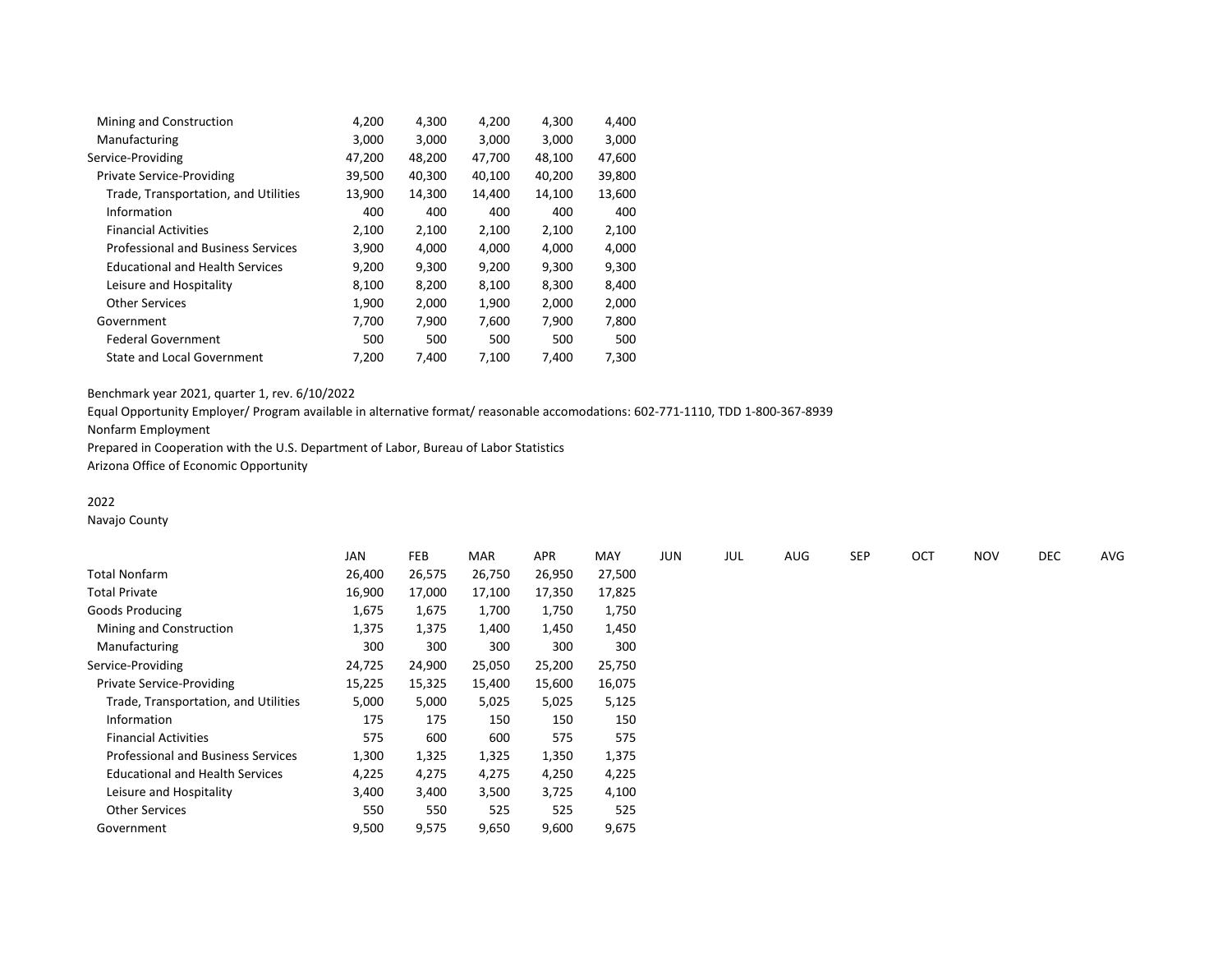| Mining and Construction                   | 4,200  | 4,300  | 4,200  | 4,300  | 4,400  |
|-------------------------------------------|--------|--------|--------|--------|--------|
| Manufacturing                             | 3,000  | 3,000  | 3,000  | 3,000  | 3,000  |
| Service-Providing                         | 47,200 | 48,200 | 47,700 | 48,100 | 47,600 |
| <b>Private Service-Providing</b>          | 39,500 | 40,300 | 40,100 | 40,200 | 39,800 |
| Trade, Transportation, and Utilities      | 13,900 | 14,300 | 14,400 | 14,100 | 13,600 |
| Information                               | 400    | 400    | 400    | 400    | 400    |
| <b>Financial Activities</b>               | 2,100  | 2,100  | 2,100  | 2,100  | 2,100  |
| <b>Professional and Business Services</b> | 3,900  | 4,000  | 4,000  | 4,000  | 4,000  |
| <b>Educational and Health Services</b>    | 9,200  | 9,300  | 9,200  | 9,300  | 9,300  |
| Leisure and Hospitality                   | 8,100  | 8,200  | 8,100  | 8,300  | 8,400  |
| <b>Other Services</b>                     | 1,900  | 2,000  | 1,900  | 2,000  | 2,000  |
| Government                                | 7,700  | 7,900  | 7,600  | 7,900  | 7,800  |
| <b>Federal Government</b>                 | 500    | 500    | 500    | 500    | 500    |
| <b>State and Local Government</b>         | 7.200  | 7,400  | 7,100  | 7,400  | 7,300  |
|                                           |        |        |        |        |        |

Equal Opportunity Employer/ Program available in alternative format/ reasonable accomodations: 602-771-1110, TDD 1-800-367-8939

Nonfarm Employment

Prepared in Cooperation with the U.S. Department of Labor, Bureau of Labor Statistics

Arizona Office of Economic Opportunity

# 2022

Navajo County

|                                           | <b>JAN</b> | FEB    | <b>MAR</b> | <b>APR</b> | <b>MAY</b> | JUN | JUL | <b>AUG</b> | <b>SEP</b> | OCT | <b>NOV</b> | <b>DEC</b> | AVG |
|-------------------------------------------|------------|--------|------------|------------|------------|-----|-----|------------|------------|-----|------------|------------|-----|
| Total Nonfarm                             | 26,400     | 26,575 | 26,750     | 26,950     | 27,500     |     |     |            |            |     |            |            |     |
| Total Private                             | 16,900     | 17,000 | 17,100     | 17,350     | 17,825     |     |     |            |            |     |            |            |     |
| Goods Producing                           | 1,675      | 1,675  | 1,700      | 1,750      | 1,750      |     |     |            |            |     |            |            |     |
| Mining and Construction                   | 1,375      | 1,375  | 1,400      | 1,450      | 1,450      |     |     |            |            |     |            |            |     |
| Manufacturing                             | 300        | 300    | 300        | 300        | 300        |     |     |            |            |     |            |            |     |
| Service-Providing                         | 24,725     | 24,900 | 25,050     | 25,200     | 25,750     |     |     |            |            |     |            |            |     |
| Private Service-Providing                 | 15,225     | 15,325 | 15,400     | 15,600     | 16,075     |     |     |            |            |     |            |            |     |
| Trade, Transportation, and Utilities      | 5,000      | 5,000  | 5,025      | 5,025      | 5,125      |     |     |            |            |     |            |            |     |
| Information                               | 175        | 175    | 150        | 150        | 150        |     |     |            |            |     |            |            |     |
| <b>Financial Activities</b>               | 575        | 600    | 600        | 575        | 575        |     |     |            |            |     |            |            |     |
| <b>Professional and Business Services</b> | 1,300      | 1,325  | 1,325      | 1,350      | 1,375      |     |     |            |            |     |            |            |     |
| <b>Educational and Health Services</b>    | 4,225      | 4,275  | 4,275      | 4,250      | 4,225      |     |     |            |            |     |            |            |     |
| Leisure and Hospitality                   | 3,400      | 3,400  | 3,500      | 3,725      | 4,100      |     |     |            |            |     |            |            |     |
| <b>Other Services</b>                     | 550        | 550    | 525        | 525        | 525        |     |     |            |            |     |            |            |     |
| Government                                | 9,500      | 9,575  | 9,650      | 9,600      | 9,675      |     |     |            |            |     |            |            |     |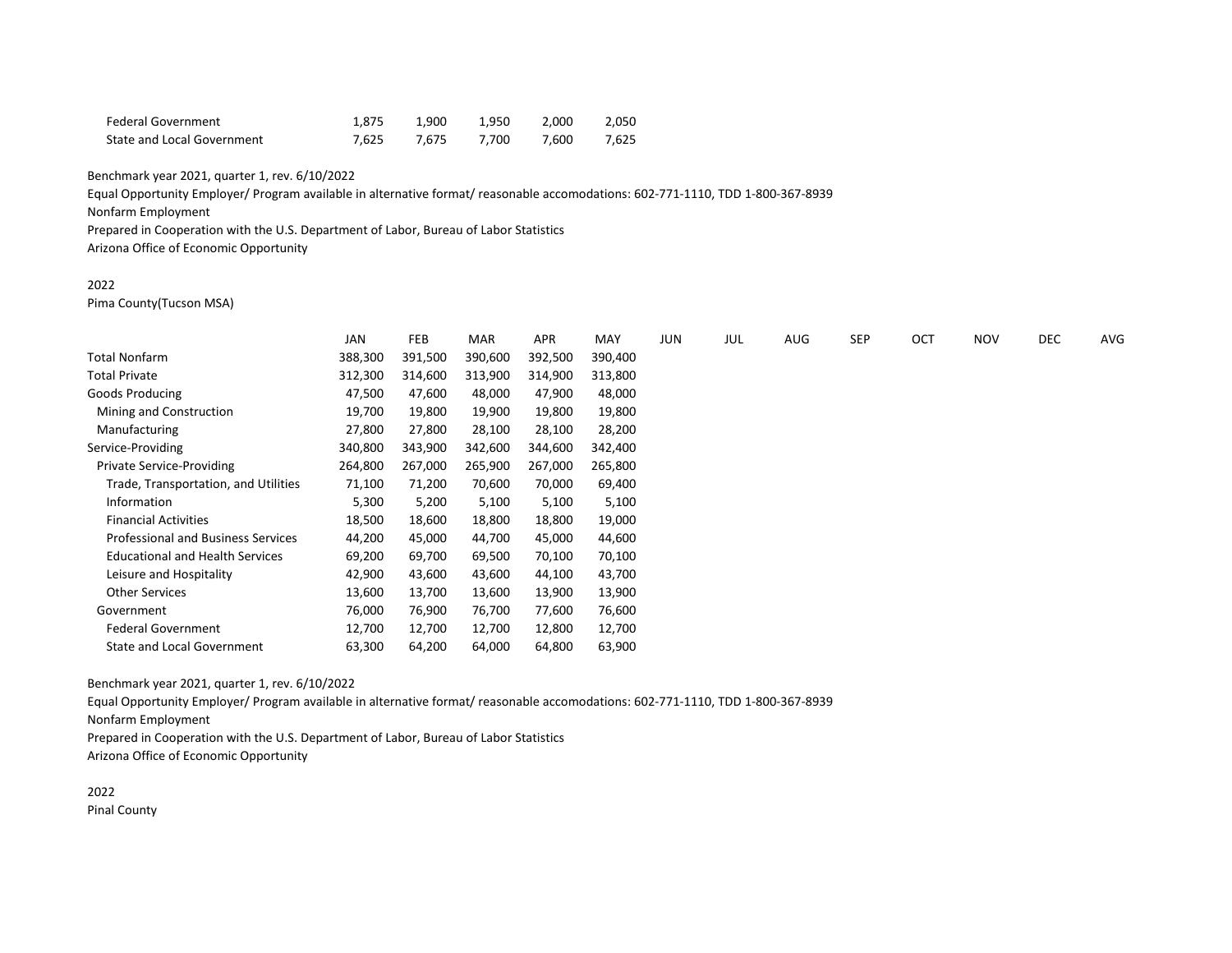| <b>Federal Government</b>  | 1.875 | 1.900       | 1.950 | 2.000 | 2.050 |
|----------------------------|-------|-------------|-------|-------|-------|
| State and Local Government |       | 7.625 7.675 | 7.700 | 7.600 | 7.625 |

Equal Opportunity Employer/ Program available in alternative format/ reasonable accomodations: 602-771-1110, TDD 1-800-367-8939

Nonfarm Employment

Prepared in Cooperation with the U.S. Department of Labor, Bureau of Labor Statistics

Arizona Office of Economic Opportunity

### 2022

Pima County(Tucson MSA)

|                                           | <b>JAN</b> | FEB     | MAR     | <b>APR</b> | MAY     | JUN | JUL | <b>AUG</b> | SEP | OCT | <b>NOV</b> | DEC | AVG |
|-------------------------------------------|------------|---------|---------|------------|---------|-----|-----|------------|-----|-----|------------|-----|-----|
| <b>Total Nonfarm</b>                      | 388,300    | 391,500 | 390,600 | 392,500    | 390,400 |     |     |            |     |     |            |     |     |
| <b>Total Private</b>                      | 312,300    | 314,600 | 313,900 | 314,900    | 313,800 |     |     |            |     |     |            |     |     |
| Goods Producing                           | 47,500     | 47,600  | 48,000  | 47,900     | 48,000  |     |     |            |     |     |            |     |     |
| Mining and Construction                   | 19,700     | 19,800  | 19,900  | 19,800     | 19,800  |     |     |            |     |     |            |     |     |
| Manufacturing                             | 27,800     | 27,800  | 28,100  | 28,100     | 28,200  |     |     |            |     |     |            |     |     |
| Service-Providing                         | 340,800    | 343,900 | 342,600 | 344,600    | 342,400 |     |     |            |     |     |            |     |     |
| Private Service-Providing                 | 264,800    | 267,000 | 265,900 | 267,000    | 265,800 |     |     |            |     |     |            |     |     |
| Trade, Transportation, and Utilities      | 71,100     | 71,200  | 70,600  | 70,000     | 69,400  |     |     |            |     |     |            |     |     |
| Information                               | 5,300      | 5,200   | 5,100   | 5,100      | 5,100   |     |     |            |     |     |            |     |     |
| <b>Financial Activities</b>               | 18,500     | 18,600  | 18,800  | 18,800     | 19,000  |     |     |            |     |     |            |     |     |
| <b>Professional and Business Services</b> | 44,200     | 45,000  | 44,700  | 45,000     | 44,600  |     |     |            |     |     |            |     |     |
| <b>Educational and Health Services</b>    | 69,200     | 69,700  | 69,500  | 70,100     | 70,100  |     |     |            |     |     |            |     |     |
| Leisure and Hospitality                   | 42,900     | 43,600  | 43,600  | 44,100     | 43,700  |     |     |            |     |     |            |     |     |
| <b>Other Services</b>                     | 13,600     | 13,700  | 13,600  | 13,900     | 13,900  |     |     |            |     |     |            |     |     |
| Government                                | 76,000     | 76,900  | 76,700  | 77,600     | 76,600  |     |     |            |     |     |            |     |     |
| <b>Federal Government</b>                 | 12,700     | 12,700  | 12,700  | 12,800     | 12,700  |     |     |            |     |     |            |     |     |
| State and Local Government                | 63,300     | 64,200  | 64,000  | 64,800     | 63,900  |     |     |            |     |     |            |     |     |

Benchmark year 2021, quarter 1, rev. 6/10/2022

Equal Opportunity Employer/ Program available in alternative format/ reasonable accomodations: 602-771-1110, TDD 1-800-367-8939 Nonfarm Employment

Prepared in Cooperation with the U.S. Department of Labor, Bureau of Labor Statistics Arizona Office of Economic Opportunity

2022 Pinal County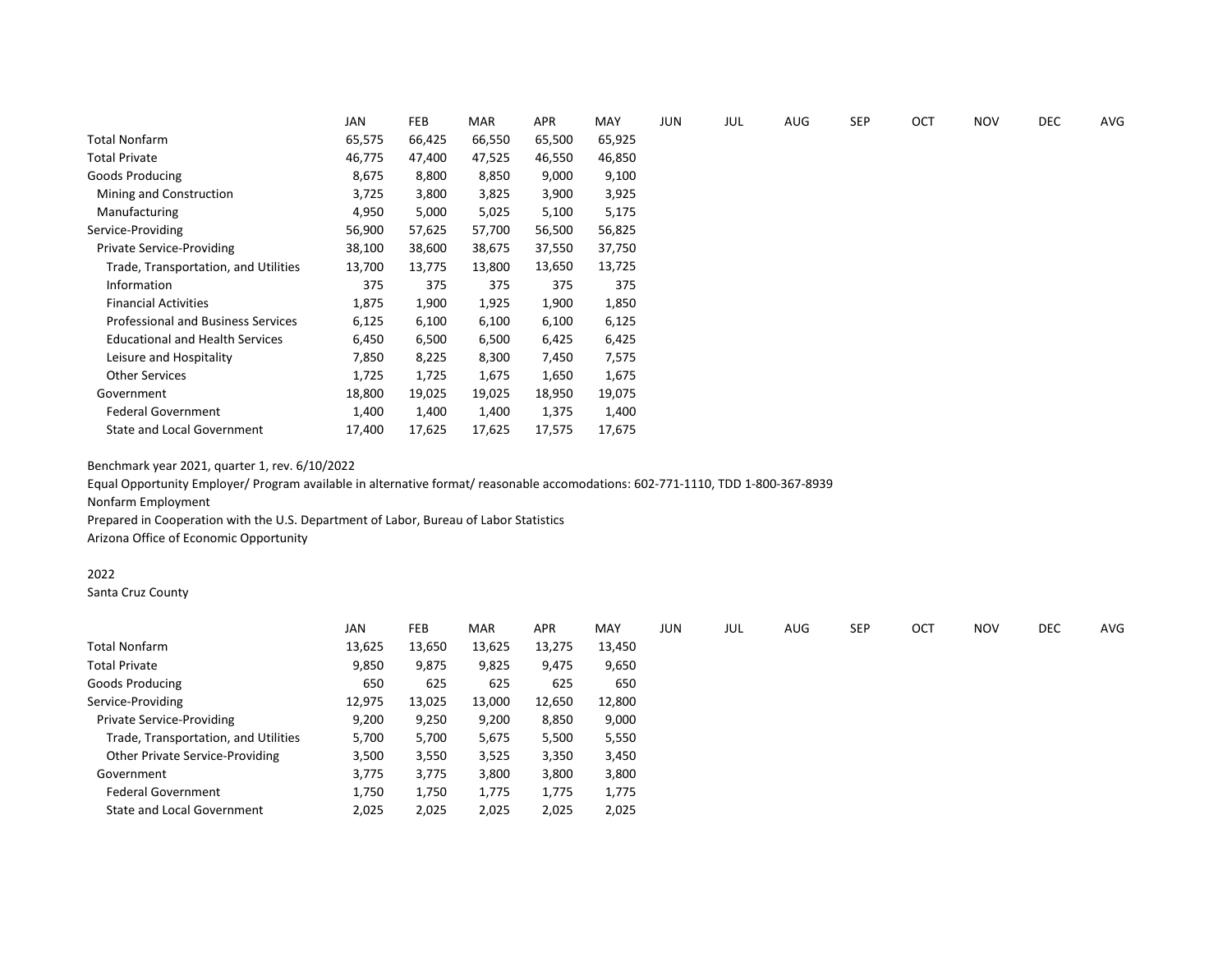|                                           | JAN    | FEB    | <b>MAR</b> | APR    | MAY    | <b>JUN</b> | JUL | <b>AUG</b> | <b>SEP</b> | <b>OCT</b> | <b>NOV</b> | <b>DEC</b> | AVG |
|-------------------------------------------|--------|--------|------------|--------|--------|------------|-----|------------|------------|------------|------------|------------|-----|
| <b>Total Nonfarm</b>                      | 65,575 | 66,425 | 66,550     | 65,500 | 65,925 |            |     |            |            |            |            |            |     |
| <b>Total Private</b>                      | 46,775 | 47,400 | 47,525     | 46,550 | 46,850 |            |     |            |            |            |            |            |     |
| Goods Producing                           | 8,675  | 8,800  | 8,850      | 9,000  | 9,100  |            |     |            |            |            |            |            |     |
| Mining and Construction                   | 3,725  | 3,800  | 3,825      | 3,900  | 3,925  |            |     |            |            |            |            |            |     |
| Manufacturing                             | 4,950  | 5,000  | 5,025      | 5,100  | 5,175  |            |     |            |            |            |            |            |     |
| Service-Providing                         | 56,900 | 57,625 | 57,700     | 56,500 | 56,825 |            |     |            |            |            |            |            |     |
| Private Service-Providing                 | 38,100 | 38,600 | 38,675     | 37,550 | 37,750 |            |     |            |            |            |            |            |     |
| Trade, Transportation, and Utilities      | 13,700 | 13,775 | 13,800     | 13,650 | 13,725 |            |     |            |            |            |            |            |     |
| Information                               | 375    | 375    | 375        | 375    | 375    |            |     |            |            |            |            |            |     |
| <b>Financial Activities</b>               | 1,875  | 1,900  | 1,925      | 1,900  | 1,850  |            |     |            |            |            |            |            |     |
| <b>Professional and Business Services</b> | 6,125  | 6,100  | 6,100      | 6,100  | 6,125  |            |     |            |            |            |            |            |     |
| <b>Educational and Health Services</b>    | 6,450  | 6,500  | 6,500      | 6,425  | 6,425  |            |     |            |            |            |            |            |     |
| Leisure and Hospitality                   | 7,850  | 8,225  | 8,300      | 7,450  | 7,575  |            |     |            |            |            |            |            |     |
| <b>Other Services</b>                     | 1,725  | 1,725  | 1,675      | 1,650  | 1,675  |            |     |            |            |            |            |            |     |
| Government                                | 18,800 | 19,025 | 19,025     | 18,950 | 19,075 |            |     |            |            |            |            |            |     |
| <b>Federal Government</b>                 | 1,400  | 1,400  | 1,400      | 1,375  | 1,400  |            |     |            |            |            |            |            |     |
| <b>State and Local Government</b>         | 17,400 | 17,625 | 17,625     | 17,575 | 17,675 |            |     |            |            |            |            |            |     |

Equal Opportunity Employer/ Program available in alternative format/ reasonable accomodations: 602-771-1110, TDD 1-800-367-8939 Nonfarm Employment

Prepared in Cooperation with the U.S. Department of Labor, Bureau of Labor Statistics Arizona Office of Economic Opportunity

# 2022

Santa Cruz County

|                                      | <b>JAN</b> | FEB    | <b>MAR</b> | <b>APR</b> | MAY    | JUN | JUL | AUG | <b>SEP</b> | OCT | <b>NOV</b> | <b>DEC</b> | AVG |
|--------------------------------------|------------|--------|------------|------------|--------|-----|-----|-----|------------|-----|------------|------------|-----|
| Total Nonfarm                        | 13,625     | 13,650 | 13,625     | 13,275     | 13,450 |     |     |     |            |     |            |            |     |
| <b>Total Private</b>                 | 9,850      | 9,875  | 9,825      | 9,475      | 9,650  |     |     |     |            |     |            |            |     |
| Goods Producing                      | 650        | 625    | 625        | 625        | 650    |     |     |     |            |     |            |            |     |
| Service-Providing                    | 12,975     | 13,025 | 13,000     | 12,650     | 12,800 |     |     |     |            |     |            |            |     |
| <b>Private Service-Providing</b>     | 9,200      | 9,250  | 9,200      | 8,850      | 9,000  |     |     |     |            |     |            |            |     |
| Trade, Transportation, and Utilities | 5,700      | 5,700  | 5,675      | 5,500      | 5,550  |     |     |     |            |     |            |            |     |
| Other Private Service-Providing      | 3,500      | 3,550  | 3,525      | 3,350      | 3,450  |     |     |     |            |     |            |            |     |
| Government                           | 3,775      | 3,775  | 3,800      | 3,800      | 3,800  |     |     |     |            |     |            |            |     |
| <b>Federal Government</b>            | 1,750      | 1,750  | 1,775      | 1,775      | 1,775  |     |     |     |            |     |            |            |     |
| State and Local Government           | 2,025      | 2,025  | 2,025      | 2,025      | 2,025  |     |     |     |            |     |            |            |     |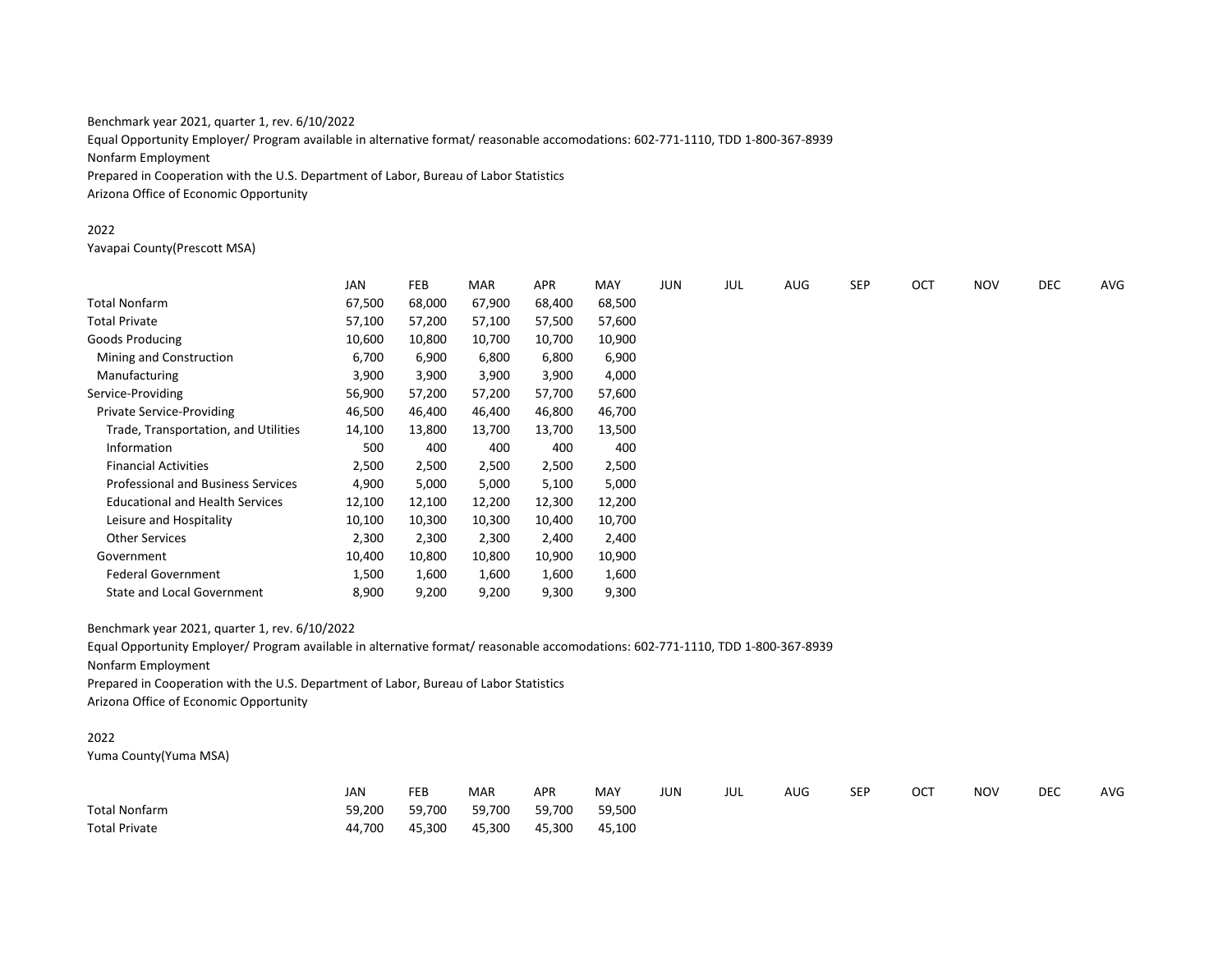Equal Opportunity Employer/ Program available in alternative format/ reasonable accomodations: 602-771-1110, TDD 1-800-367-8939 Nonfarm Employment Prepared in Cooperation with the U.S. Department of Labor, Bureau of Labor Statistics Arizona Office of Economic Opportunity

### 2022

Yavapai County(Prescott MSA)

|                                           | JAN    | FEB    | <b>MAR</b> | APR    | MAY    | <b>JUN</b> | JUL | AUG | <b>SEP</b> | OCT | <b>NOV</b> | DEC | AVG |
|-------------------------------------------|--------|--------|------------|--------|--------|------------|-----|-----|------------|-----|------------|-----|-----|
| Total Nonfarm                             | 67,500 | 68,000 | 67,900     | 68,400 | 68,500 |            |     |     |            |     |            |     |     |
| Total Private                             | 57,100 | 57,200 | 57,100     | 57,500 | 57,600 |            |     |     |            |     |            |     |     |
| Goods Producing                           | 10,600 | 10,800 | 10,700     | 10,700 | 10,900 |            |     |     |            |     |            |     |     |
| Mining and Construction                   | 6,700  | 6,900  | 6,800      | 6,800  | 6,900  |            |     |     |            |     |            |     |     |
| Manufacturing                             | 3,900  | 3,900  | 3,900      | 3,900  | 4,000  |            |     |     |            |     |            |     |     |
| Service-Providing                         | 56,900 | 57,200 | 57,200     | 57,700 | 57,600 |            |     |     |            |     |            |     |     |
| <b>Private Service-Providing</b>          | 46,500 | 46,400 | 46,400     | 46,800 | 46,700 |            |     |     |            |     |            |     |     |
| Trade, Transportation, and Utilities      | 14,100 | 13,800 | 13,700     | 13,700 | 13,500 |            |     |     |            |     |            |     |     |
| Information                               | 500    | 400    | 400        | 400    | 400    |            |     |     |            |     |            |     |     |
| <b>Financial Activities</b>               | 2,500  | 2,500  | 2,500      | 2,500  | 2,500  |            |     |     |            |     |            |     |     |
| <b>Professional and Business Services</b> | 4,900  | 5,000  | 5,000      | 5,100  | 5,000  |            |     |     |            |     |            |     |     |
| <b>Educational and Health Services</b>    | 12,100 | 12,100 | 12,200     | 12,300 | 12,200 |            |     |     |            |     |            |     |     |
| Leisure and Hospitality                   | 10,100 | 10,300 | 10,300     | 10,400 | 10,700 |            |     |     |            |     |            |     |     |
| <b>Other Services</b>                     | 2,300  | 2,300  | 2,300      | 2,400  | 2,400  |            |     |     |            |     |            |     |     |
| Government                                | 10,400 | 10,800 | 10,800     | 10,900 | 10,900 |            |     |     |            |     |            |     |     |
| <b>Federal Government</b>                 | 1,500  | 1,600  | 1,600      | 1,600  | 1,600  |            |     |     |            |     |            |     |     |
| <b>State and Local Government</b>         | 8,900  | 9,200  | 9,200      | 9,300  | 9,300  |            |     |     |            |     |            |     |     |

Benchmark year 2021, quarter 1, rev. 6/10/2022

Equal Opportunity Employer/ Program available in alternative format/ reasonable accomodations: 602-771-1110, TDD 1-800-367-8939

Nonfarm Employment

Prepared in Cooperation with the U.S. Department of Labor, Bureau of Labor Statistics

Arizona Office of Economic Opportunity

# 2022

Yuma County(Yuma MSA)

|                      | JAN    | FEB    | MAR    | <b>APR</b> | MAY    | JUN | JUL | AUG | <b>SEP</b> | ост | <b>NOV</b> | <b>DEC</b> | <b>AVG</b> |
|----------------------|--------|--------|--------|------------|--------|-----|-----|-----|------------|-----|------------|------------|------------|
| <b>Total Nonfarm</b> | 59,200 | 59,700 | 59,700 | 59,700     | 59.500 |     |     |     |            |     |            |            |            |
| <b>Total Private</b> | 44,700 | 45,300 | 45,300 | 45,300     | 45,100 |     |     |     |            |     |            |            |            |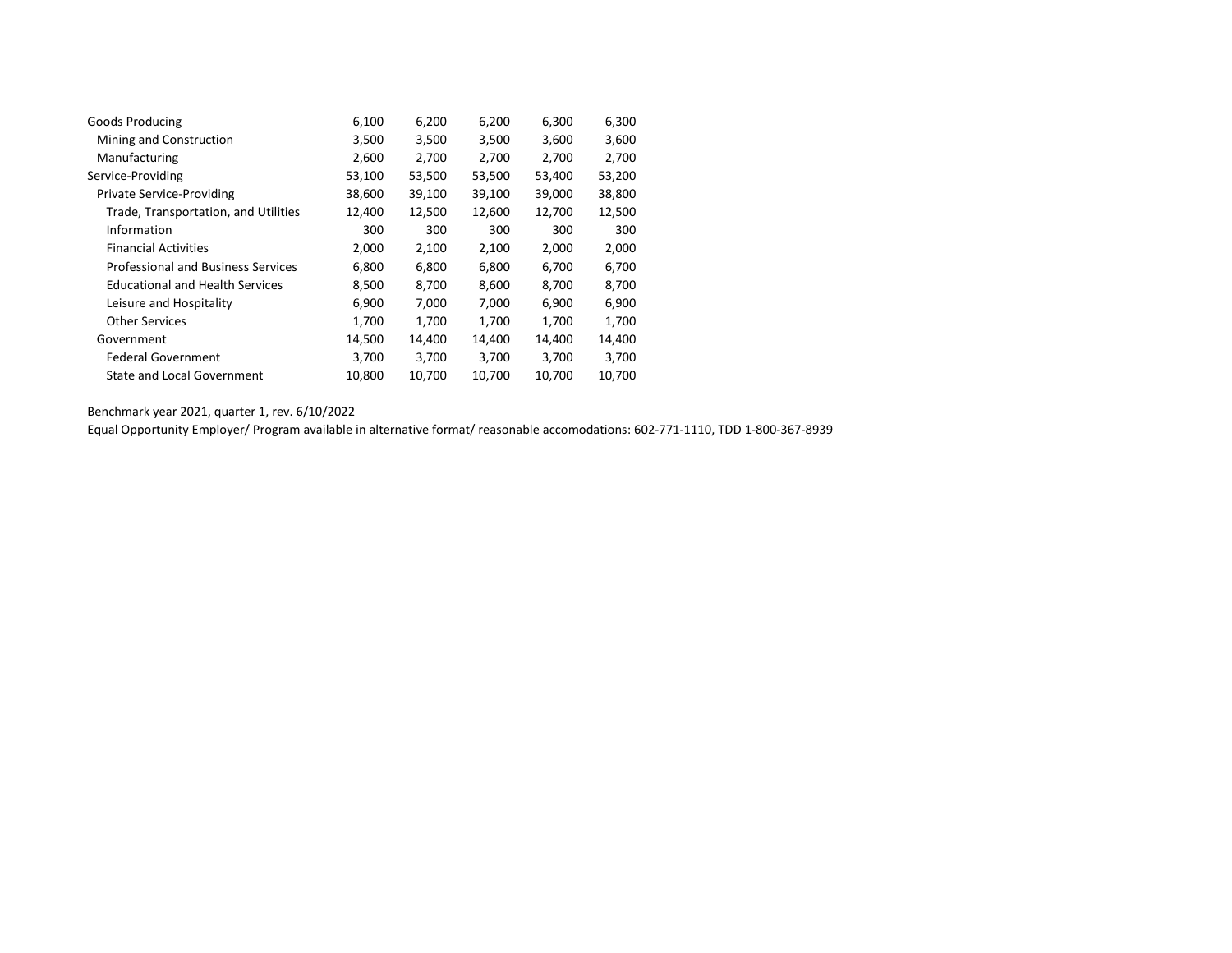| Goods Producing                           | 6,100  | 6,200  | 6,200  | 6,300  | 6,300  |
|-------------------------------------------|--------|--------|--------|--------|--------|
|                                           |        |        |        |        |        |
| Mining and Construction                   | 3,500  | 3,500  | 3,500  | 3,600  | 3,600  |
| Manufacturing                             | 2,600  | 2,700  | 2,700  | 2,700  | 2,700  |
| Service-Providing                         | 53,100 | 53,500 | 53,500 | 53,400 | 53,200 |
| <b>Private Service-Providing</b>          | 38,600 | 39,100 | 39,100 | 39,000 | 38,800 |
| Trade, Transportation, and Utilities      | 12,400 | 12,500 | 12,600 | 12,700 | 12,500 |
| Information                               | 300    | 300    | 300    | 300    | 300    |
| <b>Financial Activities</b>               | 2,000  | 2,100  | 2,100  | 2,000  | 2,000  |
| <b>Professional and Business Services</b> | 6,800  | 6,800  | 6,800  | 6,700  | 6,700  |
| <b>Educational and Health Services</b>    | 8,500  | 8,700  | 8,600  | 8,700  | 8,700  |
| Leisure and Hospitality                   | 6,900  | 7,000  | 7,000  | 6,900  | 6,900  |
| <b>Other Services</b>                     | 1,700  | 1,700  | 1,700  | 1,700  | 1,700  |
| Government                                | 14,500 | 14,400 | 14,400 | 14,400 | 14,400 |
| <b>Federal Government</b>                 | 3,700  | 3,700  | 3,700  | 3,700  | 3,700  |
| <b>State and Local Government</b>         | 10,800 | 10,700 | 10,700 | 10,700 | 10,700 |

Equal Opportunity Employer/ Program available in alternative format/ reasonable accomodations: 602-771-1110, TDD 1-800-367-8939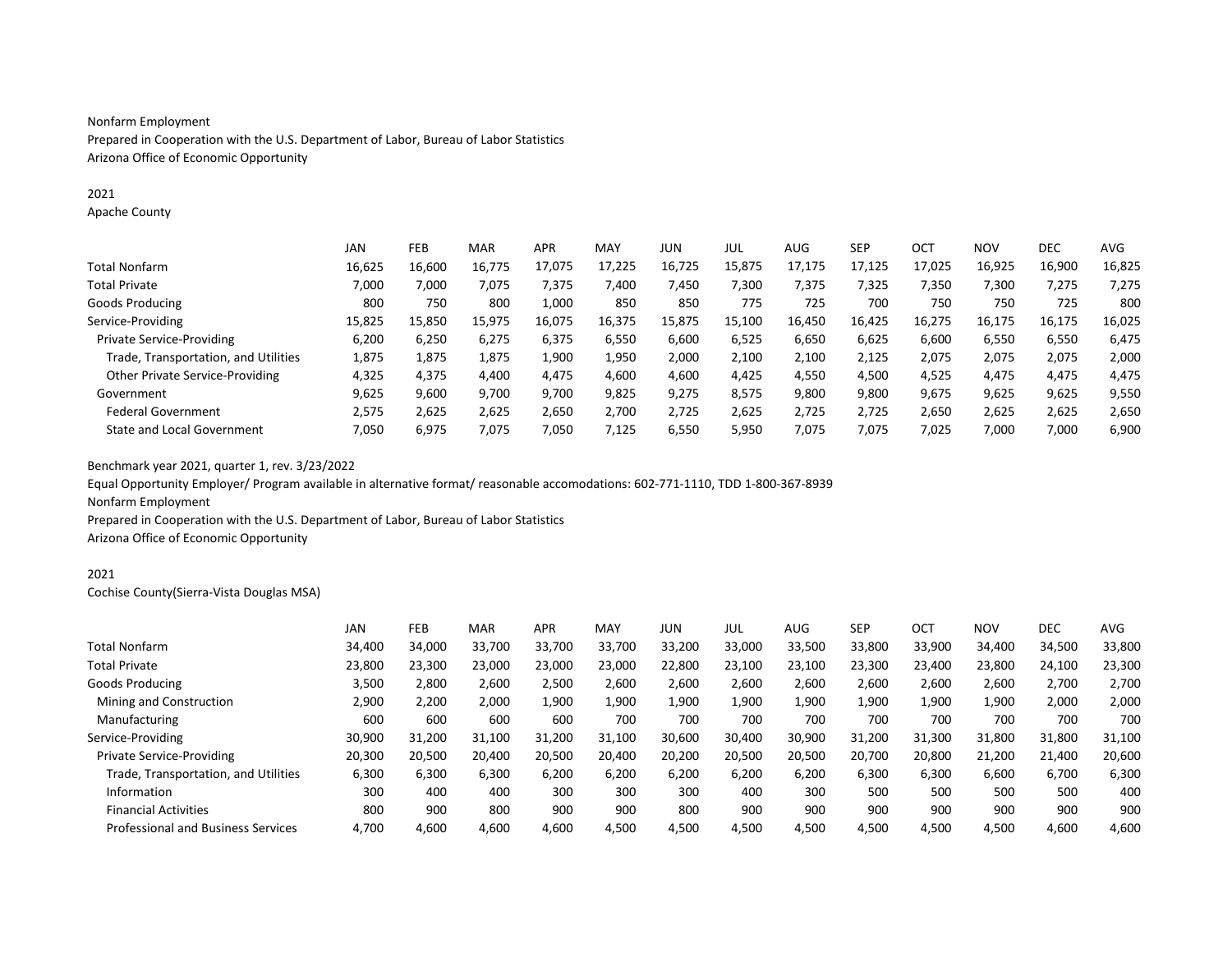### Nonfarm Employment

Prepared in Cooperation with the U.S. Department of Labor, Bureau of Labor Statistics Arizona Office of Economic Opportunity

### 2021

Apache County

|                                        | JAN    | FEB    | <b>MAR</b> | <b>APR</b> | MAY    | JUN    | JUL    | AUG    | <b>SEP</b> | OCT    | <b>NOV</b> | <b>DEC</b> | <b>AVG</b> |
|----------------------------------------|--------|--------|------------|------------|--------|--------|--------|--------|------------|--------|------------|------------|------------|
| <b>Total Nonfarm</b>                   | 16.625 | 16.600 | 16,775     | 17,075     | 17.225 | 16,725 | 15,875 | 17,175 | 17.125     | 17.025 | 16,925     | 16,900     | 16,825     |
| <b>Total Private</b>                   | 7,000  | 7,000  | 7,075      | 7,375      | 7,400  | 7,450  | 7,300  | 7,375  | 7,325      | 7,350  | 7,300      | 7,275      | 7,275      |
| Goods Producing                        | 800    | 750    | 800        | 1,000      | 850    | 850    | 775    | 725    | 700        | 750    | 750        | 725        | 800        |
| Service-Providing                      | 15,825 | 15,850 | 15,975     | 16,075     | 16.375 | 15,875 | 15,100 | 16,450 | 16.425     | 16,275 | 16,175     | 16,175     | 16,025     |
| <b>Private Service-Providing</b>       | 6.200  | 6,250  | 6,275      | 6,375      | 6,550  | 6,600  | 6,525  | 6,650  | 6,625      | 6,600  | 6,550      | 6,550      | 6,475      |
| Trade, Transportation, and Utilities   | 1,875  | 1,875  | 1,875      | 1,900      | 1,950  | 2,000  | 2,100  | 2,100  | 2,125      | 2,075  | 2,075      | 2,075      | 2,000      |
| <b>Other Private Service-Providing</b> | 4,325  | 4,375  | 4,400      | 4,475      | 4,600  | 4,600  | 4,425  | 4,550  | 4,500      | 4,525  | 4,475      | 4,475      | 4,475      |
| Government                             | 9,625  | 9,600  | 9,700      | 9,700      | 9,825  | 9,275  | 8,575  | 9,800  | 9,800      | 9,675  | 9,625      | 9,625      | 9,550      |
| <b>Federal Government</b>              | 2.575  | 2,625  | 2,625      | 2,650      | 2,700  | 2,725  | 2,625  | 2,725  | 2,725      | 2,650  | 2,625      | 2,625      | 2,650      |
| State and Local Government             | 7.050  | 6,975  | 7,075      | 7,050      | 7,125  | 6,550  | 5,950  | 7,075  | 7.075      | 7,025  | 7,000      | 7,000      | 6,900      |

Benchmark year 2021, quarter 1, rev. 3/23/2022

Equal Opportunity Employer/ Program available in alternative format/ reasonable accomodations: 602-771-1110, TDD 1-800-367-8939 Nonfarm Employment

Prepared in Cooperation with the U.S. Department of Labor, Bureau of Labor Statistics Arizona Office of Economic Opportunity

### 2021

Cochise County(Sierra-Vista Douglas MSA)

|                                           | JAN    | <b>FEB</b> | <b>MAR</b> | <b>APR</b> | MAY    | JUN    | JUL    | AUG    | <b>SEP</b> | <b>OCT</b> | <b>NOV</b> | <b>DEC</b> | AVG    |
|-------------------------------------------|--------|------------|------------|------------|--------|--------|--------|--------|------------|------------|------------|------------|--------|
| <b>Total Nonfarm</b>                      | 34,400 | 34,000     | 33,700     | 33,700     | 33,700 | 33,200 | 33,000 | 33,500 | 33,800     | 33,900     | 34,400     | 34,500     | 33,800 |
| <b>Total Private</b>                      | 23.800 | 23.300     | 23.000     | 23,000     | 23.000 | 22,800 | 23.100 | 23,100 | 23.300     | 23,400     | 23,800     | 24,100     | 23,300 |
| Goods Producing                           | 3,500  | 2,800      | 2,600      | 2,500      | 2,600  | 2,600  | 2,600  | 2,600  | 2,600      | 2,600      | 2,600      | 2,700      | 2,700  |
| Mining and Construction                   | 2,900  | 2,200      | 2,000      | 1,900      | 1,900  | 1,900  | 1,900  | 1,900  | 1,900      | 1,900      | 1,900      | 2,000      | 2,000  |
| Manufacturing                             | 600    | 600        | 600        | 600        | 700    | 700    | 700    | 700    | 700        | 700        | 700        | 700        | 700    |
| Service-Providing                         | 30,900 | 31,200     | 31,100     | 31,200     | 31,100 | 30,600 | 30,400 | 30,900 | 31,200     | 31,300     | 31,800     | 31,800     | 31,100 |
| Private Service-Providing                 | 20,300 | 20,500     | 20,400     | 20,500     | 20,400 | 20,200 | 20,500 | 20,500 | 20,700     | 20,800     | 21,200     | 21,400     | 20,600 |
| Trade, Transportation, and Utilities      | 6,300  | 6,300      | 6,300      | 6,200      | 6,200  | 6,200  | 6,200  | 6,200  | 6,300      | 6,300      | 6,600      | 6,700      | 6,300  |
| Information                               | 300    | 400        | 400        | 300        | 300    | 300    | 400    | 300    | 500        | 500        | 500        | 500        | 400    |
| <b>Financial Activities</b>               | 800    | 900        | 800        | 900        | 900    | 800    | 900    | 900    | 900        | 900        | 900        | 900        | 900    |
| <b>Professional and Business Services</b> | 4,700  | 4,600      | 4,600      | 4,600      | 4,500  | 4,500  | 4,500  | 4,500  | 4,500      | 4,500      | 4,500      | 4,600      | 4,600  |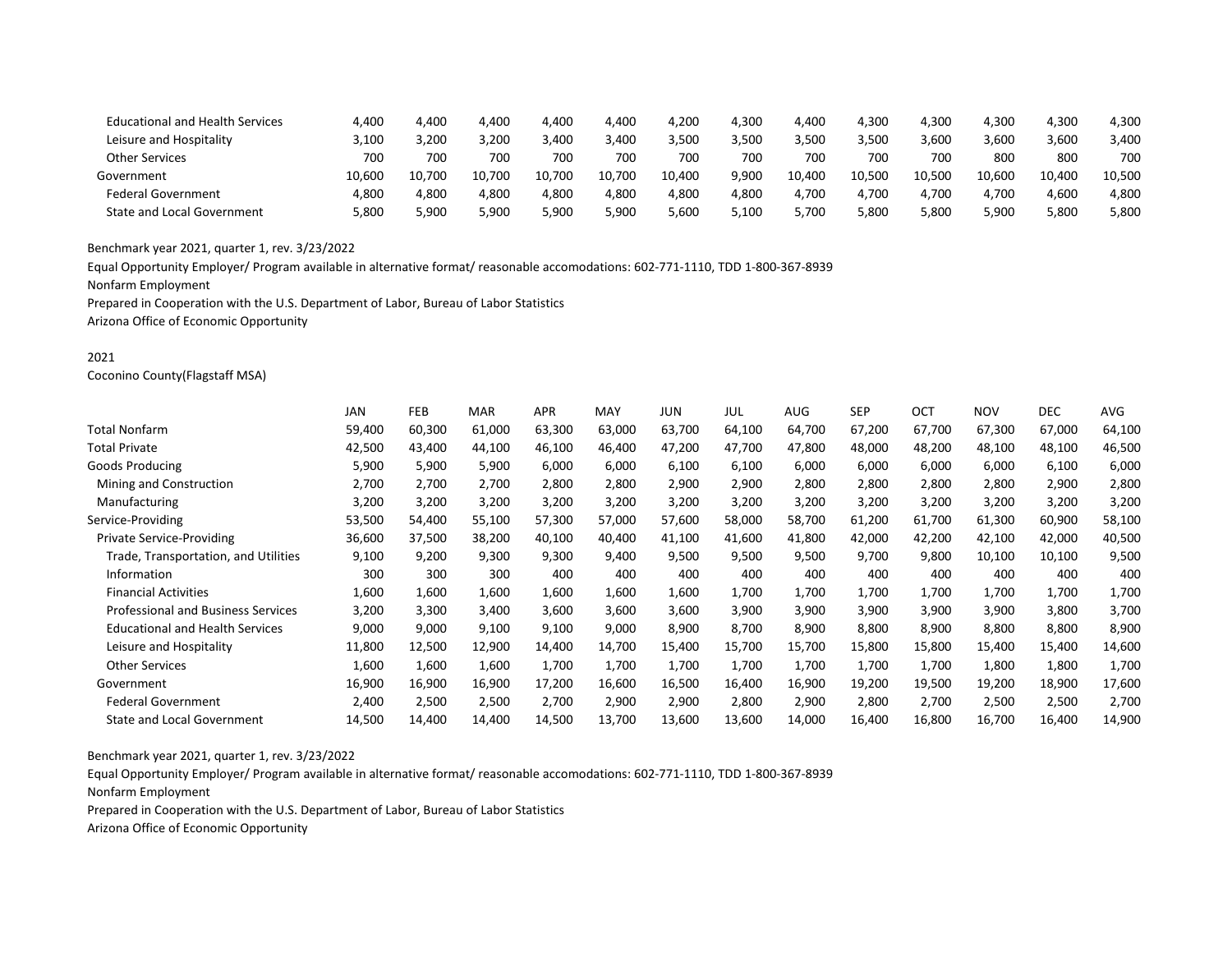| <b>Educational and Health Services</b> | 4,400  | 4.400  | 4.400      | 4,400  | 4,400  | 4,200  | 4,300 | 4,400  | 4,300  | 4,300  | 4,300  | 4,300  | 4,300  |
|----------------------------------------|--------|--------|------------|--------|--------|--------|-------|--------|--------|--------|--------|--------|--------|
| Leisure and Hospitality                | 3.100  | 3.200  | 3.200      | 3.400  | 3.400  | 3.500  | 500.8 | 3.500  | 3.500  | 3,600  | 3,600  | 3.600  | 3,400  |
| <b>Other Services</b>                  | 700    | 700    | 700        | 700    | 700    | 700    | 700   | 700    | 700    | 700    | 800    | 800    | 700    |
| Government                             | 10.600 | 10.700 | .700<br>10 | 10.700 | 10.700 | 10.400 | 9.900 | 10.400 | 10.500 | 10.500 | 10.600 | 10.400 | 10.500 |
| <b>Federal Government</b>              | 4.800  | 4.800  | 4.800      | 4.800  | 4.800  | 4,800  | 4.800 | 4.700  | 4.700  | 4.700  | l.700  | 4.600  | 4.800  |
| <b>State and Local Government</b>      | 5.800  | 5.900  | 5,900      | 900,د  | 5.900  | 5.600  | 5.100 | 5.700  | 5.800  | 5,800  | 5.900  | 5.800  | 5,800  |

Equal Opportunity Employer/ Program available in alternative format/ reasonable accomodations: 602-771-1110, TDD 1-800-367-8939

Nonfarm Employment

Prepared in Cooperation with the U.S. Department of Labor, Bureau of Labor Statistics

Arizona Office of Economic Opportunity

### 2021

Coconino County(Flagstaff MSA)

|                                           | <b>JAN</b> | <b>FEB</b> | <b>MAR</b> | <b>APR</b> | MAY    | <b>JUN</b> | JUL    | <b>AUG</b> | <b>SEP</b> | <b>OCT</b> | <b>NOV</b> | DEC    | AVG    |
|-------------------------------------------|------------|------------|------------|------------|--------|------------|--------|------------|------------|------------|------------|--------|--------|
| Total Nonfarm                             | 59,400     | 60,300     | 61,000     | 63,300     | 63,000 | 63,700     | 64,100 | 64,700     | 67,200     | 67,700     | 67,300     | 67,000 | 64,100 |
| Total Private                             | 42,500     | 43,400     | 44,100     | 46,100     | 46,400 | 47,200     | 47,700 | 47,800     | 48,000     | 48,200     | 48,100     | 48,100 | 46,500 |
| Goods Producing                           | 5,900      | 5,900      | 5,900      | 6,000      | 6,000  | 6,100      | 6,100  | 6,000      | 6,000      | 6,000      | 6,000      | 6,100  | 6,000  |
| Mining and Construction                   | 2,700      | 2,700      | 2,700      | 2,800      | 2,800  | 2,900      | 2,900  | 2,800      | 2,800      | 2,800      | 2,800      | 2,900  | 2,800  |
| Manufacturing                             | 3,200      | 3,200      | 3,200      | 3,200      | 3,200  | 3,200      | 3,200  | 3,200      | 3,200      | 3,200      | 3,200      | 3,200  | 3,200  |
| Service-Providing                         | 53,500     | 54,400     | 55,100     | 57,300     | 57,000 | 57,600     | 58,000 | 58,700     | 61,200     | 61,700     | 61,300     | 60,900 | 58,100 |
| <b>Private Service-Providing</b>          | 36,600     | 37,500     | 38,200     | 40,100     | 40,400 | 41,100     | 41,600 | 41,800     | 42,000     | 42,200     | 42,100     | 42,000 | 40,500 |
| Trade, Transportation, and Utilities      | 9,100      | 9,200      | 9,300      | 9,300      | 9,400  | 9,500      | 9,500  | 9,500      | 9,700      | 9,800      | 10,100     | 10,100 | 9,500  |
| Information                               | 300        | 300        | 300        | 400        | 400    | 400        | 400    | 400        | 400        | 400        | 400        | 400    | 400    |
| <b>Financial Activities</b>               | 1,600      | 1,600      | 1,600      | 1,600      | 1,600  | 1,600      | 1,700  | 1,700      | 1,700      | 1,700      | 1,700      | 1,700  | 1,700  |
| <b>Professional and Business Services</b> | 3,200      | 3,300      | 3,400      | 3,600      | 3,600  | 3,600      | 3,900  | 3,900      | 3,900      | 3,900      | 3,900      | 3,800  | 3,700  |
| <b>Educational and Health Services</b>    | 9,000      | 9,000      | 9,100      | 9,100      | 9,000  | 8,900      | 8,700  | 8,900      | 8,800      | 8,900      | 8,800      | 8,800  | 8,900  |
| Leisure and Hospitality                   | 11,800     | 12,500     | 12,900     | 14,400     | 14,700 | 15,400     | 15,700 | 15,700     | 15,800     | 15,800     | 15,400     | 15,400 | 14,600 |
| <b>Other Services</b>                     | 1,600      | 1,600      | 1,600      | 1,700      | 1,700  | 1,700      | 1,700  | 1,700      | 1,700      | 1,700      | 1,800      | 1,800  | 1,700  |
| Government                                | 16,900     | 16,900     | 16,900     | 17,200     | 16,600 | 16,500     | 16,400 | 16,900     | 19,200     | 19,500     | 19,200     | 18,900 | 17,600 |
| <b>Federal Government</b>                 | 2,400      | 2,500      | 2,500      | 2,700      | 2,900  | 2,900      | 2,800  | 2,900      | 2,800      | 2,700      | 2,500      | 2,500  | 2,700  |
| <b>State and Local Government</b>         | 14,500     | 14,400     | 14,400     | 14,500     | 13,700 | 13,600     | 13,600 | 14,000     | 16,400     | 16,800     | 16,700     | 16,400 | 14,900 |
|                                           |            |            |            |            |        |            |        |            |            |            |            |        |        |

Benchmark year 2021, quarter 1, rev. 3/23/2022

Equal Opportunity Employer/ Program available in alternative format/ reasonable accomodations: 602-771-1110, TDD 1-800-367-8939 Nonfarm Employment

Prepared in Cooperation with the U.S. Department of Labor, Bureau of Labor Statistics

Arizona Office of Economic Opportunity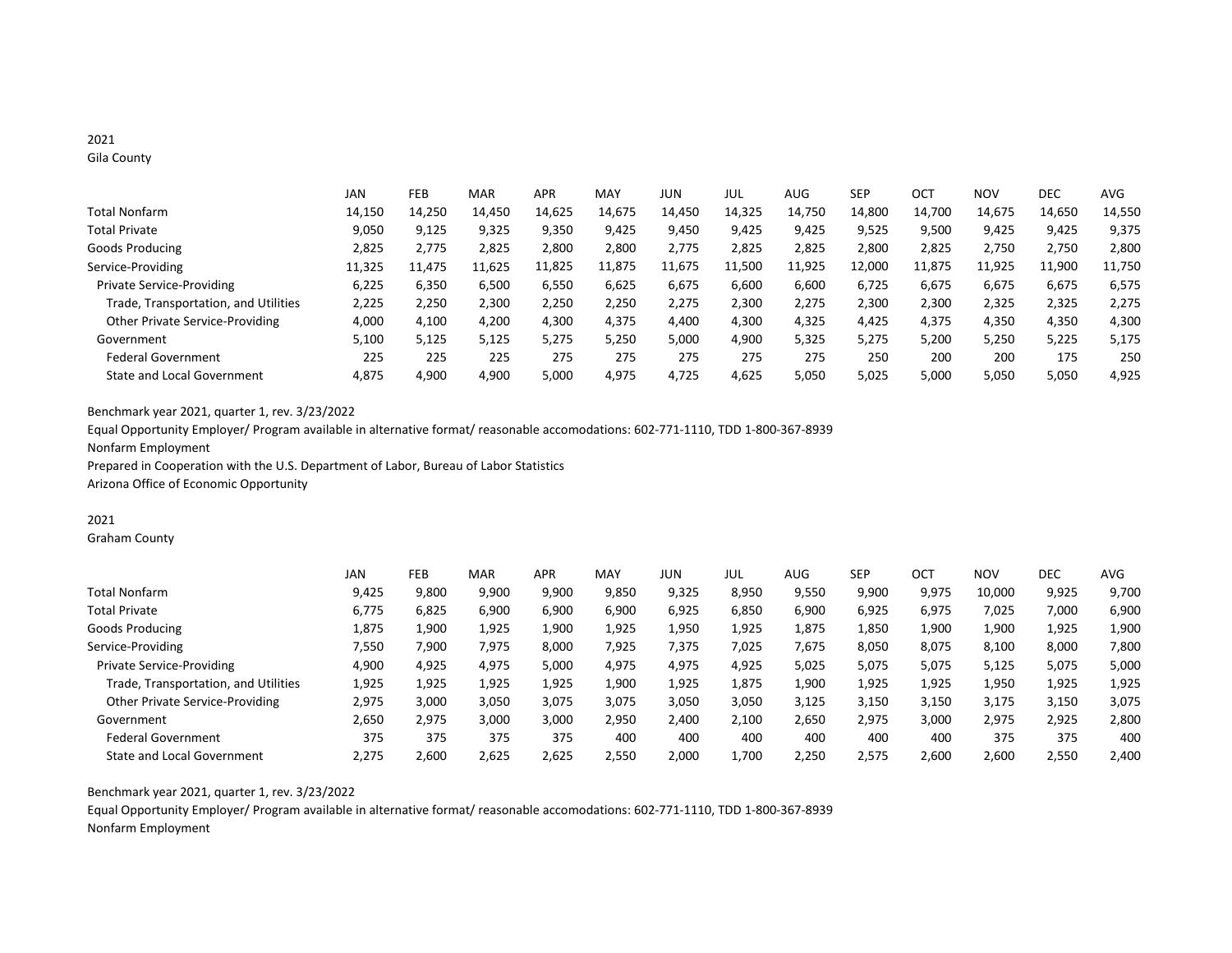# 2021

Gila County

|                                      | JAN    | FEB    | <b>MAR</b> | <b>APR</b> | <b>MAY</b> | JUN    | JUL    | AUG    | <b>SEP</b> | <b>OCT</b> | <b>NOV</b> | <b>DEC</b> | <b>AVG</b> |
|--------------------------------------|--------|--------|------------|------------|------------|--------|--------|--------|------------|------------|------------|------------|------------|
| Total Nonfarm                        | 14,150 | 14,250 | 14,450     | 14,625     | 14,675     | 14,450 | 14,325 | 14,750 | 14,800     | 14,700     | 14,675     | 14,650     | 14,550     |
| <b>Total Private</b>                 | 9,050  | 9,125  | 9,325      | 9,350      | 9,425      | 9,450  | 9,425  | 9,425  | 9,525      | 9,500      | 9,425      | 9,425      | 9,375      |
| Goods Producing                      | 2,825  | 2.775  | 2,825      | 2,800      | 2,800      | 2.775  | 2,825  | 2,825  | 2,800      | 2,825      | 2,750      | 2,750      | 2,800      |
| Service-Providing                    | 11,325 | 11.475 | 11,625     | 11,825     | 11,875     | 11,675 | 11,500 | 11,925 | 12.000     | 11,875     | 11,925     | 11,900     | 11,750     |
| <b>Private Service-Providing</b>     | 6.225  | 6,350  | 6,500      | 6,550      | 6,625      | 6,675  | 6,600  | 6,600  | 6,725      | 6,675      | 6,675      | 6,675      | 6,575      |
| Trade, Transportation, and Utilities | 2,225  | 2,250  | 2,300      | 2,250      | 2,250      | 2,275  | 2,300  | 2,275  | 2,300      | 2,300      | 2,325      | 2,325      | 2,275      |
| Other Private Service-Providing      | 4,000  | 4,100  | 4,200      | 4,300      | 4,375      | 4,400  | 4,300  | 4,325  | 4,425      | 4,375      | 4,350      | 4,350      | 4,300      |
| Government                           | 5,100  | 5,125  | 5,125      | 5,275      | 5,250      | 5,000  | 4,900  | 5,325  | 5,275      | 5,200      | 5,250      | 5,225      | 5,175      |
| <b>Federal Government</b>            | 225    | 225    | 225        | 275        | 275        | 275    | 275    | 275    | 250        | 200        | 200        | 175        | 250        |
| <b>State and Local Government</b>    | 4.875  | 4,900  | 4,900      | 5,000      | 4,975      | 4,725  | 4,625  | 5,050  | 5,025      | 5,000      | 5,050      | 5,050      | 4,925      |

Benchmark year 2021, quarter 1, rev. 3/23/2022

Equal Opportunity Employer/ Program available in alternative format/ reasonable accomodations: 602-771-1110, TDD 1-800-367-8939 Nonfarm Employment Prepared in Cooperation with the U.S. Department of Labor, Bureau of Labor Statistics

Arizona Office of Economic Opportunity

# 2021

Graham County

|                                      | JAN   | FEB   | <b>MAR</b> | <b>APR</b> | MAY   | JUN   | JUL   | AUG   | <b>SEP</b> | OCT   | <b>NOV</b> | DEC   | AVG   |
|--------------------------------------|-------|-------|------------|------------|-------|-------|-------|-------|------------|-------|------------|-------|-------|
| <b>Total Nonfarm</b>                 | 9,425 | 9,800 | 9,900      | 9,900      | 9,850 | 9,325 | 8,950 | 9,550 | 9,900      | 9,975 | 10,000     | 9,925 | 9,700 |
| <b>Total Private</b>                 | 6.775 | 6,825 | 6,900      | 6,900      | 6.900 | 6,925 | 6,850 | 6,900 | 6,925      | 6,975 | 7,025      | 7,000 | 6,900 |
| Goods Producing                      | 1,875 | 1,900 | 1,925      | 1,900      | 1,925 | 1,950 | 1,925 | 1,875 | 1,850      | 1,900 | 1,900      | 1,925 | 1,900 |
| Service-Providing                    | 7,550 | ,900  | 7,975      | 8,000      | 7,925 | 7,375 | 7,025 | 7,675 | 8,050      | 8,075 | 8,100      | 8,000 | 7,800 |
| <b>Private Service-Providing</b>     | 4,900 | 4,925 | 4,975      | 5,000      | 4,975 | 4,975 | 4,925 | 5,025 | 5,075      | 5,075 | 5,125      | 5,075 | 5,000 |
| Trade, Transportation, and Utilities | 1,925 | 1,925 | 1,925      | 1,925      | 1,900 | 1,925 | 1,875 | 1,900 | 1,925      | 1,925 | 1,950      | 1,925 | 1,925 |
| Other Private Service-Providing      | 2,975 | 3,000 | 3,050      | 3,075      | 3,075 | 3,050 | 3,050 | 3,125 | 3,150      | 3,150 | 3,175      | 3,150 | 3,075 |
| Government                           | 2,650 | 2,975 | 3,000      | 3,000      | 2,950 | 2,400 | 2,100 | 2,650 | 2,975      | 3,000 | 2,975      | 2,925 | 2,800 |
| <b>Federal Government</b>            | 375   | 375   | 375        | 375        | 400   | 400   | 400   | 400   | 400        | 400   | 375        | 375   | 400   |
| <b>State and Local Government</b>    | 2.275 | 2,600 | 2,625      | 2,625      | 2,550 | 2,000 | 1,700 | 2,250 | 2,575      | 2,600 | 2,600      | 2,550 | 2,400 |

Benchmark year 2021, quarter 1, rev. 3/23/2022

Equal Opportunity Employer/ Program available in alternative format/ reasonable accomodations: 602-771-1110, TDD 1-800-367-8939 Nonfarm Employment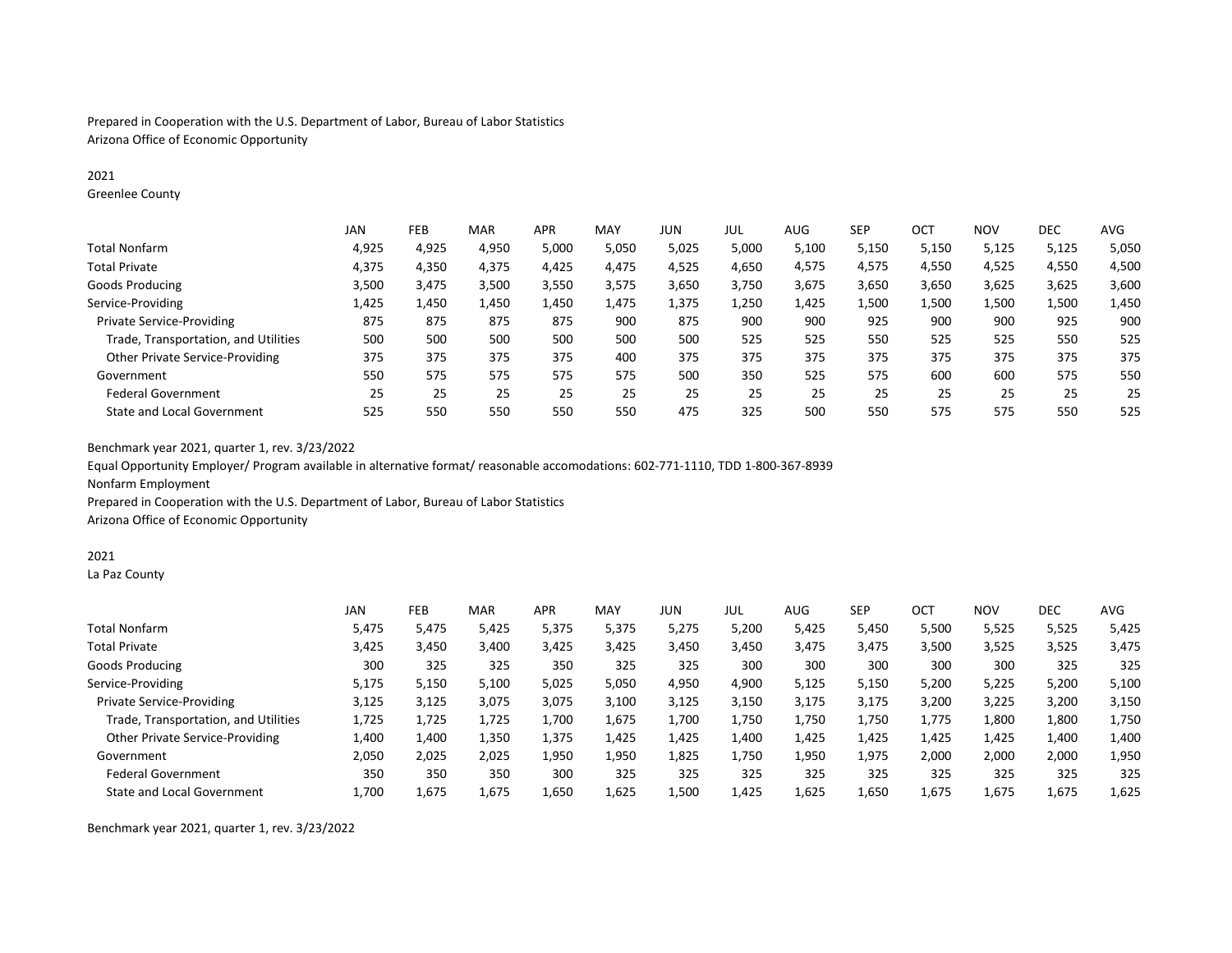Prepared in Cooperation with the U.S. Department of Labor, Bureau of Labor Statistics Arizona Office of Economic Opportunity

## 2021

Greenlee County

|                                        | JAN   | FEB   | <b>MAR</b> | <b>APR</b> | <b>MAY</b> | JUN   | JUL   | AUG   | <b>SEP</b> | ост   | <b>NOV</b> | <b>DEC</b> | <b>AVG</b> |
|----------------------------------------|-------|-------|------------|------------|------------|-------|-------|-------|------------|-------|------------|------------|------------|
| Total Nonfarm                          | 4,925 | 4,925 | 4,950      | 5,000      | 5,050      | 5,025 | 5,000 | 5,100 | 5,150      | 5,150 | 5,125      | 5,125      | 5,050      |
| <b>Total Private</b>                   | 4,375 | 4,350 | 4,375      | 4,425      | 4,475      | 4,525 | 4,650 | 4,575 | 4,575      | 4,550 | 4,525      | 4,550      | 4,500      |
| Goods Producing                        | 3,500 | 3,475 | 3,500      | 3,550      | 3,575      | 3,650 | 3,750 | 3,675 | 3,650      | 3,650 | 3,625      | 3,625      | 3,600      |
| Service-Providing                      | 1,425 | 1,450 | 1,450      | 1,450      | 1,475      | 1,375 | 1,250 | 1,425 | 1,500      | 1,500 | 1,500      | 1,500      | 1,450      |
| <b>Private Service-Providing</b>       | 875   | 875   | 875        | 875        | 900        | 875   | 900   | 900   | 925        | 900   | 900        | 925        | 900        |
| Trade, Transportation, and Utilities   | 500   | 500   | 500        | 500        | 500        | 500   | 525   | 525   | 550        | 525   | 525        | 550        | 525        |
| <b>Other Private Service-Providing</b> | 375   | 375   | 375        | 375        | 400        | 375   | 375   | 375   | 375        | 375   | 375        | 375        | 375        |
| Government                             | 550   | 575   | 575        | 575        | 575        | 500   | 350   | 525   | 575        | 600   | 600        | 575        | 550        |
| <b>Federal Government</b>              | 25    | 25    | 25         | 25         | 25         | 25    | 25    | 25    | 25         | 25    | 25         | 25         | 25         |
| <b>State and Local Government</b>      | 525   | 550   | 550        | 550        | 550        | 475   | 325   | 500   | 550        | 575   | 575        | 550        | 525        |

Benchmark year 2021, quarter 1, rev. 3/23/2022

Equal Opportunity Employer/ Program available in alternative format/ reasonable accomodations: 602-771-1110, TDD 1-800-367-8939 Nonfarm Employment

Prepared in Cooperation with the U.S. Department of Labor, Bureau of Labor Statistics

Arizona Office of Economic Opportunity

#### 2021

La Paz County

|                                        | <b>JAN</b> | FEB   | <b>MAR</b> | <b>APR</b> | <b>MAY</b> | JUN   | jul   | AUG   | <b>SEP</b> | OC <sub>1</sub> | <b>NOV</b> | <b>DEC</b> | <b>AVG</b> |
|----------------------------------------|------------|-------|------------|------------|------------|-------|-------|-------|------------|-----------------|------------|------------|------------|
| Total Nonfarm                          | 5,475      | 5,475 | 5,425      | 5,375      | 5,375      | 5,275 | 5,200 | 5,425 | 5,450      | 5,500           | 5,525      | 5,525      | 5,425      |
| <b>Total Private</b>                   | 3,425      | 3,450 | 3,400      | 3,425      | 3,425      | 3,450 | 3,450 | 3.475 | 3,475      | 3,500           | 3,525      | 3,525      | 3,475      |
| Goods Producing                        | 300        | 325   | 325        | 350        | 325        | 325   | 300   | 300   | 300        | 300             | 300        | 325        | 325        |
| Service-Providing                      | 5,175      | 5,150 | 5,100      | 5,025      | 5,050      | 4,950 | 4,900 | 5,125 | 5,150      | 5,200           | 5,225      | 5,200      | 5,100      |
| Private Service-Providing              | 3,125      | 3,125 | 3,075      | 3,075      | 3,100      | 3,125 | 3,150 | 3,175 | 3,175      | 3,200           | 3,225      | 3,200      | 3,150      |
| Trade, Transportation, and Utilities   | 1,725      | 1,725 | 1,725      | 1,700      | 1,675      | 1,700 | 1,750 | 1,750 | 1.750      | 1,775           | 1,800      | 1,800      | 1,750      |
| <b>Other Private Service-Providing</b> | 1,400      | 1,400 | 1,350      | 1,375      | 1,425      | 1,425 | 1,400 | 1.425 | 1,425      | 1,425           | 1,425      | 1,400      | 1,400      |
| Government                             | 2,050      | 2,025 | 2,025      | 1,950      | 1,950      | 1,825 | 1,750 | 1,950 | 1,975      | 2,000           | 2,000      | 2,000      | 1,950      |
| <b>Federal Government</b>              | 350        | 350   | 350        | 300        | 325        | 325   | 325   | 325   | 325        | 325             | 325        | 325        | 325        |
| <b>State and Local Government</b>      | 1.700      | 1,675 | 1,675      | 1,650      | 1,625      | 1,500 | 1,425 | 1,625 | 1,650      | 1,675           | 1,675      | 1.675      | 1,625      |

Benchmark year 2021, quarter 1, rev. 3/23/2022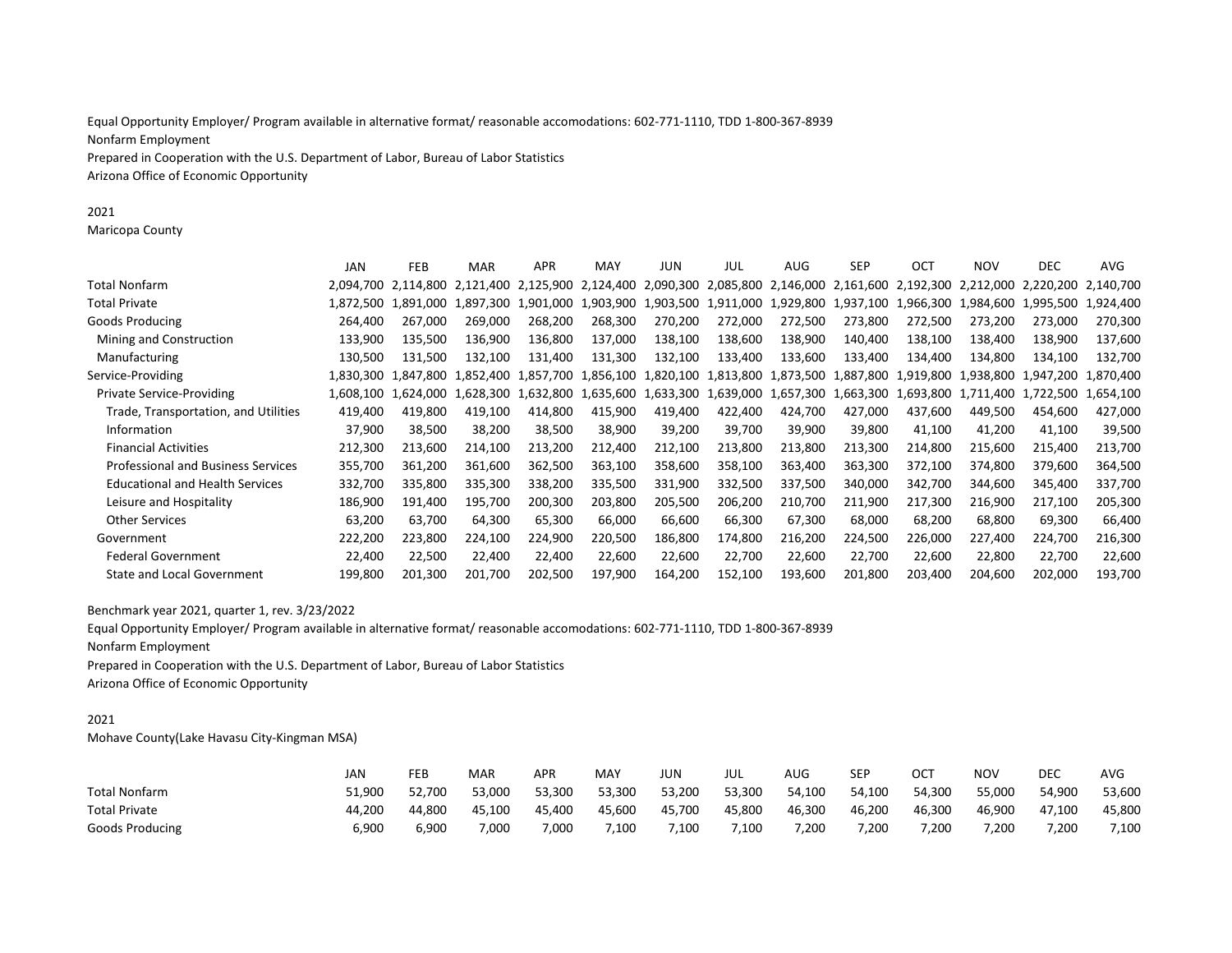Equal Opportunity Employer/ Program available in alternative format/ reasonable accomodations: 602-771-1110, TDD 1-800-367-8939 Nonfarm Employment Prepared in Cooperation with the U.S. Department of Labor, Bureau of Labor Statistics Arizona Office of Economic Opportunity

2021

Maricopa County

|                                           | <b>JAN</b> | FEB                 | <b>MAR</b> | <b>APR</b> | MAY       | JUN                           | JUL       | AUG     | <b>SEP</b> | <b>OCT</b>                              | <b>NOV</b> | <b>DEC</b>                                                                                          | <b>AVG</b> |
|-------------------------------------------|------------|---------------------|------------|------------|-----------|-------------------------------|-----------|---------|------------|-----------------------------------------|------------|-----------------------------------------------------------------------------------------------------|------------|
| Total Nonfarm                             |            | 2.094.700 2.114.800 | 2.121.400  |            |           |                               |           |         |            |                                         |            | 2,125,900 2,124,400 2,090,300 2,085,800 2,146,000 2,161,600 2,192,300 2,212,000 2,220,200 2,140,700 |            |
| Total Private                             | 1.872.500  | 1.891.000           | 1.897.300  | 1,901,000  |           |                               |           |         |            |                                         |            | 1,903,900 1,903,500 1,911,000 1,929,800 1,937,100 1,966,300 1,984,600 1,995,500 1,924,400           |            |
| Goods Producing                           | 264,400    | 267.000             | 269.000    | 268,200    | 268,300   | 270,200                       | 272,000   | 272,500 | 273,800    | 272,500                                 | 273,200    | 273,000                                                                                             | 270,300    |
| Mining and Construction                   | 133,900    | 135,500             | 136,900    | 136,800    | 137,000   | 138,100                       | 138,600   | 138,900 | 140,400    | 138,100                                 | 138,400    | 138,900                                                                                             | 137,600    |
| Manufacturing                             | 130,500    | 131,500             | 132.100    | 131,400    | 131,300   | 132,100                       | 133,400   | 133,600 | 133,400    | 134,400                                 | 134,800    | 134,100                                                                                             | 132,700    |
| Service-Providing                         | 1.830.300  | 1.847.800           | 1.852.400  | 1.857.700  |           | 1,856,100 1,820,100 1,813,800 |           |         |            | 1.873.500 1.887.800 1.919.800 1.938.800 |            | 1.947.200                                                                                           | 1,870,400  |
| <b>Private Service-Providing</b>          | 1.608.100  | 1.624.000           | .628.300   | 1.632.800  | 1.635.600 | 1,633,300                     | 1.639.000 |         |            | 1,657,300 1,663,300 1,693,800 1,711,400 |            | 1,722,500 1,654,100                                                                                 |            |
| Trade, Transportation, and Utilities      | 419,400    | 419,800             | 419.100    | 414,800    | 415,900   | 419,400                       | 422,400   | 424,700 | 427,000    | 437,600                                 | 449,500    | 454,600                                                                                             | 427,000    |
| Information                               | 37,900     | 38,500              | 38,200     | 38,500     | 38,900    | 39,200                        | 39,700    | 39,900  | 39,800     | 41,100                                  | 41,200     | 41,100                                                                                              | 39,500     |
| <b>Financial Activities</b>               | 212,300    | 213,600             | 214,100    | 213,200    | 212,400   | 212,100                       | 213,800   | 213,800 | 213,300    | 214,800                                 | 215,600    | 215,400                                                                                             | 213,700    |
| <b>Professional and Business Services</b> | 355,700    | 361,200             | 361,600    | 362,500    | 363,100   | 358,600                       | 358,100   | 363,400 | 363,300    | 372,100                                 | 374,800    | 379,600                                                                                             | 364,500    |
| <b>Educational and Health Services</b>    | 332,700    | 335,800             | 335,300    | 338,200    | 335,500   | 331,900                       | 332,500   | 337,500 | 340,000    | 342,700                                 | 344,600    | 345,400                                                                                             | 337,700    |
| Leisure and Hospitality                   | 186,900    | 191.400             | 195,700    | 200,300    | 203,800   | 205,500                       | 206,200   | 210,700 | 211,900    | 217,300                                 | 216,900    | 217,100                                                                                             | 205,300    |
| <b>Other Services</b>                     | 63,200     | 63,700              | 64,300     | 65,300     | 66,000    | 66,600                        | 66,300    | 67,300  | 68,000     | 68,200                                  | 68,800     | 69,300                                                                                              | 66,400     |
| Government                                | 222,200    | 223,800             | 224,100    | 224,900    | 220,500   | 186,800                       | 174,800   | 216,200 | 224,500    | 226,000                                 | 227,400    | 224,700                                                                                             | 216,300    |
| <b>Federal Government</b>                 | 22,400     | 22,500              | 22,400     | 22,400     | 22,600    | 22,600                        | 22,700    | 22,600  | 22,700     | 22,600                                  | 22,800     | 22,700                                                                                              | 22,600     |
| <b>State and Local Government</b>         | 199.800    | 201,300             | 201.700    | 202,500    | 197,900   | 164,200                       | 152,100   | 193,600 | 201,800    | 203,400                                 | 204,600    | 202,000                                                                                             | 193,700    |
|                                           |            |                     |            |            |           |                               |           |         |            |                                         |            |                                                                                                     |            |

Benchmark year 2021, quarter 1, rev. 3/23/2022

Equal Opportunity Employer/ Program available in alternative format/ reasonable accomodations: 602-771-1110, TDD 1-800-367-8939 Nonfarm Employment

Prepared in Cooperation with the U.S. Department of Labor, Bureau of Labor Statistics Arizona Office of Economic Opportunity

### 2021

Mohave County(Lake Havasu City-Kingman MSA)

|                        | JAN    | FEB    | MAR    | APR    | MAY    | JUN    | JUL    | AUG    | <b>SEP</b> | ОСТ    | <b>NOV</b> | DEC    | <b>AVG</b> |
|------------------------|--------|--------|--------|--------|--------|--------|--------|--------|------------|--------|------------|--------|------------|
| Total Nonfarm          | 51.900 | 52.700 | 53.000 | 53.300 | 53.300 | 53.200 | 53.300 | 54.100 | 54.100     | 54.300 | 55.000     | 54.900 | 53,600     |
| <b>Total Private</b>   | 44.200 | 44.800 | 45.100 | 45.400 | 45,600 | 45.700 | 45,800 | 46.300 | 46,200     | 46,300 | 46.900     | 47.100 | 45.800     |
| <b>Goods Producing</b> | 5,900  | 5,900  | 7,000  | 7,000  | 7,100  | 7,100  | 7,100  | 7,200  | 7,200      | 7,200  | 7,200      | 7,200  | 7,100      |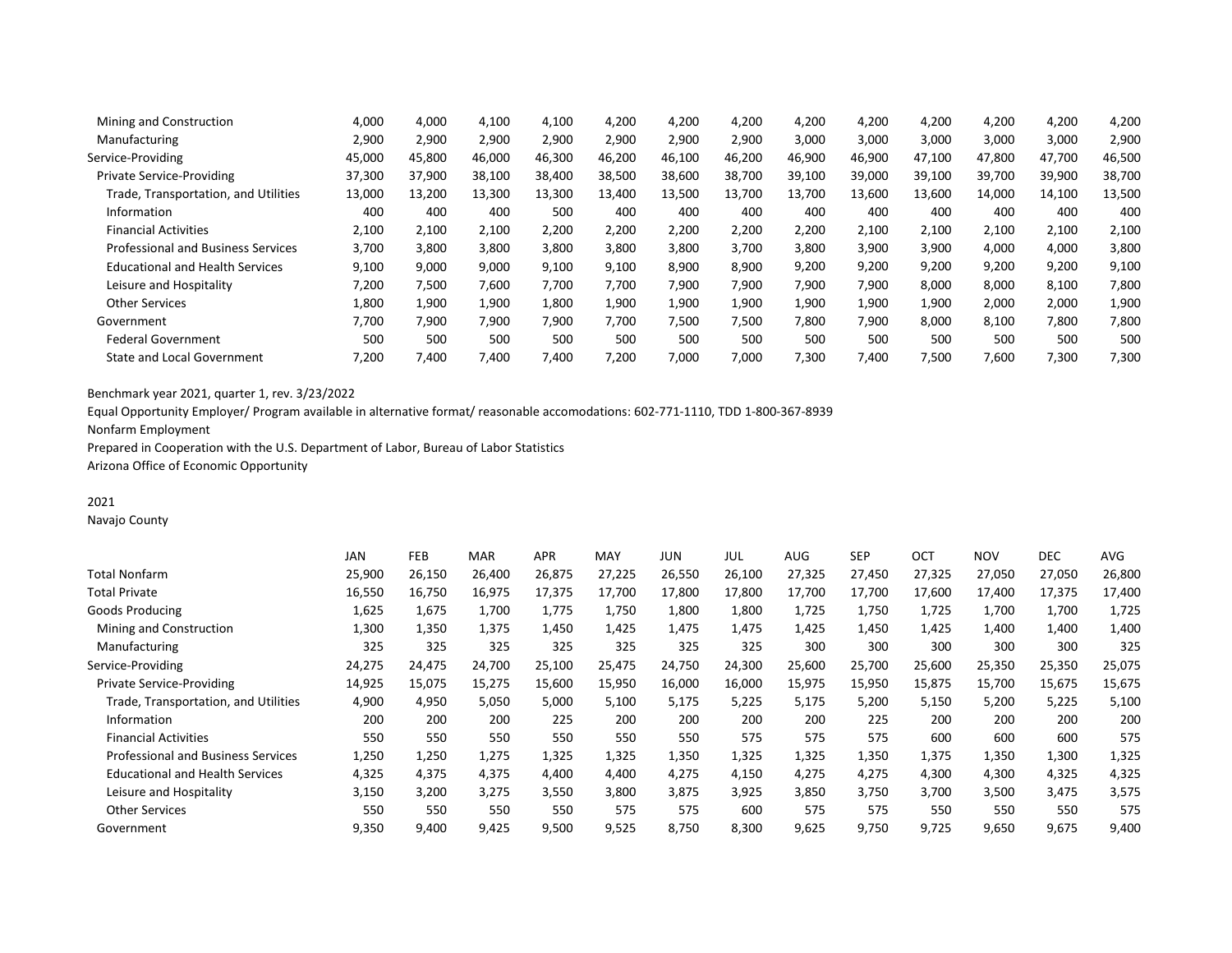| Mining and Construction                   | 4,000  | 4,000  | 4,100  | 4,100  | 4,200  | 4,200  | 4,200  | 4,200  | 4,200  | 4,200  | 4,200  | 4,200  | 4,200  |
|-------------------------------------------|--------|--------|--------|--------|--------|--------|--------|--------|--------|--------|--------|--------|--------|
| Manufacturing                             | 2,900  | 2,900  | 2,900  | 2,900  | 2.900  | 2,900  | 2,900  | 3,000  | 3,000  | 3,000  | 3,000  | 3,000  | 2,900  |
| Service-Providing                         | 45,000 | 45,800 | 46,000 | 46,300 | 46,200 | 46,100 | 46,200 | 46,900 | 46,900 | 47,100 | 47,800 | 47,700 | 46,500 |
| <b>Private Service-Providing</b>          | 37,300 | 37,900 | 38,100 | 38,400 | 38,500 | 38,600 | 38,700 | 39,100 | 39,000 | 39,100 | 39,700 | 39,900 | 38,700 |
| Trade, Transportation, and Utilities      | 13,000 | 13,200 | 13,300 | 13,300 | 13.400 | 13,500 | 13,700 | 13,700 | 13.600 | 13,600 | 14.000 | 14,100 | 13,500 |
| Information                               | 400    | 400    | 400    | 500    | 400    | 400    | 400    | 400    | 400    | 400    | 400    | 400    | 400    |
| <b>Financial Activities</b>               | 2,100  | 2,100  | 2,100  | 2,200  | 2,200  | 2,200  | 2,200  | 2,200  | 2,100  | 2,100  | 2,100  | 2,100  | 2,100  |
| <b>Professional and Business Services</b> | 3,700  | 3,800  | 3,800  | 3,800  | 3,800  | 3,800  | 3,700  | 3,800  | 3,900  | 3,900  | 4,000  | 4,000  | 3,800  |
| <b>Educational and Health Services</b>    | 9,100  | 9,000  | 9,000  | 9,100  | 9,100  | 8,900  | 8,900  | 9,200  | 9,200  | 9,200  | 9,200  | 9,200  | 9,100  |
| Leisure and Hospitality                   | 7,200  | 7,500  | 7,600  | 7.700  | 7,700  | 7,900  | 7,900  | 7,900  | 7,900  | 8,000  | 8,000  | 8,100  | 7,800  |
| <b>Other Services</b>                     | 1.800  | 1,900  | 1,900  | 1,800  | 1,900  | 1,900  | 1,900  | 1,900  | 1,900  | 1,900  | 2,000  | 2,000  | 1,900  |
| Government                                | 7.700  | 7,900  | 7,900  | 7.900  | 7,700  | 7,500  | 7,500  | 7,800  | 7,900  | 8,000  | 8,100  | 7,800  | 7,800  |
| <b>Federal Government</b>                 | 500    | 500    | 500    | 500    | 500    | 500    | 500    | 500    | 500    | 500    | 500    | 500    | 500    |
| <b>State and Local Government</b>         | 7.200  | 7.400  | 7,400  | 7,400  | 7.200  | 7.000  | 7,000  | 7,300  | 7.400  | 7,500  | 7,600  | 7,300  | 7,300  |
|                                           |        |        |        |        |        |        |        |        |        |        |        |        |        |

Equal Opportunity Employer/ Program available in alternative format/ reasonable accomodations: 602-771-1110, TDD 1-800-367-8939

Nonfarm Employment

Prepared in Cooperation with the U.S. Department of Labor, Bureau of Labor Statistics

Arizona Office of Economic Opportunity

# 2021

Navajo County

|                                           | <b>JAN</b> | FEB    | <b>MAR</b> | <b>APR</b> | MAY    | JUN    | JUL    | AUG    | <b>SEP</b> | OCT    | <b>NOV</b> | <b>DEC</b> | AVG    |
|-------------------------------------------|------------|--------|------------|------------|--------|--------|--------|--------|------------|--------|------------|------------|--------|
| Total Nonfarm                             | 25,900     | 26,150 | 26,400     | 26,875     | 27,225 | 26,550 | 26,100 | 27,325 | 27,450     | 27,325 | 27,050     | 27,050     | 26,800 |
| Total Private                             | 16,550     | 16,750 | 16,975     | 17,375     | 17,700 | 17,800 | 17,800 | 17,700 | 17,700     | 17,600 | 17,400     | 17,375     | 17,400 |
| Goods Producing                           | 1,625      | 1,675  | 1,700      | 1,775      | 1,750  | 1,800  | 1,800  | 1,725  | 1,750      | 1,725  | 1,700      | 1,700      | 1,725  |
| Mining and Construction                   | 1,300      | 1,350  | 1,375      | 1,450      | 1,425  | 1,475  | 1,475  | 1,425  | 1,450      | 1,425  | 1,400      | 1,400      | 1,400  |
| Manufacturing                             | 325        | 325    | 325        | 325        | 325    | 325    | 325    | 300    | 300        | 300    | 300        | 300        | 325    |
| Service-Providing                         | 24,275     | 24,475 | 24,700     | 25,100     | 25,475 | 24,750 | 24,300 | 25,600 | 25,700     | 25,600 | 25,350     | 25,350     | 25,075 |
| <b>Private Service-Providing</b>          | 14,925     | 15,075 | 15,275     | 15,600     | 15,950 | 16,000 | 16,000 | 15,975 | 15,950     | 15,875 | 15,700     | 15,675     | 15,675 |
| Trade, Transportation, and Utilities      | 4,900      | 4,950  | 5,050      | 5,000      | 5,100  | 5,175  | 5,225  | 5,175  | 5,200      | 5,150  | 5,200      | 5,225      | 5,100  |
| Information                               | 200        | 200    | 200        | 225        | 200    | 200    | 200    | 200    | 225        | 200    | 200        | 200        | 200    |
| <b>Financial Activities</b>               | 550        | 550    | 550        | 550        | 550    | 550    | 575    | 575    | 575        | 600    | 600        | 600        | 575    |
| <b>Professional and Business Services</b> | 1,250      | 1,250  | 1,275      | 1,325      | 1,325  | 1,350  | 1,325  | 1,325  | 1,350      | 1,375  | 1,350      | 1,300      | 1,325  |
| <b>Educational and Health Services</b>    | 4,325      | 4,375  | 4,375      | 4,400      | 4,400  | 4,275  | 4,150  | 4,275  | 4,275      | 4,300  | 4,300      | 4,325      | 4,325  |
| Leisure and Hospitality                   | 3,150      | 3,200  | 3,275      | 3,550      | 3,800  | 3,875  | 3,925  | 3,850  | 3,750      | 3,700  | 3,500      | 3,475      | 3,575  |
| <b>Other Services</b>                     | 550        | 550    | 550        | 550        | 575    | 575    | 600    | 575    | 575        | 550    | 550        | 550        | 575    |
| Government                                | 9,350      | 9,400  | 9,425      | 9,500      | 9,525  | 8,750  | 8,300  | 9,625  | 9,750      | 9,725  | 9,650      | 9,675      | 9,400  |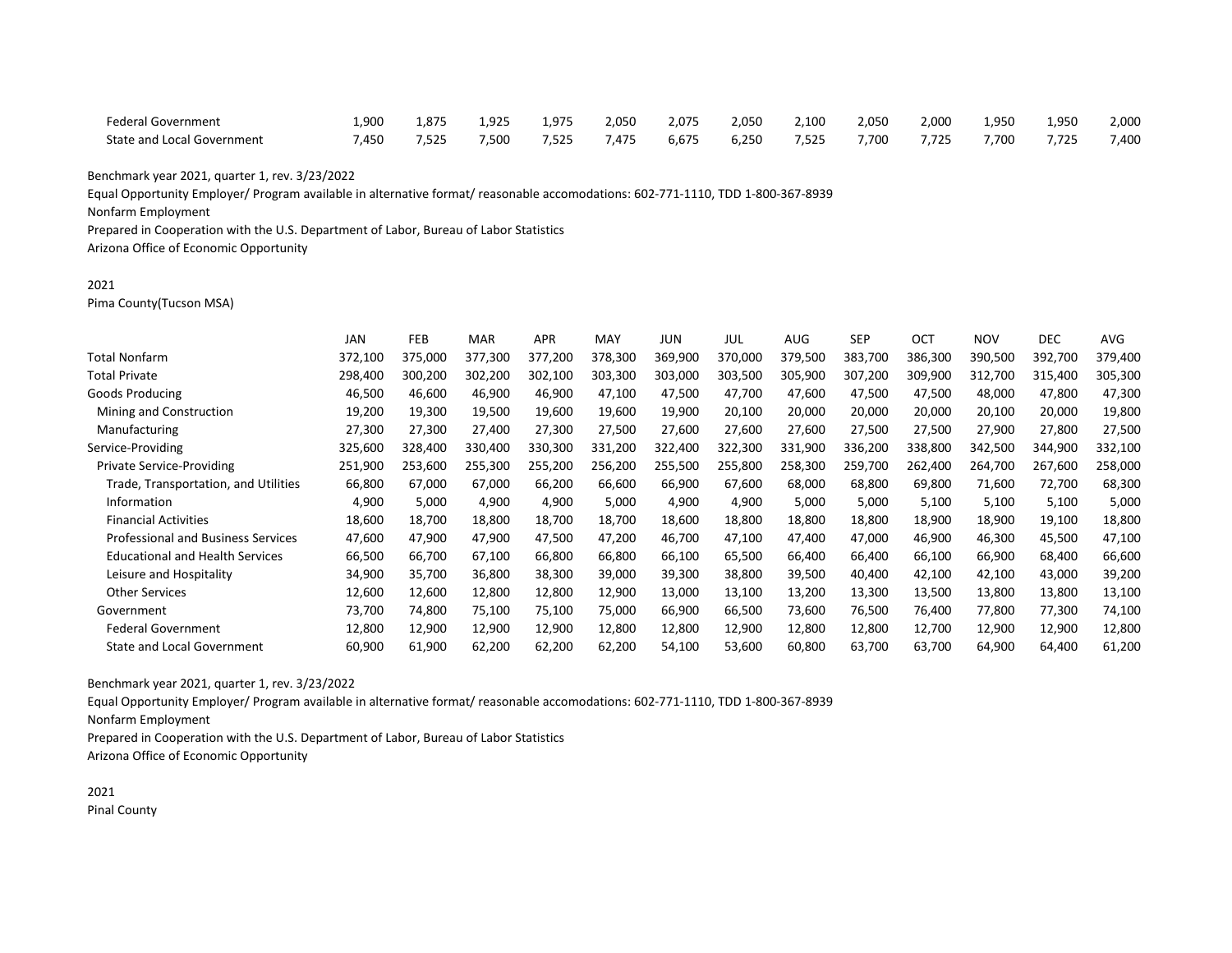| Federal Government         | 1,900 | 1,875 | 1,925 | 1.975 | 2,050 | 2,075 | 2,050 | 2.100 | 2.050 | 2,000 | 1,950 | 1,950 | 2,000 |
|----------------------------|-------|-------|-------|-------|-------|-------|-------|-------|-------|-------|-------|-------|-------|
| State and Local Government | 7,450 | 7,525 | 7,500 | 7,525 | 7,475 | 6,675 | 6,250 | 7,525 | 7.700 | 7,725 | 7,700 | 7,725 | 7,400 |

Equal Opportunity Employer/ Program available in alternative format/ reasonable accomodations: 602-771-1110, TDD 1-800-367-8939

Nonfarm Employment

Prepared in Cooperation with the U.S. Department of Labor, Bureau of Labor Statistics

Arizona Office of Economic Opportunity

### 2021

Pima County(Tucson MSA)

|                                           | <b>JAN</b> | FEB     | <b>MAR</b> | <b>APR</b> | <b>MAY</b> | JUN     | JUL     | <b>AUG</b> | <b>SEP</b> | <b>OCT</b> | <b>NOV</b> | <b>DEC</b> | AVG     |
|-------------------------------------------|------------|---------|------------|------------|------------|---------|---------|------------|------------|------------|------------|------------|---------|
| <b>Total Nonfarm</b>                      | 372,100    | 375,000 | 377.300    | 377,200    | 378,300    | 369,900 | 370,000 | 379,500    | 383,700    | 386,300    | 390,500    | 392,700    | 379,400 |
| Total Private                             | 298,400    | 300,200 | 302,200    | 302,100    | 303,300    | 303,000 | 303,500 | 305,900    | 307,200    | 309,900    | 312,700    | 315,400    | 305,300 |
| Goods Producing                           | 46,500     | 46,600  | 46,900     | 46,900     | 47,100     | 47,500  | 47,700  | 47,600     | 47,500     | 47,500     | 48,000     | 47,800     | 47,300  |
| Mining and Construction                   | 19,200     | 19,300  | 19,500     | 19,600     | 19,600     | 19,900  | 20,100  | 20,000     | 20,000     | 20,000     | 20,100     | 20,000     | 19,800  |
| Manufacturing                             | 27,300     | 27,300  | 27,400     | 27,300     | 27,500     | 27,600  | 27,600  | 27,600     | 27,500     | 27,500     | 27,900     | 27,800     | 27,500  |
| Service-Providing                         | 325,600    | 328,400 | 330,400    | 330,300    | 331,200    | 322,400 | 322,300 | 331,900    | 336,200    | 338,800    | 342,500    | 344,900    | 332,100 |
| Private Service-Providing                 | 251,900    | 253,600 | 255,300    | 255,200    | 256,200    | 255,500 | 255,800 | 258,300    | 259,700    | 262,400    | 264,700    | 267,600    | 258,000 |
| Trade, Transportation, and Utilities      | 66,800     | 67,000  | 67,000     | 66,200     | 66,600     | 66,900  | 67,600  | 68,000     | 68,800     | 69,800     | 71,600     | 72,700     | 68,300  |
| Information                               | 4,900      | 5,000   | 4,900      | 4,900      | 5,000      | 4,900   | 4,900   | 5,000      | 5,000      | 5,100      | 5,100      | 5,100      | 5,000   |
| <b>Financial Activities</b>               | 18,600     | 18,700  | 18,800     | 18,700     | 18,700     | 18,600  | 18,800  | 18,800     | 18,800     | 18,900     | 18,900     | 19,100     | 18,800  |
| <b>Professional and Business Services</b> | 47,600     | 47,900  | 47,900     | 47,500     | 47,200     | 46,700  | 47,100  | 47,400     | 47,000     | 46,900     | 46,300     | 45,500     | 47,100  |
| <b>Educational and Health Services</b>    | 66,500     | 66,700  | 67,100     | 66,800     | 66,800     | 66,100  | 65,500  | 66,400     | 66,400     | 66,100     | 66,900     | 68,400     | 66,600  |
| Leisure and Hospitality                   | 34,900     | 35,700  | 36,800     | 38,300     | 39,000     | 39,300  | 38,800  | 39,500     | 40,400     | 42,100     | 42,100     | 43,000     | 39,200  |
| <b>Other Services</b>                     | 12,600     | 12,600  | 12,800     | 12,800     | 12,900     | 13,000  | 13,100  | 13,200     | 13,300     | 13,500     | 13,800     | 13,800     | 13,100  |
| Government                                | 73,700     | 74,800  | 75,100     | 75,100     | 75,000     | 66,900  | 66,500  | 73,600     | 76,500     | 76,400     | 77,800     | 77,300     | 74,100  |
| <b>Federal Government</b>                 | 12,800     | 12,900  | 12,900     | 12,900     | 12,800     | 12,800  | 12,900  | 12,800     | 12,800     | 12,700     | 12,900     | 12,900     | 12,800  |
| <b>State and Local Government</b>         | 60,900     | 61,900  | 62,200     | 62,200     | 62,200     | 54,100  | 53,600  | 60,800     | 63,700     | 63,700     | 64,900     | 64,400     | 61,200  |

Benchmark year 2021, quarter 1, rev. 3/23/2022

Equal Opportunity Employer/ Program available in alternative format/ reasonable accomodations: 602-771-1110, TDD 1-800-367-8939

Nonfarm Employment

Prepared in Cooperation with the U.S. Department of Labor, Bureau of Labor Statistics Arizona Office of Economic Opportunity

2021 Pinal County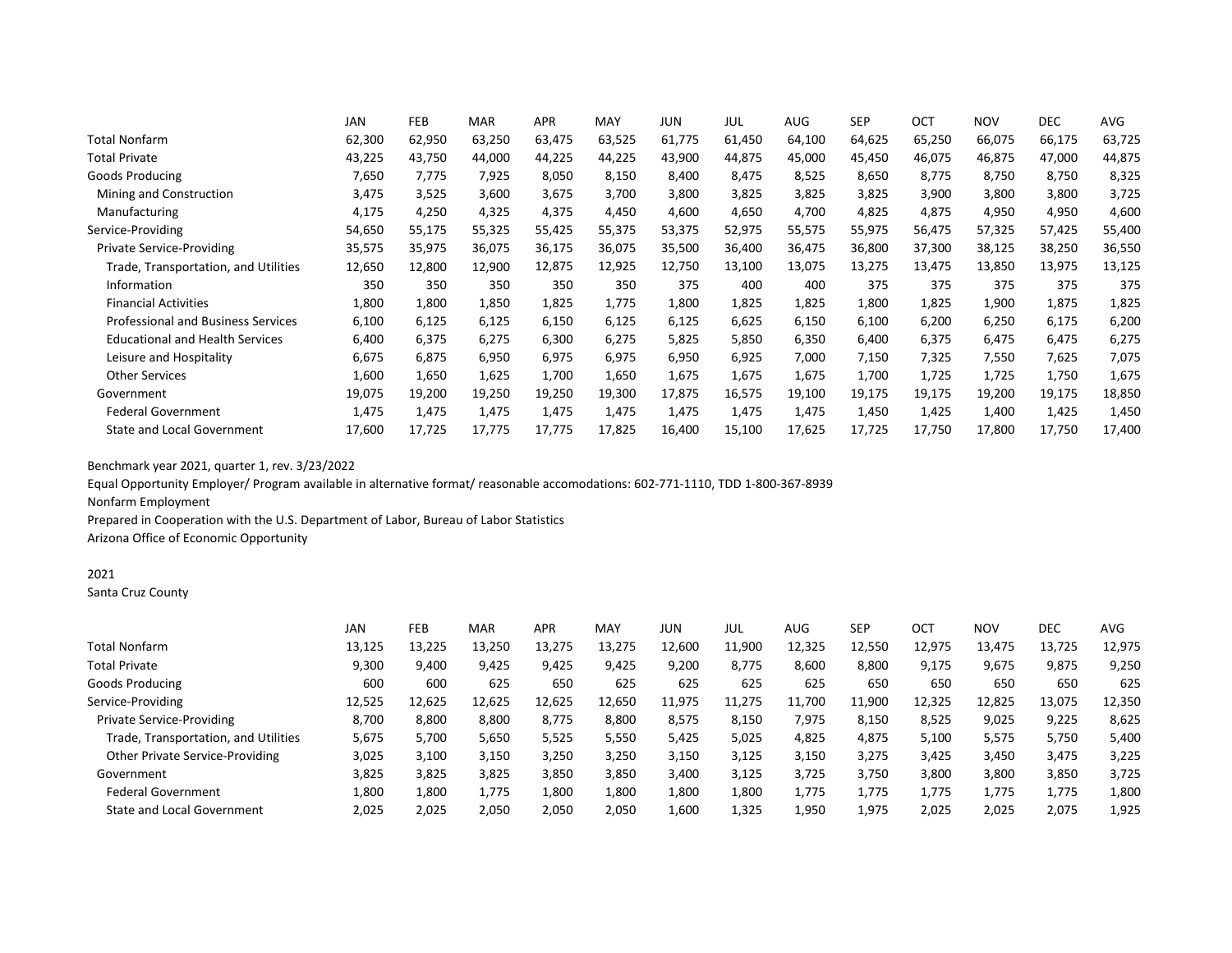|                                           | <b>JAN</b> | <b>FEB</b> | <b>MAR</b> | <b>APR</b> | MAY    | JUN    | JUL    | <b>AUG</b> | <b>SEP</b> | OCT    | <b>NOV</b> | <b>DEC</b> | AVG    |
|-------------------------------------------|------------|------------|------------|------------|--------|--------|--------|------------|------------|--------|------------|------------|--------|
| <b>Total Nonfarm</b>                      | 62,300     | 62,950     | 63,250     | 63,475     | 63,525 | 61,775 | 61,450 | 64,100     | 64,625     | 65,250 | 66,075     | 66,175     | 63,725 |
| <b>Total Private</b>                      | 43,225     | 43,750     | 44,000     | 44,225     | 44,225 | 43,900 | 44,875 | 45,000     | 45,450     | 46,075 | 46,875     | 47,000     | 44,875 |
| Goods Producing                           | 7,650      | 7,775      | 7,925      | 8,050      | 8,150  | 8,400  | 8,475  | 8,525      | 8,650      | 8,775  | 8,750      | 8,750      | 8,325  |
| Mining and Construction                   | 3,475      | 3,525      | 3,600      | 3,675      | 3,700  | 3,800  | 3,825  | 3,825      | 3,825      | 3,900  | 3,800      | 3,800      | 3,725  |
| Manufacturing                             | 4,175      | 4,250      | 4,325      | 4,375      | 4,450  | 4,600  | 4,650  | 4,700      | 4,825      | 4,875  | 4,950      | 4,950      | 4,600  |
| Service-Providing                         | 54,650     | 55,175     | 55,325     | 55,425     | 55,375 | 53,375 | 52,975 | 55,575     | 55,975     | 56,475 | 57,325     | 57,425     | 55,400 |
| <b>Private Service-Providing</b>          | 35,575     | 35,975     | 36,075     | 36,175     | 36,075 | 35,500 | 36,400 | 36,475     | 36,800     | 37,300 | 38,125     | 38,250     | 36,550 |
| Trade, Transportation, and Utilities      | 12,650     | 12,800     | 12,900     | 12,875     | 12,925 | 12,750 | 13,100 | 13,075     | 13,275     | 13,475 | 13,850     | 13,975     | 13,125 |
| Information                               | 350        | 350        | 350        | 350        | 350    | 375    | 400    | 400        | 375        | 375    | 375        | 375        | 375    |
| <b>Financial Activities</b>               | 1,800      | 1,800      | 1,850      | 1,825      | 1,775  | 1,800  | 1,825  | 1,825      | 1,800      | 1,825  | 1,900      | 1,875      | 1,825  |
| <b>Professional and Business Services</b> | 6,100      | 6,125      | 6,125      | 6,150      | 6,125  | 6,125  | 6,625  | 6,150      | 6,100      | 6,200  | 6,250      | 6,175      | 6,200  |
| <b>Educational and Health Services</b>    | 6,400      | 6,375      | 6,275      | 6,300      | 6,275  | 5,825  | 5,850  | 6,350      | 6,400      | 6,375  | 6,475      | 6,475      | 6,275  |
| Leisure and Hospitality                   | 6,675      | 6,875      | 6,950      | 6,975      | 6,975  | 6,950  | 6,925  | 7,000      | 7,150      | 7,325  | 7,550      | 7,625      | 7,075  |
| <b>Other Services</b>                     | 1,600      | 1,650      | 1,625      | 1,700      | 1,650  | 1,675  | 1,675  | 1,675      | 1,700      | 1,725  | 1,725      | 1,750      | 1,675  |
| Government                                | 19,075     | 19,200     | 19,250     | 19,250     | 19,300 | 17,875 | 16,575 | 19,100     | 19,175     | 19,175 | 19,200     | 19,175     | 18,850 |
| <b>Federal Government</b>                 | 1,475      | 1,475      | 1,475      | 1,475      | 1,475  | 1,475  | 1,475  | 1,475      | 1,450      | 1,425  | 1,400      | 1,425      | 1,450  |
| <b>State and Local Government</b>         | 17,600     | 17,725     | 17,775     | 17,775     | 17,825 | 16,400 | 15,100 | 17,625     | 17,725     | 17,750 | 17,800     | 17,750     | 17,400 |

Equal Opportunity Employer/ Program available in alternative format/ reasonable accomodations: 602-771-1110, TDD 1-800-367-8939 Nonfarm Employment

Prepared in Cooperation with the U.S. Department of Labor, Bureau of Labor Statistics Arizona Office of Economic Opportunity

# 2021

Santa Cruz County

|                                      | JAN    | FEB    | <b>MAR</b> | <b>APR</b> | MAY    | JUN    | JUL    | AUG    | <b>SEP</b> | OCT    | <b>NOV</b> | <b>DEC</b> | AVG    |
|--------------------------------------|--------|--------|------------|------------|--------|--------|--------|--------|------------|--------|------------|------------|--------|
| <b>Total Nonfarm</b>                 | 13,125 | 13,225 | 13,250     | 13,275     | 13,275 | 12,600 | 11,900 | 12,325 | 12,550     | 12,975 | 13,475     | 13,725     | 12,975 |
| <b>Total Private</b>                 | 9,300  | 9.400  | 9,425      | 9,425      | 9,425  | 9,200  | 8,775  | 8,600  | 8,800      | 9,175  | 9,675      | 9,875      | 9,250  |
| Goods Producing                      | 600    | 600    | 625        | 650        | 625    | 625    | 625    | 625    | 650        | 650    | 650        | 650        | 625    |
| Service-Providing                    | 12,525 | 12,625 | 12,625     | 12,625     | 12,650 | 11,975 | 11,275 | 11,700 | 11,900     | 12,325 | 12,825     | 13,075     | 12,350 |
| Private Service-Providing            | 8.700  | 8.800  | 8,800      | 8,775      | 8,800  | 8,575  | 8,150  | 7,975  | 8,150      | 8,525  | 9,025      | 9,225      | 8,625  |
| Trade, Transportation, and Utilities | 5,675  | 5,700  | 5,650      | 5,525      | 5,550  | 5,425  | 5,025  | 4,825  | 4,875      | 5,100  | 5,575      | 5,750      | 5,400  |
| Other Private Service-Providing      | 3,025  | 3,100  | 3,150      | 3,250      | 3,250  | 3,150  | 3,125  | 3,150  | 3.275      | 3,425  | 3,450      | 3,475      | 3,225  |
| Government                           | 3,825  | 3,825  | 3,825      | 3,850      | 3,850  | 3,400  | 3,125  | 3,725  | 3.750      | 3,800  | 3,800      | 3,850      | 3,725  |
| <b>Federal Government</b>            | 1,800  | 1,800  | 1,775      | 1,800      | 1,800  | 1,800  | 1,800  | 1,775  | 1,775      | 1,775  | 1,775      | 1,775      | 1,800  |
| State and Local Government           | 2,025  | 2,025  | 2,050      | 2,050      | 2,050  | 1,600  | 1,325  | 1,950  | 1,975      | 2,025  | 2,025      | 2,075      | 1,925  |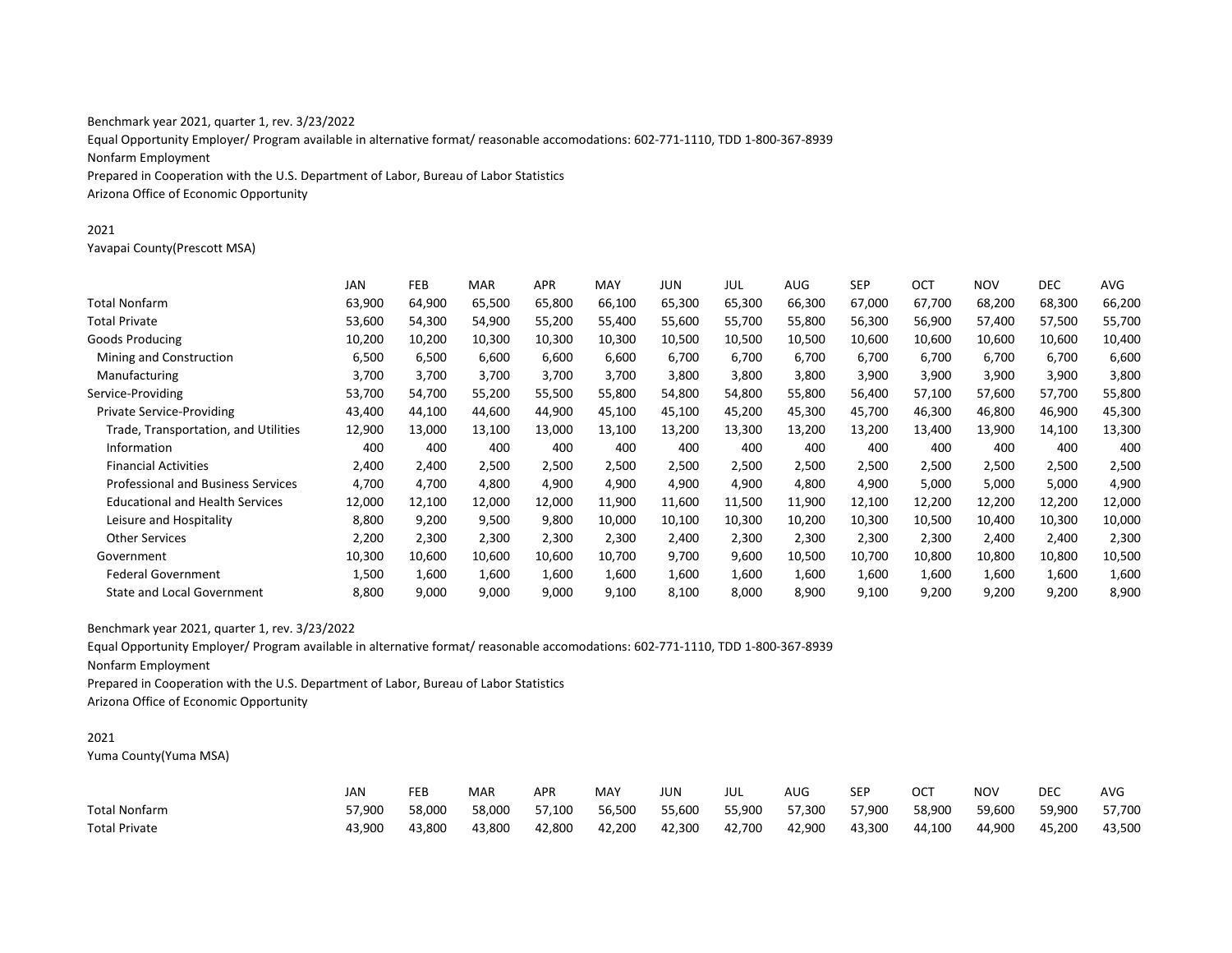Equal Opportunity Employer/ Program available in alternative format/ reasonable accomodations: 602-771-1110, TDD 1-800-367-8939 Nonfarm Employment Prepared in Cooperation with the U.S. Department of Labor, Bureau of Labor Statistics Arizona Office of Economic Opportunity

#### 2021

Yavapai County(Prescott MSA)

|                                           | JAN    | <b>FEB</b> | <b>MAR</b> | APR.   | MAY    | JUN    | JUL    | AUG    | <b>SEP</b> | OCT    | <b>NOV</b> | DEC.   | AVG    |
|-------------------------------------------|--------|------------|------------|--------|--------|--------|--------|--------|------------|--------|------------|--------|--------|
| <b>Total Nonfarm</b>                      | 63,900 | 64,900     | 65,500     | 65,800 | 66,100 | 65,300 | 65,300 | 66,300 | 67,000     | 67,700 | 68,200     | 68,300 | 66,200 |
| <b>Total Private</b>                      | 53,600 | 54,300     | 54,900     | 55,200 | 55,400 | 55,600 | 55,700 | 55,800 | 56,300     | 56,900 | 57,400     | 57,500 | 55,700 |
| Goods Producing                           | 10,200 | 10,200     | 10,300     | 10,300 | 10,300 | 10,500 | 10,500 | 10,500 | 10,600     | 10,600 | 10,600     | 10,600 | 10,400 |
| Mining and Construction                   | 6,500  | 6,500      | 6,600      | 6,600  | 6,600  | 6,700  | 6,700  | 6,700  | 6,700      | 6,700  | 6,700      | 6,700  | 6,600  |
| Manufacturing                             | 3,700  | 3,700      | 3,700      | 3,700  | 3,700  | 3,800  | 3,800  | 3,800  | 3,900      | 3,900  | 3,900      | 3,900  | 3,800  |
| Service-Providing                         | 53,700 | 54,700     | 55,200     | 55,500 | 55,800 | 54,800 | 54,800 | 55,800 | 56,400     | 57,100 | 57,600     | 57,700 | 55,800 |
| <b>Private Service-Providing</b>          | 43,400 | 44,100     | 44,600     | 44,900 | 45,100 | 45,100 | 45,200 | 45,300 | 45,700     | 46,300 | 46,800     | 46,900 | 45,300 |
| Trade, Transportation, and Utilities      | 12,900 | 13,000     | 13,100     | 13,000 | 13,100 | 13,200 | 13,300 | 13,200 | 13,200     | 13,400 | 13,900     | 14,100 | 13,300 |
| Information                               | 400    | 400        | 400        | 400    | 400    | 400    | 400    | 400    | 400        | 400    | 400        | 400    | 400    |
| <b>Financial Activities</b>               | 2,400  | 2,400      | 2,500      | 2,500  | 2,500  | 2,500  | 2,500  | 2,500  | 2,500      | 2,500  | 2,500      | 2,500  | 2,500  |
| <b>Professional and Business Services</b> | 4,700  | 4,700      | 4,800      | 4,900  | 4,900  | 4,900  | 4,900  | 4,800  | 4,900      | 5,000  | 5,000      | 5,000  | 4,900  |
| <b>Educational and Health Services</b>    | 12,000 | 12,100     | 12,000     | 12,000 | 11,900 | 11,600 | 11,500 | 11,900 | 12,100     | 12,200 | 12,200     | 12,200 | 12,000 |
| Leisure and Hospitality                   | 8,800  | 9,200      | 9,500      | 9,800  | 10,000 | 10,100 | 10,300 | 10,200 | 10,300     | 10,500 | 10,400     | 10,300 | 10,000 |
| <b>Other Services</b>                     | 2,200  | 2,300      | 2,300      | 2,300  | 2,300  | 2,400  | 2,300  | 2,300  | 2,300      | 2,300  | 2,400      | 2,400  | 2,300  |
| Government                                | 10,300 | 10,600     | 10,600     | 10,600 | 10,700 | 9,700  | 9,600  | 10,500 | 10,700     | 10,800 | 10,800     | 10,800 | 10,500 |
| <b>Federal Government</b>                 | 1,500  | 1,600      | 1,600      | 1,600  | 1,600  | 1,600  | 1,600  | 1,600  | 1,600      | 1,600  | 1,600      | 1,600  | 1,600  |
| <b>State and Local Government</b>         | 8,800  | 9,000      | 9,000      | 9,000  | 9,100  | 8,100  | 8,000  | 8,900  | 9,100      | 9,200  | 9,200      | 9,200  | 8,900  |

Benchmark year 2021, quarter 1, rev. 3/23/2022

Equal Opportunity Employer/ Program available in alternative format/ reasonable accomodations: 602-771-1110, TDD 1-800-367-8939

Nonfarm Employment

Prepared in Cooperation with the U.S. Department of Labor, Bureau of Labor Statistics

Arizona Office of Economic Opportunity

# 2021

Yuma County(Yuma MSA)

|                      | JAN    | FEB    | <b>MAR</b> | <b>APR</b> | MAY    | JUN    | JUL    | AUG    | <b>SEP</b> | ОСТ    | <b>NOV</b> | DEC    | <b>AVG</b> |
|----------------------|--------|--------|------------|------------|--------|--------|--------|--------|------------|--------|------------|--------|------------|
| Total Nonfarm        | 57.900 | 58.000 | 58.000     | 57.100     | 56,500 | 55,600 | 55,900 | 57,300 | 57,900     | 58,900 | 59,600     | 59,900 | 57,700     |
| <b>Total Private</b> | 43,900 | 43,800 | 43,800     | 42,800     | 42,200 | 42,300 | 42,700 | 42,900 | 43,300     | 44,100 | 44,900     | 45,200 | 43,500     |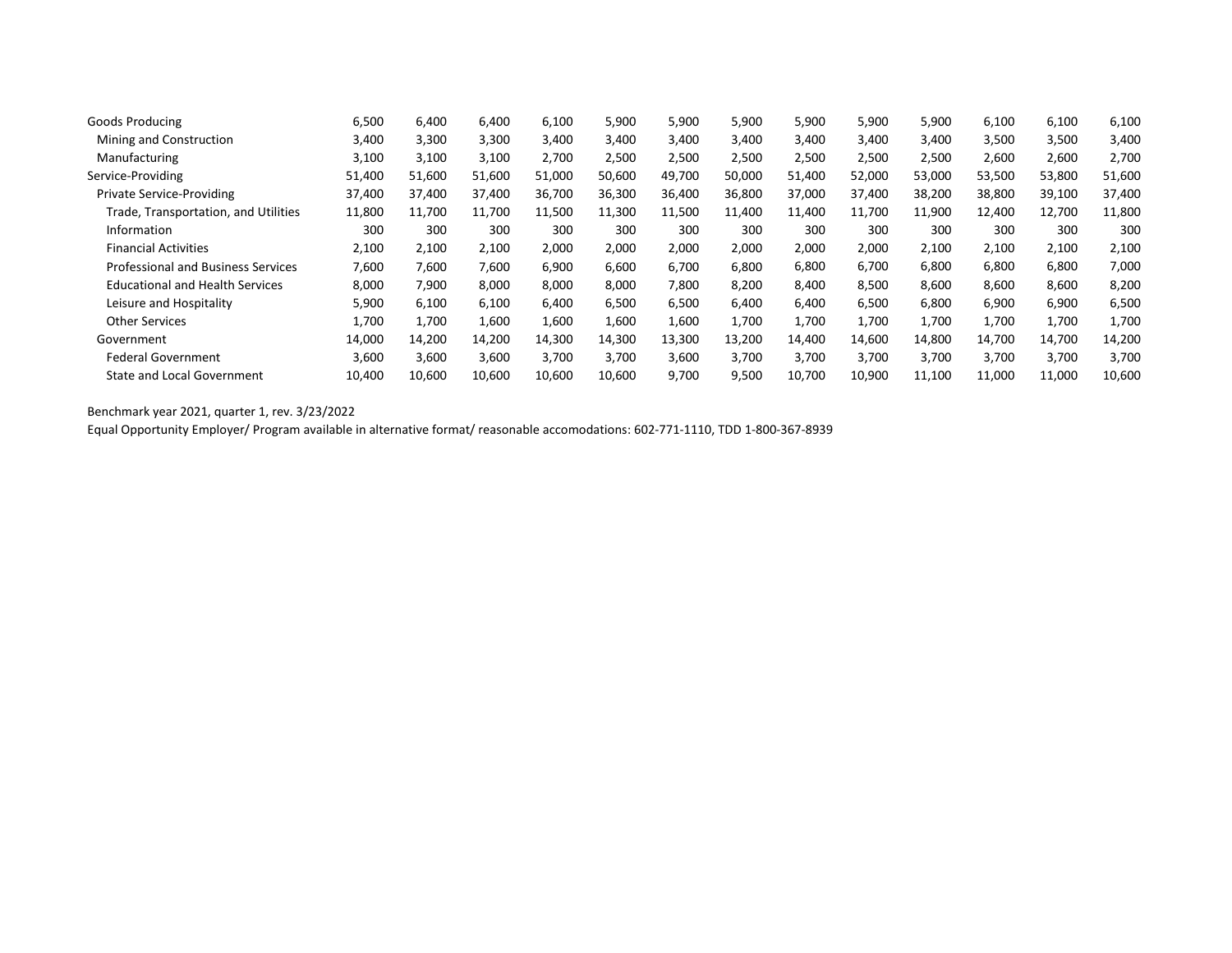| <b>Goods Producing</b>                    | 6,500  | 6,400  | 6,400  | 6,100  | 5,900  | 5,900  | 5,900  | 5,900  | 5,900  | 5,900  | 6,100  | 6,100  | 6,100  |
|-------------------------------------------|--------|--------|--------|--------|--------|--------|--------|--------|--------|--------|--------|--------|--------|
| Mining and Construction                   | 3,400  | 3,300  | 3,300  | 3,400  | 3,400  | 3,400  | 3,400  | 3,400  | 3,400  | 3,400  | 3,500  | 3,500  | 3,400  |
| Manufacturing                             | 3,100  | 3,100  | 3,100  | 2,700  | 2,500  | 2,500  | 2,500  | 2,500  | 2,500  | 2,500  | 2,600  | 2,600  | 2,700  |
| Service-Providing                         | 51,400 | 51,600 | 51,600 | 51,000 | 50,600 | 49,700 | 50,000 | 51,400 | 52,000 | 53,000 | 53,500 | 53,800 | 51,600 |
| <b>Private Service-Providing</b>          | 37,400 | 37,400 | 37,400 | 36,700 | 36,300 | 36,400 | 36,800 | 37,000 | 37,400 | 38,200 | 38,800 | 39,100 | 37,400 |
| Trade, Transportation, and Utilities      | 11,800 | 11,700 | 11,700 | 11,500 | 11,300 | 11,500 | 11,400 | 11,400 | 11,700 | 11,900 | 12,400 | 12,700 | 11,800 |
| Information                               | 300    | 300    | 300    | 300    | 300    | 300    | 300    | 300    | 300    | 300    | 300    | 300    | 300    |
| <b>Financial Activities</b>               | 2,100  | 2,100  | 2,100  | 2,000  | 2,000  | 2,000  | 2,000  | 2,000  | 2,000  | 2,100  | 2,100  | 2,100  | 2,100  |
| <b>Professional and Business Services</b> | 7,600  | 7,600  | 7,600  | 6,900  | 6,600  | 6,700  | 6,800  | 6,800  | 6,700  | 6,800  | 6,800  | 6,800  | 7,000  |
| <b>Educational and Health Services</b>    | 8.000  | 7.900  | 8,000  | 8.000  | 8,000  | 7,800  | 8,200  | 8,400  | 8,500  | 8,600  | 8,600  | 8,600  | 8,200  |
| Leisure and Hospitality                   | 5,900  | 6,100  | 6,100  | 6.400  | 6,500  | 6,500  | 6,400  | 6,400  | 6,500  | 6,800  | 6,900  | 6,900  | 6,500  |
| <b>Other Services</b>                     | 1,700  | 1,700  | 1,600  | 1,600  | 1,600  | 1,600  | 1,700  | 1,700  | 1,700  | 1,700  | 1,700  | 1,700  | 1,700  |
| Government                                | 14,000 | 14,200 | 14,200 | 14,300 | 14,300 | 13,300 | 13,200 | 14,400 | 14,600 | 14,800 | 14,700 | 14,700 | 14,200 |
| <b>Federal Government</b>                 | 3,600  | 3,600  | 3,600  | 3.700  | 3,700  | 3,600  | 3,700  | 3,700  | 3,700  | 3,700  | 3,700  | 3,700  | 3,700  |
| <b>State and Local Government</b>         | 10,400 | 10,600 | 10,600 | 10,600 | 10,600 | 9,700  | 9,500  | 10,700 | 10,900 | 11,100 | 11,000 | 11,000 | 10,600 |
|                                           |        |        |        |        |        |        |        |        |        |        |        |        |        |

Equal Opportunity Employer/ Program available in alternative format/ reasonable accomodations: 602-771-1110, TDD 1-800-367-8939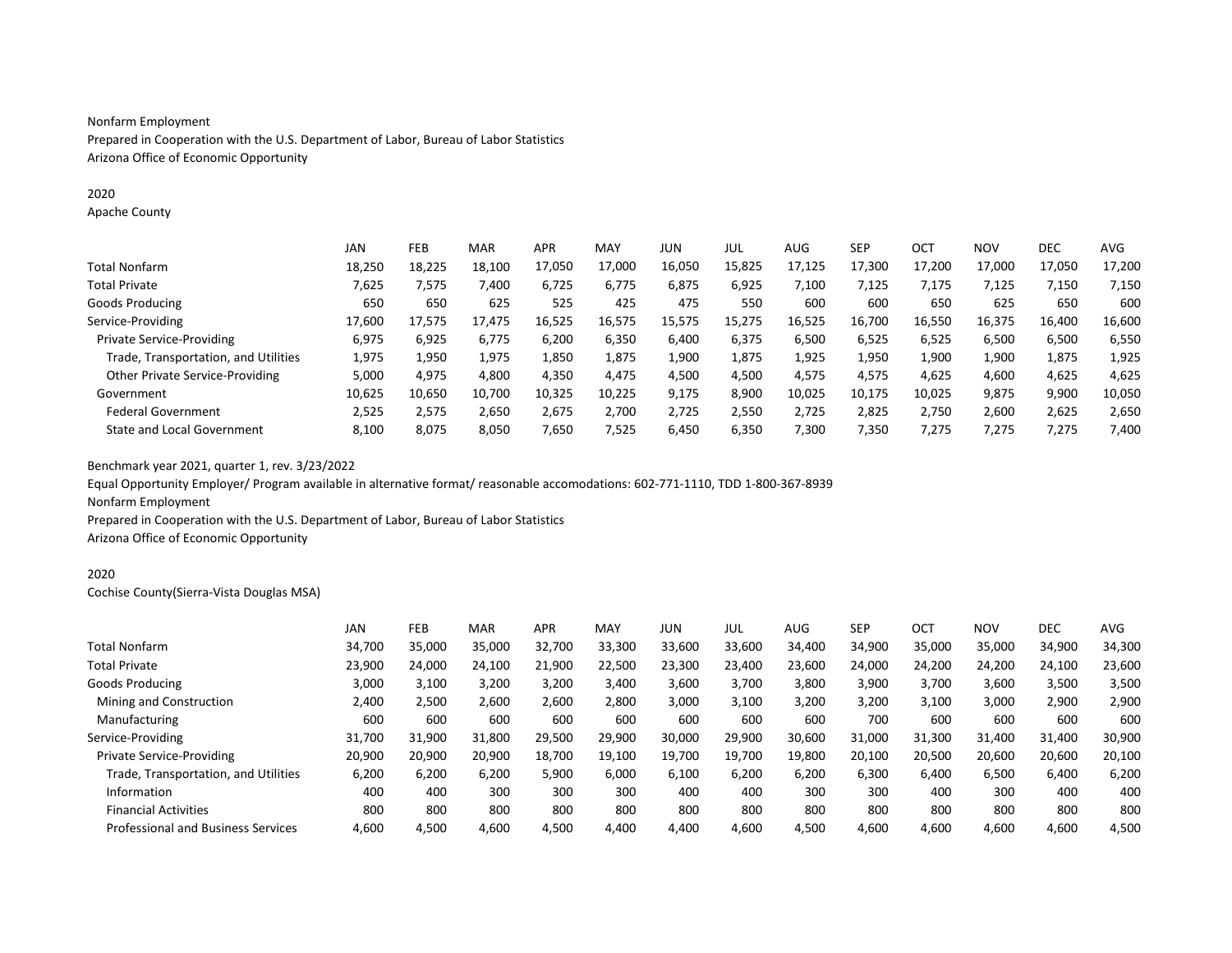### Nonfarm Employment

Prepared in Cooperation with the U.S. Department of Labor, Bureau of Labor Statistics Arizona Office of Economic Opportunity

### 2020

Apache County

|                                        | JAN    | FEB    | <b>MAR</b> | <b>APR</b> | MAY    | JUN    | JUL    | AUG    | SEP    | OC <sub>1</sub> | <b>NOV</b> | <b>DEC</b> | <b>AVG</b> |
|----------------------------------------|--------|--------|------------|------------|--------|--------|--------|--------|--------|-----------------|------------|------------|------------|
| <b>Total Nonfarm</b>                   | 18,250 | 18,225 | 18,100     | 17,050     | 17,000 | 16,050 | 15,825 | 17,125 | 17.300 | 17,200          | 17,000     | 17,050     | 17,200     |
| <b>Total Private</b>                   | 7,625  | 7,575  | 7,400      | 6,725      | 6.775  | 6,875  | 6,925  | 7,100  | 7,125  | 7.175           | 7,125      | 7,150      | 7,150      |
| Goods Producing                        | 650    | 650    | 625        | 525        | 425    | 475    | 550    | 600    | 600    | 650             | 625        | 650        | 600        |
| Service-Providing                      | 17.600 | 17,575 | 17.475     | 16,525     | 16.575 | 15,575 | 15,275 | 16,525 | 16.700 | 16,550          | 16,375     | 16,400     | 16,600     |
| <b>Private Service-Providing</b>       | 6,975  | 6,925  | 6,775      | 6,200      | 6,350  | 6,400  | 6,375  | 6,500  | 6,525  | 6,525           | 6,500      | 6,500      | 6,550      |
| Trade, Transportation, and Utilities   | 1,975  | 1,950  | 1,975      | 1,850      | 1,875  | 1,900  | 1,875  | 1,925  | 1,950  | 1,900           | 1,900      | 1,875      | 1,925      |
| <b>Other Private Service-Providing</b> | 5,000  | 4,975  | 4,800      | 4,350      | 4,475  | 4,500  | 4,500  | 4,575  | 4,575  | 4,625           | 4,600      | 4,625      | 4,625      |
| Government                             | 10.625 | 10.650 | 10.700     | 10,325     | 10.225 | 9,175  | 8,900  | 10,025 | 10.175 | 10.025          | 9,875      | 9,900      | 10,050     |
| <b>Federal Government</b>              | 2,525  | 2,575  | 2,650      | 2,675      | 2,700  | 2,725  | 2,550  | 2,725  | 2,825  | 2,750           | 2,600      | 2,625      | 2,650      |
| State and Local Government             | 8.100  | 8.075  | 8,050      | 7,650      | 7.525  | 6.450  | 6,350  | 7,300  | 7,350  | 7,275           | 7,275      | 7.275      | 7,400      |

Benchmark year 2021, quarter 1, rev. 3/23/2022

Equal Opportunity Employer/ Program available in alternative format/ reasonable accomodations: 602-771-1110, TDD 1-800-367-8939 Nonfarm Employment

Prepared in Cooperation with the U.S. Department of Labor, Bureau of Labor Statistics Arizona Office of Economic Opportunity

### 2020

Cochise County(Sierra-Vista Douglas MSA)

|                                           | JAN    | <b>FEB</b> | <b>MAR</b> | <b>APR</b> | MAY    | JUN    | JUL    | AUG    | <b>SEP</b> | <b>OCT</b> | <b>NOV</b> | <b>DEC</b> | AVG    |
|-------------------------------------------|--------|------------|------------|------------|--------|--------|--------|--------|------------|------------|------------|------------|--------|
| <b>Total Nonfarm</b>                      | 34.700 | 35,000     | 35,000     | 32,700     | 33,300 | 33,600 | 33,600 | 34,400 | 34,900     | 35,000     | 35,000     | 34,900     | 34,300 |
| <b>Total Private</b>                      | 23,900 | 24,000     | 24,100     | 21,900     | 22.500 | 23,300 | 23.400 | 23,600 | 24.000     | 24,200     | 24.200     | 24,100     | 23,600 |
| Goods Producing                           | 3,000  | 3,100      | 3,200      | 3,200      | 3,400  | 3,600  | 3,700  | 3,800  | 3,900      | 3,700      | 3,600      | 3,500      | 3,500  |
| Mining and Construction                   | 2.400  | 2,500      | 2,600      | 2,600      | 2,800  | 3,000  | 3,100  | 3,200  | 3,200      | 3,100      | 3,000      | 2,900      | 2,900  |
| Manufacturing                             | 600    | 600        | 600        | 600        | 600    | 600    | 600    | 600    | 700        | 600        | 600        | 600        | 600    |
| Service-Providing                         | 31.700 | 31,900     | 31,800     | 29,500     | 29,900 | 30,000 | 29,900 | 30,600 | 31.000     | 31,300     | 31,400     | 31,400     | 30,900 |
| Private Service-Providing                 | 20,900 | 20,900     | 20,900     | 18,700     | 19,100 | 19,700 | 19,700 | 19,800 | 20,100     | 20,500     | 20,600     | 20,600     | 20,100 |
| Trade, Transportation, and Utilities      | 6,200  | 6,200      | 6,200      | 5,900      | 6,000  | 6,100  | 6,200  | 6,200  | 6,300      | 6.400      | 6,500      | 6,400      | 6,200  |
| Information                               | 400    | 400        | 300        | 300        | 300    | 400    | 400    | 300    | 300        | 400        | 300        | 400        | 400    |
| <b>Financial Activities</b>               | 800    | 800        | 800        | 800        | 800    | 800    | 800    | 800    | 800        | 800        | 800        | 800        | 800    |
| <b>Professional and Business Services</b> | 4,600  | 4,500      | 4,600      | 4,500      | 4,400  | 4,400  | 4,600  | 4,500  | 4,600      | 4,600      | 4,600      | 4,600      | 4,500  |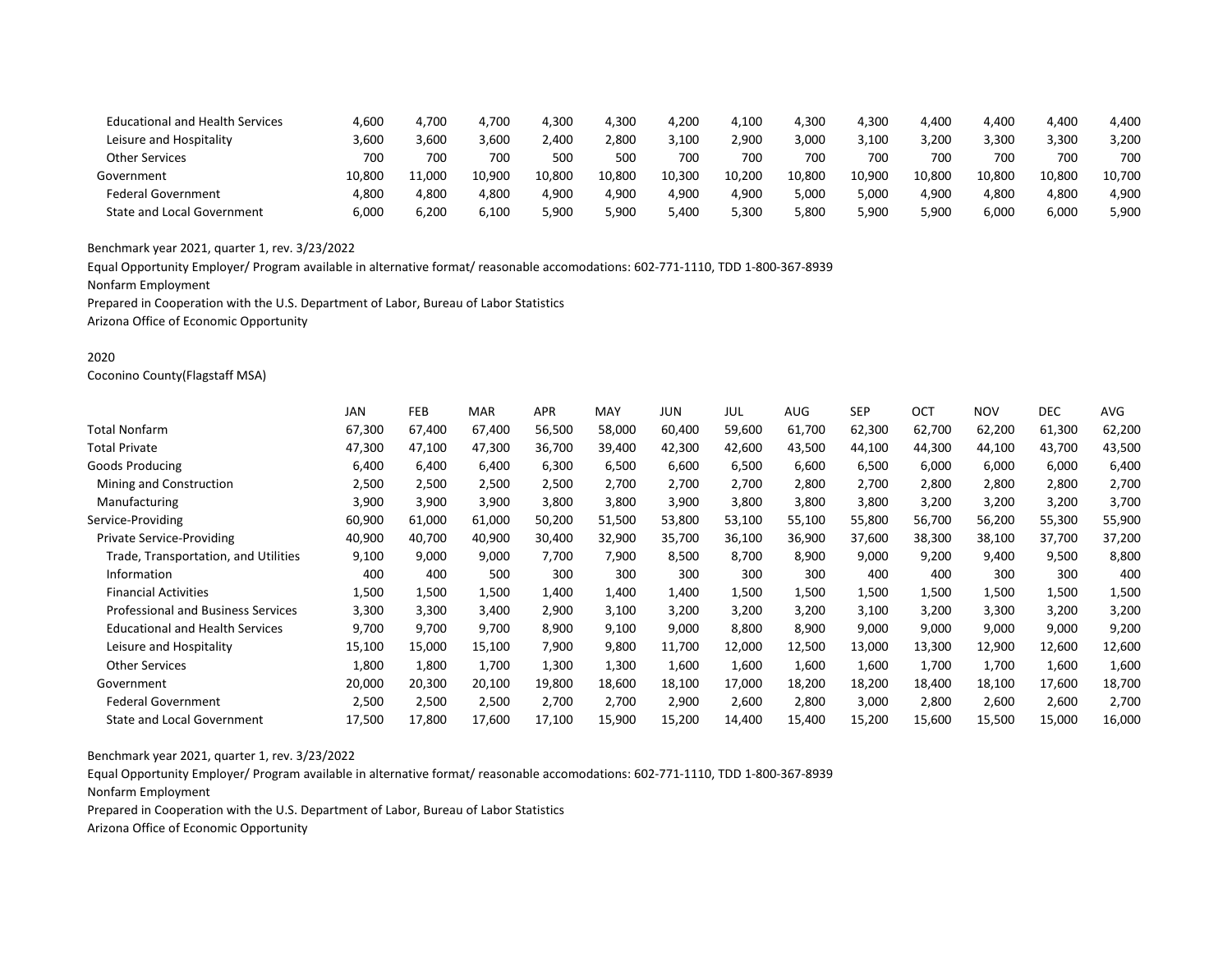| <b>Educational and Health Services</b> | 4,600  | 4,700  | 4,700  | 4,300  | 4,300  | 4,200  | 4,100  | 4,300  | 4,300  | 4,400  | 4,400  | 4.400  | 4.400  |
|----------------------------------------|--------|--------|--------|--------|--------|--------|--------|--------|--------|--------|--------|--------|--------|
| Leisure and Hospitality                | 3.600  | 3.600  | 3.600  | 2.400  | 2.800  | 3.100  | 2.900  | 3.000  | 3.100  | 3.200  | 3.300  | 3.300  | 3.200  |
| <b>Other Services</b>                  | 700    | 700    | 700    | 500    | 500    | 700    | 700    | 700    | 700    | 700    | 700    | 700    | 700    |
| Government                             | 10.800 | 11.000 | 10.900 | 10.800 | 10.800 | 10.300 | 10.200 | 10.800 | 10.900 | 10.800 | 10.800 | 10.800 | 10.700 |
| <b>Federal Government</b>              | 4.800  | 4.800  | 4.800  | 4.900  | 4.900  | 4,900  | 4.900  | 5.000  | 5.000  | 4.900  | 4,800  | 4.800  | 4.900  |
| <b>State and Local Government</b>      | 6.000  | 6.200  | 6.100  | 5,900  | 5.900  | 5.400  | 5.300  | 5.800  | 5.900  | 5,900  | 6,000  | 6.000  | 900,د  |

Equal Opportunity Employer/ Program available in alternative format/ reasonable accomodations: 602-771-1110, TDD 1-800-367-8939

Nonfarm Employment

Prepared in Cooperation with the U.S. Department of Labor, Bureau of Labor Statistics

Arizona Office of Economic Opportunity

### 2020

Coconino County(Flagstaff MSA)

|                                           | <b>JAN</b> | <b>FEB</b> | <b>MAR</b> | <b>APR</b> | MAY    | JUN    | JUL    | <b>AUG</b> | <b>SEP</b> | <b>OCT</b> | <b>NOV</b> | <b>DEC</b> | AVG    |
|-------------------------------------------|------------|------------|------------|------------|--------|--------|--------|------------|------------|------------|------------|------------|--------|
| Total Nonfarm                             | 67,300     | 67.400     | 67,400     | 56,500     | 58,000 | 60,400 | 59,600 | 61,700     | 62,300     | 62,700     | 62,200     | 61,300     | 62,200 |
| Total Private                             | 47,300     | 47,100     | 47,300     | 36,700     | 39,400 | 42,300 | 42,600 | 43,500     | 44,100     | 44,300     | 44,100     | 43,700     | 43,500 |
| Goods Producing                           | 6,400      | 6,400      | 6,400      | 6,300      | 6,500  | 6,600  | 6,500  | 6,600      | 6,500      | 6,000      | 6,000      | 6,000      | 6,400  |
| Mining and Construction                   | 2,500      | 2,500      | 2,500      | 2,500      | 2,700  | 2,700  | 2,700  | 2,800      | 2,700      | 2,800      | 2,800      | 2,800      | 2,700  |
| Manufacturing                             | 3,900      | 3,900      | 3,900      | 3,800      | 3,800  | 3,900  | 3,800  | 3,800      | 3,800      | 3,200      | 3,200      | 3,200      | 3,700  |
| Service-Providing                         | 60,900     | 61,000     | 61,000     | 50,200     | 51,500 | 53,800 | 53,100 | 55,100     | 55,800     | 56,700     | 56,200     | 55,300     | 55,900 |
| <b>Private Service-Providing</b>          | 40,900     | 40,700     | 40,900     | 30,400     | 32,900 | 35,700 | 36,100 | 36,900     | 37,600     | 38,300     | 38,100     | 37,700     | 37,200 |
| Trade, Transportation, and Utilities      | 9,100      | 9,000      | 9,000      | 7,700      | 7,900  | 8,500  | 8,700  | 8,900      | 9,000      | 9,200      | 9,400      | 9,500      | 8,800  |
| Information                               | 400        | 400        | 500        | 300        | 300    | 300    | 300    | 300        | 400        | 400        | 300        | 300        | 400    |
| <b>Financial Activities</b>               | 1,500      | 1,500      | 1,500      | 1,400      | 1,400  | 1,400  | 1,500  | 1,500      | 1,500      | 1,500      | 1,500      | 1,500      | 1,500  |
| <b>Professional and Business Services</b> | 3,300      | 3,300      | 3,400      | 2,900      | 3,100  | 3,200  | 3,200  | 3,200      | 3,100      | 3,200      | 3,300      | 3,200      | 3,200  |
| <b>Educational and Health Services</b>    | 9,700      | 9,700      | 9,700      | 8,900      | 9,100  | 9,000  | 8,800  | 8,900      | 9,000      | 9,000      | 9,000      | 9,000      | 9,200  |
| Leisure and Hospitality                   | 15,100     | 15,000     | 15,100     | 7,900      | 9,800  | 11,700 | 12,000 | 12,500     | 13,000     | 13,300     | 12,900     | 12,600     | 12,600 |
| <b>Other Services</b>                     | 1,800      | 1,800      | 1,700      | 1,300      | 1,300  | 1,600  | 1,600  | 1,600      | 1,600      | 1,700      | 1,700      | 1,600      | 1,600  |
| Government                                | 20,000     | 20,300     | 20,100     | 19,800     | 18,600 | 18,100 | 17,000 | 18,200     | 18,200     | 18,400     | 18,100     | 17,600     | 18,700 |
| <b>Federal Government</b>                 | 2,500      | 2,500      | 2,500      | 2,700      | 2,700  | 2,900  | 2,600  | 2,800      | 3,000      | 2,800      | 2,600      | 2,600      | 2,700  |
| <b>State and Local Government</b>         | 17,500     | 17,800     | 17,600     | 17,100     | 15,900 | 15,200 | 14,400 | 15,400     | 15,200     | 15,600     | 15,500     | 15,000     | 16,000 |
|                                           |            |            |            |            |        |        |        |            |            |            |            |            |        |

Benchmark year 2021, quarter 1, rev. 3/23/2022

Equal Opportunity Employer/ Program available in alternative format/ reasonable accomodations: 602-771-1110, TDD 1-800-367-8939 Nonfarm Employment

Prepared in Cooperation with the U.S. Department of Labor, Bureau of Labor Statistics

Arizona Office of Economic Opportunity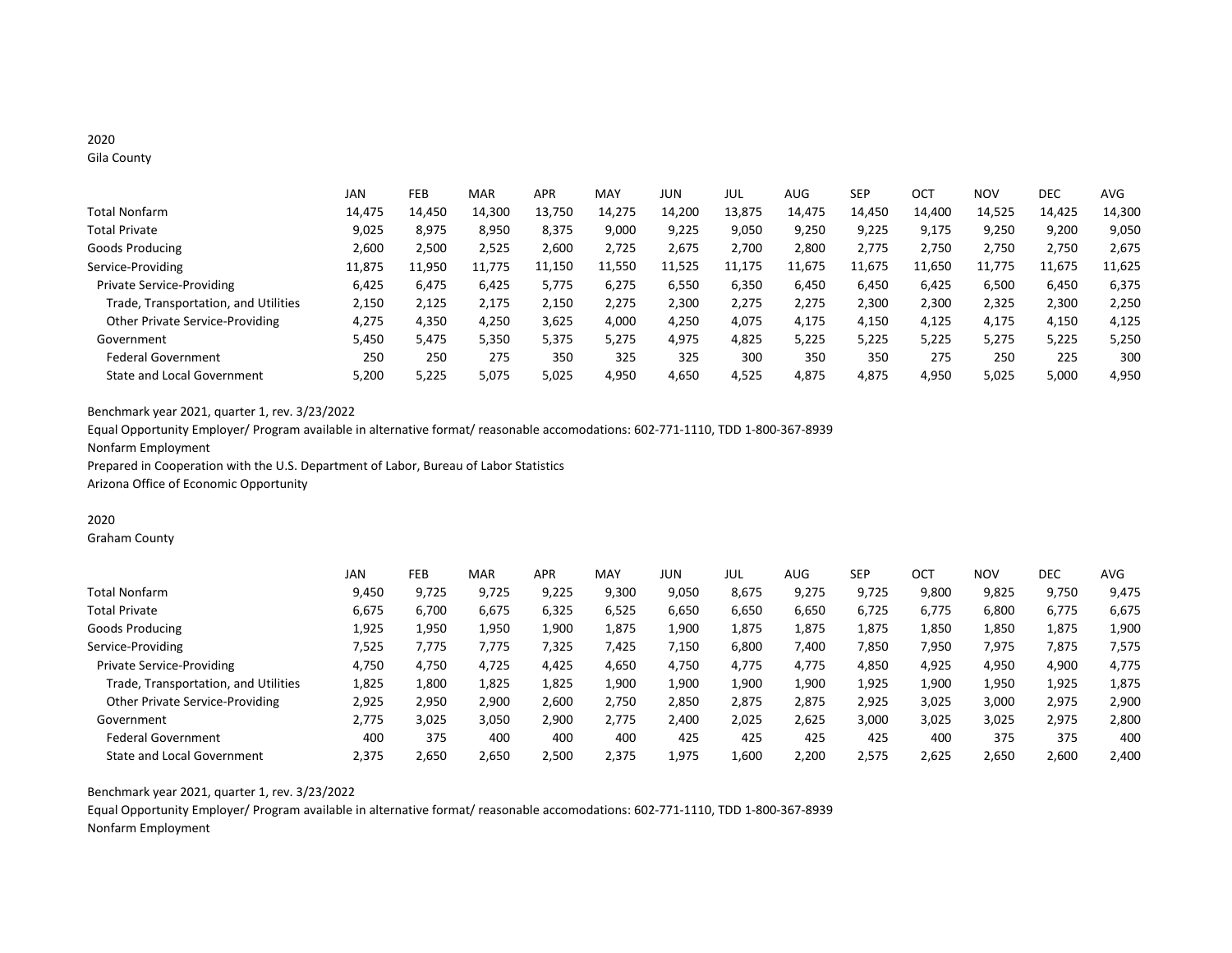# 2020

Gila County

|                                      | JAN    | FEB    | <b>MAR</b> | <b>APR</b> | MAY    | <b>JUN</b> | JUL    | <b>AUG</b> | <b>SEP</b> | OCT    | <b>NOV</b> | <b>DEC</b> | AVG    |
|--------------------------------------|--------|--------|------------|------------|--------|------------|--------|------------|------------|--------|------------|------------|--------|
| Total Nonfarm                        | 14,475 | 14,450 | 14,300     | 13,750     | 14,275 | 14,200     | 13,875 | 14,475     | 14,450     | 14,400 | 14,525     | 14,425     | 14,300 |
| <b>Total Private</b>                 | 9.025  | 8,975  | 8,950      | 8,375      | 9,000  | 9,225      | 9,050  | 9,250      | 9,225      | 9,175  | 9,250      | 9,200      | 9,050  |
| Goods Producing                      | 2,600  | 2,500  | 2,525      | 2.600      | 2.725  | 2.675      | 2.700  | 2,800      | 2.775      | 2.750  | 2.750      | 2.750      | 2,675  |
| Service-Providing                    | 11,875 | 11,950 | 11,775     | 11,150     | 11,550 | 11,525     | 11,175 | 11,675     | 11,675     | 11,650 | 11,775     | 11,675     | 11,625 |
| <b>Private Service-Providing</b>     | 6.425  | 6.475  | 6,425      | 5.775      | 6,275  | 6,550      | 6,350  | 6.450      | 6,450      | 6.425  | 6,500      | 6,450      | 6,375  |
| Trade, Transportation, and Utilities | 2,150  | 2,125  | 2,175      | 2,150      | 2,275  | 2,300      | 2,275  | 2,275      | 2,300      | 2,300  | 2,325      | 2,300      | 2,250  |
| Other Private Service-Providing      | 4,275  | 4,350  | 4,250      | 3,625      | 4,000  | 4,250      | 4,075  | 4,175      | 4,150      | 4,125  | 4,175      | 4,150      | 4,125  |
| Government                           | 5,450  | 5,475  | 5,350      | 5,375      | 5,275  | 4,975      | 4,825  | 5,225      | 5,225      | 5,225  | 5,275      | 5,225      | 5,250  |
| <b>Federal Government</b>            | 250    | 250    | 275        | 350        | 325    | 325        | 300    | 350        | 350        | 275    | 250        | 225        | 300    |
| <b>State and Local Government</b>    | 5.200  | 5,225  | 5,075      | 5,025      | 4,950  | 4,650      | 4,525  | 4,875      | 4,875      | 4,950  | 5,025      | 5,000      | 4,950  |

Benchmark year 2021, quarter 1, rev. 3/23/2022

Equal Opportunity Employer/ Program available in alternative format/ reasonable accomodations: 602-771-1110, TDD 1-800-367-8939 Nonfarm Employment Prepared in Cooperation with the U.S. Department of Labor, Bureau of Labor Statistics

Arizona Office of Economic Opportunity

### 2020

Graham County

|                                        | JAN   | FEB   | <b>MAR</b> | <b>APR</b> | MAY   | JUN   | JUL   | AUG   | <b>SEP</b> | OCT   | <b>NOV</b> | <b>DEC</b> | <b>AVG</b> |
|----------------------------------------|-------|-------|------------|------------|-------|-------|-------|-------|------------|-------|------------|------------|------------|
| <b>Total Nonfarm</b>                   | 9.450 | 9.725 | 9,725      | 9,225      | 9,300 | 9,050 | 8,675 | 9,275 | 9,725      | 9,800 | 9,825      | 9,750      | 9,475      |
| <b>Total Private</b>                   | 6,675 | 6,700 | 6,675      | 6,325      | 6,525 | 6,650 | 6,650 | 6,650 | 6,725      | 6,775 | 6,800      | 6,775      | 6,675      |
| Goods Producing                        | 1,925 | 1,950 | 1,950      | 1,900      | 1,875 | 1,900 | 1,875 | 1,875 | 1,875      | 1,850 | 1,850      | 1,875      | 1,900      |
| Service-Providing                      | 7,525 | 7,775 | 7,775      | 7,325      | 7,425 | 7,150 | 6,800 | 7,400 | 7,850      | 7,950 | 7,975      | 7,875      | 7,575      |
| <b>Private Service-Providing</b>       | 4,750 | 4,750 | 4.725      | 4.425      | 4,650 | 4,750 | 4,775 | 4,775 | 4,850      | 4,925 | 4,950      | 4,900      | 4,775      |
| Trade, Transportation, and Utilities   | 1,825 | 1,800 | 1,825      | 1,825      | 1,900 | 1,900 | 1,900 | 1,900 | 1,925      | 1,900 | 1,950      | 1,925      | 1,875      |
| <b>Other Private Service-Providing</b> | 2,925 | 2,950 | 2,900      | 2,600      | 2,750 | 2,850 | 2,875 | 2,875 | 2,925      | 3,025 | 3,000      | 2,975      | 2,900      |
| Government                             | 2.775 | 3,025 | 3,050      | 2.900      | 2,775 | 2.400 | 2,025 | 2,625 | 3,000      | 3,025 | 3,025      | 2,975      | 2,800      |
| <b>Federal Government</b>              | 400   | 375   | 400        | 400        | 400   | 425   | 425   | 425   | 425        | 400   | 375        | 375        | 400        |
| State and Local Government             | 2.375 | 2,650 | 2,650      | 2,500      | 2.375 | 1.975 | 1,600 | 2,200 | 2,575      | 2.625 | 2,650      | 2,600      | 2,400      |

Benchmark year 2021, quarter 1, rev. 3/23/2022

Equal Opportunity Employer/ Program available in alternative format/ reasonable accomodations: 602-771-1110, TDD 1-800-367-8939 Nonfarm Employment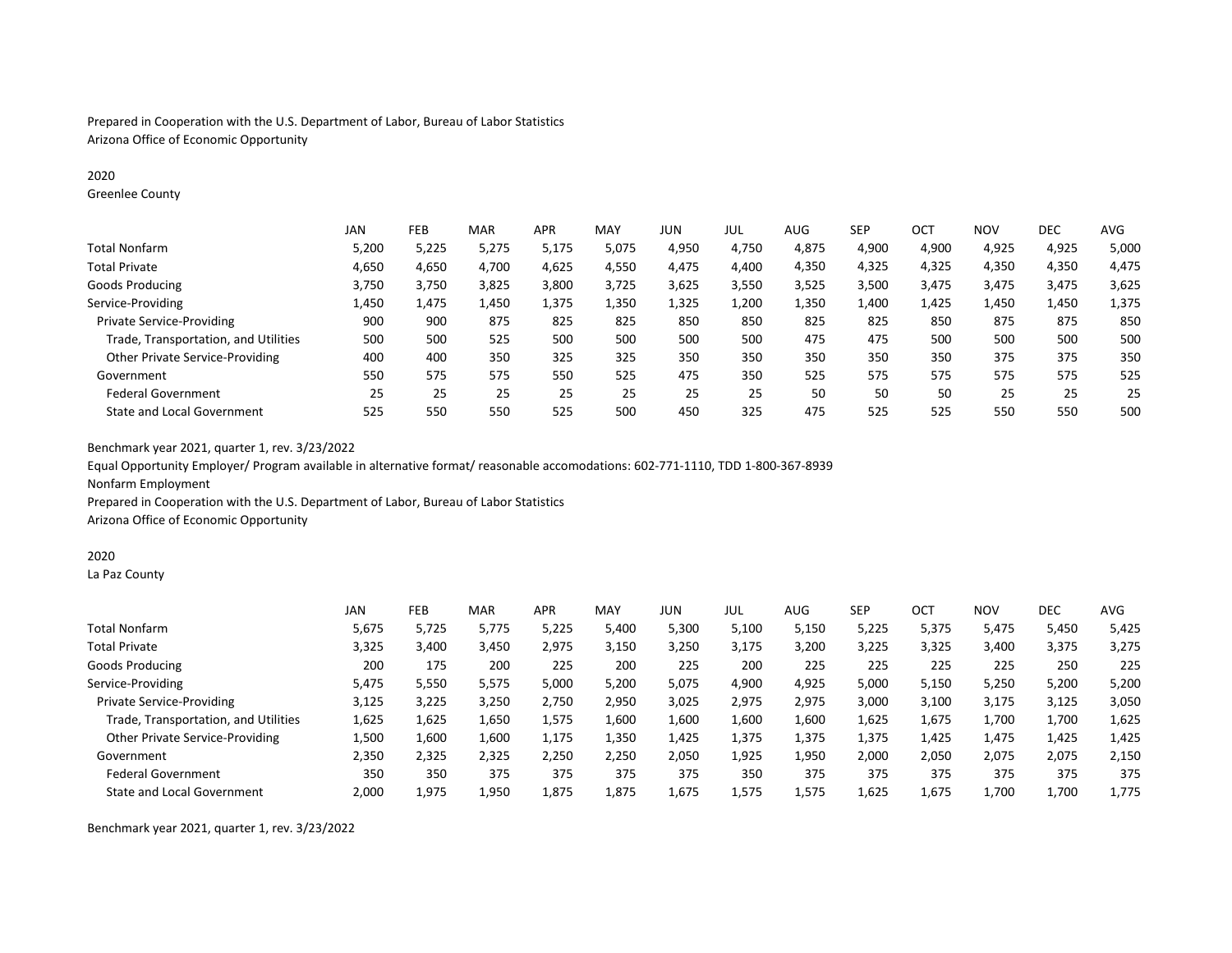Prepared in Cooperation with the U.S. Department of Labor, Bureau of Labor Statistics Arizona Office of Economic Opportunity

### 2020

Greenlee County

|                                        | JAN   | FEB   | <b>MAR</b> | <b>APR</b> | <b>MAY</b> | JUN   | JUL   | AUG   | <b>SEP</b> | ост   | <b>NOV</b> | <b>DEC</b> | <b>AVG</b> |
|----------------------------------------|-------|-------|------------|------------|------------|-------|-------|-------|------------|-------|------------|------------|------------|
| <b>Total Nonfarm</b>                   | 5,200 | 5,225 | 5,275      | 5,175      | 5,075      | 4,950 | 4,750 | 4,875 | 4,900      | 4,900 | 4,925      | 4,925      | 5,000      |
| <b>Total Private</b>                   | 4,650 | 4,650 | 4,700      | 4,625      | 4,550      | 4,475 | 4,400 | 4,350 | 4,325      | 4,325 | 4,350      | 4,350      | 4,475      |
| Goods Producing                        | 3,750 | 3,750 | 3,825      | 3,800      | 3,725      | 3,625 | 3,550 | 3,525 | 3,500      | 3,475 | 3,475      | 3,475      | 3,625      |
| Service-Providing                      | 1,450 | 1.475 | 1,450      | 1,375      | 1,350      | 1,325 | 1,200 | 1,350 | 1,400      | 1,425 | 1,450      | 1,450      | 1,375      |
| <b>Private Service-Providing</b>       | 900   | 900   | 875        | 825        | 825        | 850   | 850   | 825   | 825        | 850   | 875        | 875        | 850        |
| Trade, Transportation, and Utilities   | 500   | 500   | 525        | 500        | 500        | 500   | 500   | 475   | 475        | 500   | 500        | 500        | 500        |
| <b>Other Private Service-Providing</b> | 400   | 400   | 350        | 325        | 325        | 350   | 350   | 350   | 350        | 350   | 375        | 375        | 350        |
| Government                             | 550   | 575   | 575        | 550        | 525        | 475   | 350   | 525   | 575        | 575   | 575        | 575        | 525        |
| <b>Federal Government</b>              | 25    | 25    | 25         | 25         | 25         | 25    | 25    | 50    | 50         | 50    | 25         | 25         | 25         |
| <b>State and Local Government</b>      | 525   | 550   | 550        | 525        | 500        | 450   | 325   | 475   | 525        | 525   | 550        | 550        | 500        |

Benchmark year 2021, quarter 1, rev. 3/23/2022

Equal Opportunity Employer/ Program available in alternative format/ reasonable accomodations: 602-771-1110, TDD 1-800-367-8939 Nonfarm Employment

Prepared in Cooperation with the U.S. Department of Labor, Bureau of Labor Statistics

Arizona Office of Economic Opportunity

#### 2020

La Paz County

|                                      | JAN   | FEB   | <b>MAR</b> | <b>APR</b> | MAY   | <b>JUN</b> | JUL   | AUG   | <b>SEP</b> | OCT   | NOV   | <b>DEC</b> | AVG   |
|--------------------------------------|-------|-------|------------|------------|-------|------------|-------|-------|------------|-------|-------|------------|-------|
| <b>Total Nonfarm</b>                 | 5,675 | 5.725 | 5,775      | 5,225      | 5,400 | 5,300      | 5,100 | 5,150 | 5,225      | 5.375 | 5,475 | 5,450      | 5,425 |
| <b>Total Private</b>                 | 3,325 | 3,400 | 3,450      | 2,975      | 3,150 | 3,250      | 3,175 | 3,200 | 3,225      | 3,325 | 3,400 | 3,375      | 3,275 |
| Goods Producing                      | 200   | 175   | 200        | 225        | 200   | 225        | 200   | 225   | 225        | 225   | 225   | 250        | 225   |
| Service-Providing                    | 5,475 | 5,550 | 5,575      | 5,000      | 5,200 | 5,075      | 4,900 | 4,925 | 5,000      | 5,150 | 5,250 | 5,200      | 5,200 |
| <b>Private Service-Providing</b>     | 3,125 | 3,225 | 3,250      | 2,750      | 2,950 | 3,025      | 2,975 | 2,975 | 3,000      | 3,100 | 3,175 | 3,125      | 3,050 |
| Trade, Transportation, and Utilities | 1,625 | 1,625 | 1,650      | 1,575      | 1,600 | 1,600      | 1,600 | 1,600 | 1,625      | 1,675 | 1,700 | 1,700      | 1,625 |
| Other Private Service-Providing      | 1,500 | 1,600 | 1,600      | 1,175      | 1,350 | 1,425      | 1,375 | 1,375 | 1,375      | 1,425 | 1,475 | 1,425      | 1,425 |
| Government                           | 2,350 | 2,325 | 2,325      | 2,250      | 2,250 | 2,050      | 1,925 | 1,950 | 2,000      | 2,050 | 2,075 | 2,075      | 2,150 |
| <b>Federal Government</b>            | 350   | 350   | 375        | 375        | 375   | 375        | 350   | 375   | 375        | 375   | 375   | 375        | 375   |
| <b>State and Local Government</b>    | 2.000 | 1,975 | 1,950      | 1,875      | 1,875 | 1,675      | 1,575 | 1,575 | 1,625      | 1,675 | 1.700 | 1,700      | 1,775 |

Benchmark year 2021, quarter 1, rev. 3/23/2022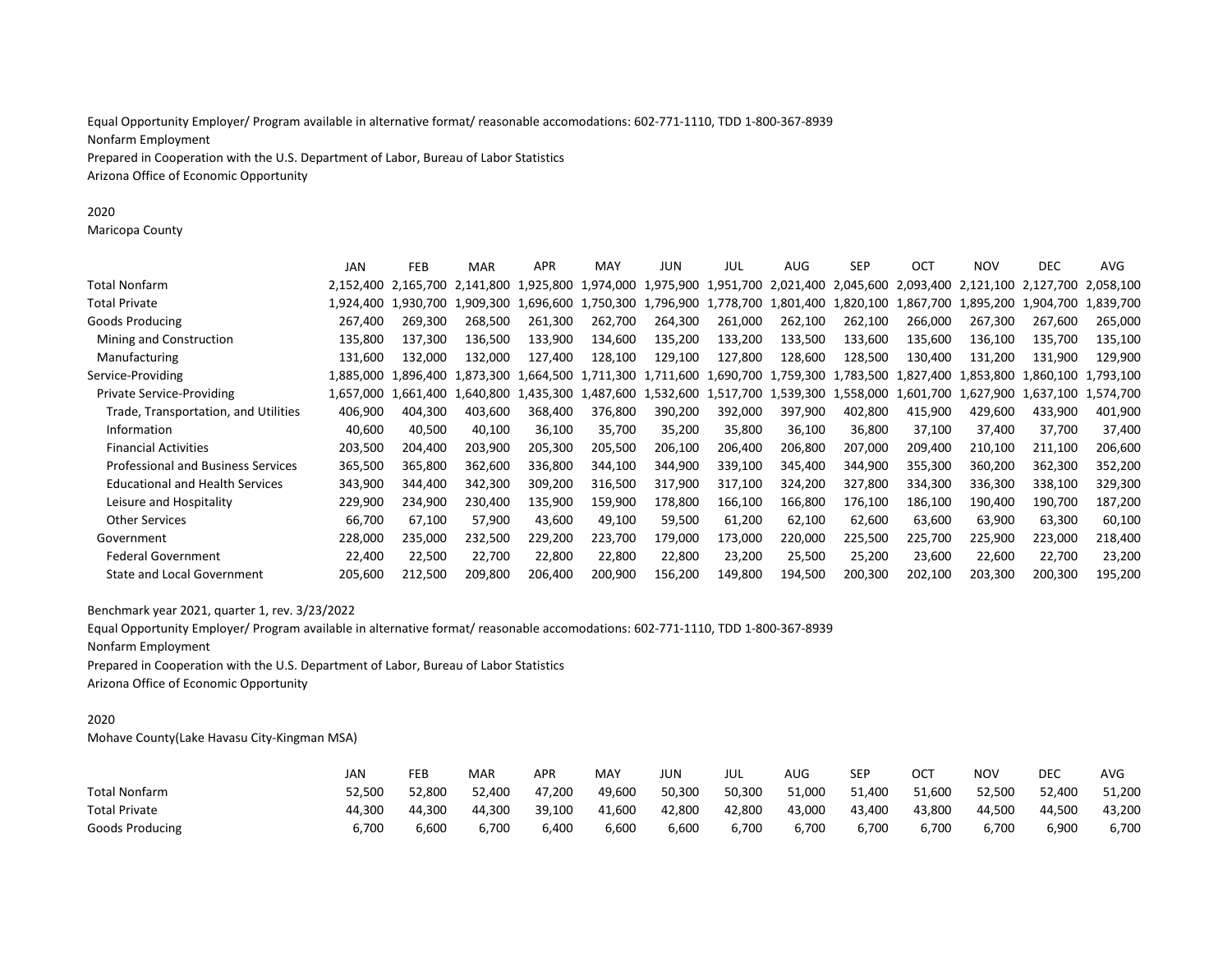Equal Opportunity Employer/ Program available in alternative format/ reasonable accomodations: 602-771-1110, TDD 1-800-367-8939 Nonfarm Employment Prepared in Cooperation with the U.S. Department of Labor, Bureau of Labor Statistics Arizona Office of Economic Opportunity

2020

Maricopa County

|                                           | JAN       | FEB       | <b>MAR</b> | <b>APR</b> | MAY       | JUN       | JUL       | AUG     | <b>SEP</b> | OCT                           | <b>NOV</b>                                                            | <b>DEC</b>                                                                                | <b>AVG</b> |
|-------------------------------------------|-----------|-----------|------------|------------|-----------|-----------|-----------|---------|------------|-------------------------------|-----------------------------------------------------------------------|-------------------------------------------------------------------------------------------|------------|
| Total Nonfarm                             | 2.152.400 | 2.165.700 | 2.141.800  | 1.925.800  |           |           |           |         |            |                               |                                                                       | 1,974,000 1,975,900 1,951,700 2,021,400 2,045,600 2,093,400 2,121,100 2,127,700 2,058,100 |            |
| Total Private                             | 1,924,400 | 1.930.700 | 1,909,300  | 1.696.600  |           |           |           |         |            |                               |                                                                       | 1,750,300 1,796,900 1,778,700 1,801,400 1,820,100 1,867,700 1,895,200 1,904,700 1,839,700 |            |
| Goods Producing                           | 267,400   | 269,300   | 268.500    | 261,300    | 262,700   | 264,300   | 261,000   | 262,100 | 262,100    | 266,000                       | 267,300                                                               | 267,600                                                                                   | 265,000    |
| Mining and Construction                   | 135,800   | 137,300   | 136,500    | 133,900    | 134,600   | 135,200   | 133,200   | 133,500 | 133,600    | 135,600                       | 136,100                                                               | 135,700                                                                                   | 135,100    |
| Manufacturing                             | 131,600   | 132.000   | 132,000    | 127,400    | 128,100   | 129,100   | 127,800   | 128,600 | 128,500    | 130,400                       | 131,200                                                               | 131,900                                                                                   | 129,900    |
| Service-Providing                         | 1.885.000 | 1.896.400 | 1.873.300  | 1.664.500  |           |           |           |         |            |                               | 1.711.300 1.711.600 1.690.700 1.759.300 1.783.500 1.827.400 1.853.800 | 1,860,100 1,793,100                                                                       |            |
| <b>Private Service-Providing</b>          | 1.657.000 | 1.661.400 | ,640,800   | 1.435.300  | 1.487.600 | 1,532,600 | 1,517,700 |         |            | 1,539,300 1,558,000 1,601,700 | 1.627.900                                                             | 1.637.100 1.574.700                                                                       |            |
| Trade, Transportation, and Utilities      | 406,900   | 404.300   | 403.600    | 368,400    | 376,800   | 390,200   | 392,000   | 397,900 | 402,800    | 415,900                       | 429,600                                                               | 433,900                                                                                   | 401,900    |
| Information                               | 40,600    | 40,500    | 40,100     | 36,100     | 35,700    | 35,200    | 35,800    | 36,100  | 36,800     | 37,100                        | 37,400                                                                | 37,700                                                                                    | 37,400     |
| <b>Financial Activities</b>               | 203,500   | 204,400   | 203,900    | 205,300    | 205,500   | 206,100   | 206,400   | 206,800 | 207,000    | 209,400                       | 210,100                                                               | 211,100                                                                                   | 206,600    |
| <b>Professional and Business Services</b> | 365,500   | 365,800   | 362,600    | 336,800    | 344,100   | 344,900   | 339,100   | 345,400 | 344,900    | 355,300                       | 360,200                                                               | 362,300                                                                                   | 352,200    |
| <b>Educational and Health Services</b>    | 343,900   | 344,400   | 342,300    | 309,200    | 316,500   | 317,900   | 317,100   | 324,200 | 327,800    | 334,300                       | 336,300                                                               | 338,100                                                                                   | 329,300    |
| Leisure and Hospitality                   | 229,900   | 234,900   | 230,400    | 135,900    | 159,900   | 178,800   | 166,100   | 166,800 | 176,100    | 186,100                       | 190,400                                                               | 190,700                                                                                   | 187,200    |
| <b>Other Services</b>                     | 66,700    | 67,100    | 57,900     | 43,600     | 49,100    | 59,500    | 61,200    | 62,100  | 62,600     | 63,600                        | 63,900                                                                | 63,300                                                                                    | 60,100     |
| Government                                | 228,000   | 235,000   | 232,500    | 229,200    | 223,700   | 179,000   | 173,000   | 220,000 | 225,500    | 225,700                       | 225,900                                                               | 223,000                                                                                   | 218,400    |
| <b>Federal Government</b>                 | 22,400    | 22,500    | 22,700     | 22,800     | 22,800    | 22,800    | 23,200    | 25,500  | 25,200     | 23,600                        | 22,600                                                                | 22,700                                                                                    | 23,200     |
| <b>State and Local Government</b>         | 205,600   | 212,500   | 209.800    | 206,400    | 200,900   | 156,200   | 149,800   | 194,500 | 200,300    | 202,100                       | 203,300                                                               | 200,300                                                                                   | 195,200    |
|                                           |           |           |            |            |           |           |           |         |            |                               |                                                                       |                                                                                           |            |

Benchmark year 2021, quarter 1, rev. 3/23/2022

Equal Opportunity Employer/ Program available in alternative format/ reasonable accomodations: 602-771-1110, TDD 1-800-367-8939 Nonfarm Employment

Prepared in Cooperation with the U.S. Department of Labor, Bureau of Labor Statistics Arizona Office of Economic Opportunity

### 2020

Mohave County(Lake Havasu City-Kingman MSA)

|                        | JAN    | FEB    | MAR    | APR    | MAY    | JUN    | JUL    | AUG    | SEF    | ост    | <b>NOV</b> | DEC    | <b>AVG</b> |
|------------------------|--------|--------|--------|--------|--------|--------|--------|--------|--------|--------|------------|--------|------------|
| <b>Total Nonfarm</b>   | 52.500 | 52.800 | 52.400 | 47.200 | 49.600 | 50,300 | 50.300 | 51,000 | 51.400 | 51,600 | 52.500     | 52,400 | 51,200     |
| <b>Total Private</b>   | 44.300 | 44.300 | 44.300 | 39.100 | 41,600 | 42,800 | 42,800 | 43,000 | 43,400 | 43,800 | 44.500     | 44,500 | 43,200     |
| <b>Goods Producing</b> | 6,700  | 6,600  | 6,700  | 6,400  | 6,600  | 6,600  | 6,700  | 6,700  | 6,700  | 6,700  | 6,700      | 6,900  | 6,700      |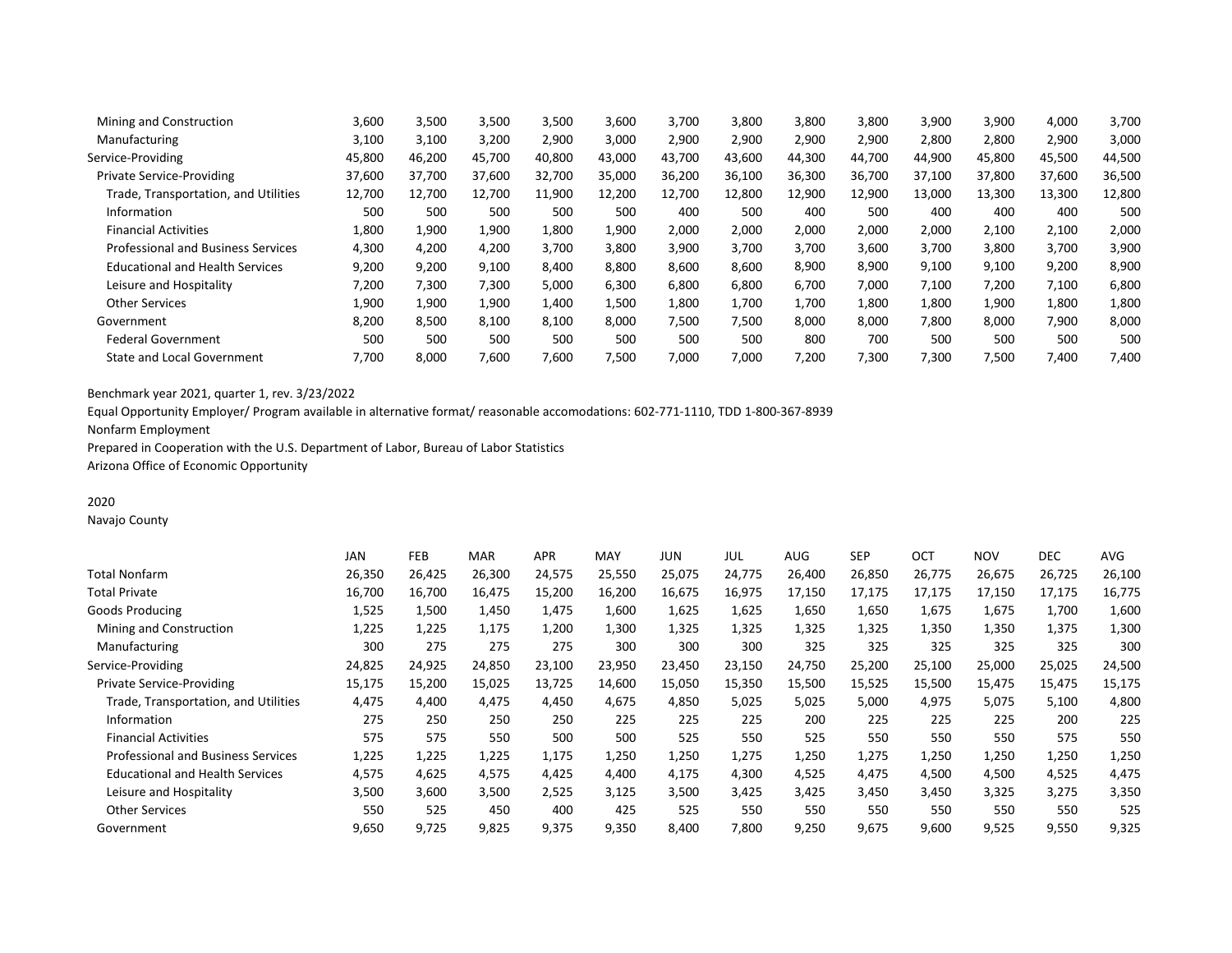| Mining and Construction                   | 3,600  | 3,500  | 3,500  | 3,500  | 3,600  | 3,700  | 3,800  | 3,800  | 3,800  | 3,900  | 3,900  | 4,000  | 3,700  |
|-------------------------------------------|--------|--------|--------|--------|--------|--------|--------|--------|--------|--------|--------|--------|--------|
| Manufacturing                             | 3,100  | 3,100  | 3,200  | 2,900  | 3.000  | 2,900  | 2,900  | 2,900  | 2,900  | 2,800  | 2,800  | 2,900  | 3,000  |
| Service-Providing                         | 45,800 | 46,200 | 45,700 | 40,800 | 43,000 | 43,700 | 43,600 | 44,300 | 44,700 | 44,900 | 45,800 | 45,500 | 44,500 |
| <b>Private Service-Providing</b>          | 37,600 | 37.700 | 37,600 | 32,700 | 35,000 | 36,200 | 36,100 | 36,300 | 36,700 | 37,100 | 37,800 | 37,600 | 36,500 |
| Trade, Transportation, and Utilities      | 12,700 | 12,700 | 12,700 | 11,900 | 12,200 | 12,700 | 12,800 | 12,900 | 12.900 | 13,000 | 13,300 | 13,300 | 12,800 |
| Information                               | 500    | 500    | 500    | 500    | 500    | 400    | 500    | 400    | 500    | 400    | 400    | 400    | 500    |
| <b>Financial Activities</b>               | 1,800  | 1,900  | 1,900  | 1,800  | 1,900  | 2,000  | 2,000  | 2,000  | 2,000  | 2,000  | 2,100  | 2,100  | 2,000  |
| <b>Professional and Business Services</b> | 4,300  | 4,200  | 4,200  | 3,700  | 3,800  | 3,900  | 3,700  | 3,700  | 3,600  | 3,700  | 3,800  | 3,700  | 3,900  |
| <b>Educational and Health Services</b>    | 9,200  | 9,200  | 9,100  | 8,400  | 8,800  | 8,600  | 8,600  | 8,900  | 8,900  | 9,100  | 9,100  | 9,200  | 8,900  |
| Leisure and Hospitality                   | 7,200  | 7,300  | 7,300  | 5,000  | 6,300  | 6,800  | 6,800  | 6,700  | 7,000  | 7,100  | 7,200  | 7,100  | 6,800  |
| <b>Other Services</b>                     | 1,900  | 1,900  | 1,900  | 1,400  | 1,500  | 1,800  | 1,700  | 1,700  | 1,800  | 1,800  | 1,900  | 1,800  | 1,800  |
| Government                                | 8,200  | 8,500  | 8,100  | 8,100  | 8,000  | 7,500  | 7,500  | 8,000  | 8,000  | 7,800  | 8,000  | 7,900  | 8,000  |
| <b>Federal Government</b>                 | 500    | 500    | 500    | 500    | 500    | 500    | 500    | 800    | 700    | 500    | 500    | 500    | 500    |
| State and Local Government                | 7,700  | 8,000  | 7,600  | 7,600  | 7,500  | 7,000  | 7,000  | 7,200  | 7,300  | 7,300  | 7,500  | 7,400  | 7,400  |
|                                           |        |        |        |        |        |        |        |        |        |        |        |        |        |

Equal Opportunity Employer/ Program available in alternative format/ reasonable accomodations: 602-771-1110, TDD 1-800-367-8939

Nonfarm Employment

Prepared in Cooperation with the U.S. Department of Labor, Bureau of Labor Statistics

Arizona Office of Economic Opportunity

# 2020

Navajo County

|                                           | JAN    | <b>FEB</b> | <b>MAR</b> | <b>APR</b> | MAY    | JUN    | JUL    | AUG    | <b>SEP</b> | OCT    | <b>NOV</b> | <b>DEC</b> | <b>AVG</b> |
|-------------------------------------------|--------|------------|------------|------------|--------|--------|--------|--------|------------|--------|------------|------------|------------|
| Total Nonfarm                             | 26,350 | 26,425     | 26,300     | 24,575     | 25,550 | 25,075 | 24,775 | 26,400 | 26,850     | 26,775 | 26,675     | 26,725     | 26,100     |
| Total Private                             | 16,700 | 16,700     | 16,475     | 15,200     | 16,200 | 16,675 | 16,975 | 17,150 | 17,175     | 17,175 | 17,150     | 17,175     | 16,775     |
| Goods Producing                           | 1,525  | 1,500      | 1,450      | 1,475      | 1,600  | 1,625  | 1,625  | 1,650  | 1,650      | 1,675  | 1,675      | 1,700      | 1,600      |
| Mining and Construction                   | 1,225  | 1,225      | 1,175      | 1,200      | 1,300  | 1,325  | 1,325  | 1,325  | 1,325      | 1,350  | 1,350      | 1,375      | 1,300      |
| Manufacturing                             | 300    | 275        | 275        | 275        | 300    | 300    | 300    | 325    | 325        | 325    | 325        | 325        | 300        |
| Service-Providing                         | 24,825 | 24,925     | 24,850     | 23,100     | 23,950 | 23,450 | 23,150 | 24,750 | 25,200     | 25,100 | 25,000     | 25,025     | 24,500     |
| <b>Private Service-Providing</b>          | 15,175 | 15,200     | 15,025     | 13,725     | 14,600 | 15,050 | 15,350 | 15,500 | 15,525     | 15,500 | 15,475     | 15,475     | 15,175     |
| Trade, Transportation, and Utilities      | 4,475  | 4,400      | 4,475      | 4,450      | 4,675  | 4,850  | 5,025  | 5,025  | 5,000      | 4,975  | 5,075      | 5,100      | 4,800      |
| Information                               | 275    | 250        | 250        | 250        | 225    | 225    | 225    | 200    | 225        | 225    | 225        | 200        | 225        |
| <b>Financial Activities</b>               | 575    | 575        | 550        | 500        | 500    | 525    | 550    | 525    | 550        | 550    | 550        | 575        | 550        |
| <b>Professional and Business Services</b> | 1,225  | 1,225      | 1,225      | 1,175      | 1,250  | 1,250  | 1,275  | 1,250  | 1,275      | 1,250  | 1,250      | 1,250      | 1,250      |
| <b>Educational and Health Services</b>    | 4,575  | 4,625      | 4,575      | 4,425      | 4,400  | 4,175  | 4,300  | 4,525  | 4,475      | 4,500  | 4,500      | 4,525      | 4,475      |
| Leisure and Hospitality                   | 3,500  | 3,600      | 3,500      | 2,525      | 3,125  | 3,500  | 3,425  | 3,425  | 3,450      | 3,450  | 3,325      | 3,275      | 3,350      |
| <b>Other Services</b>                     | 550    | 525        | 450        | 400        | 425    | 525    | 550    | 550    | 550        | 550    | 550        | 550        | 525        |
| Government                                | 9,650  | 9,725      | 9,825      | 9,375      | 9,350  | 8,400  | 7,800  | 9,250  | 9,675      | 9,600  | 9,525      | 9,550      | 9,325      |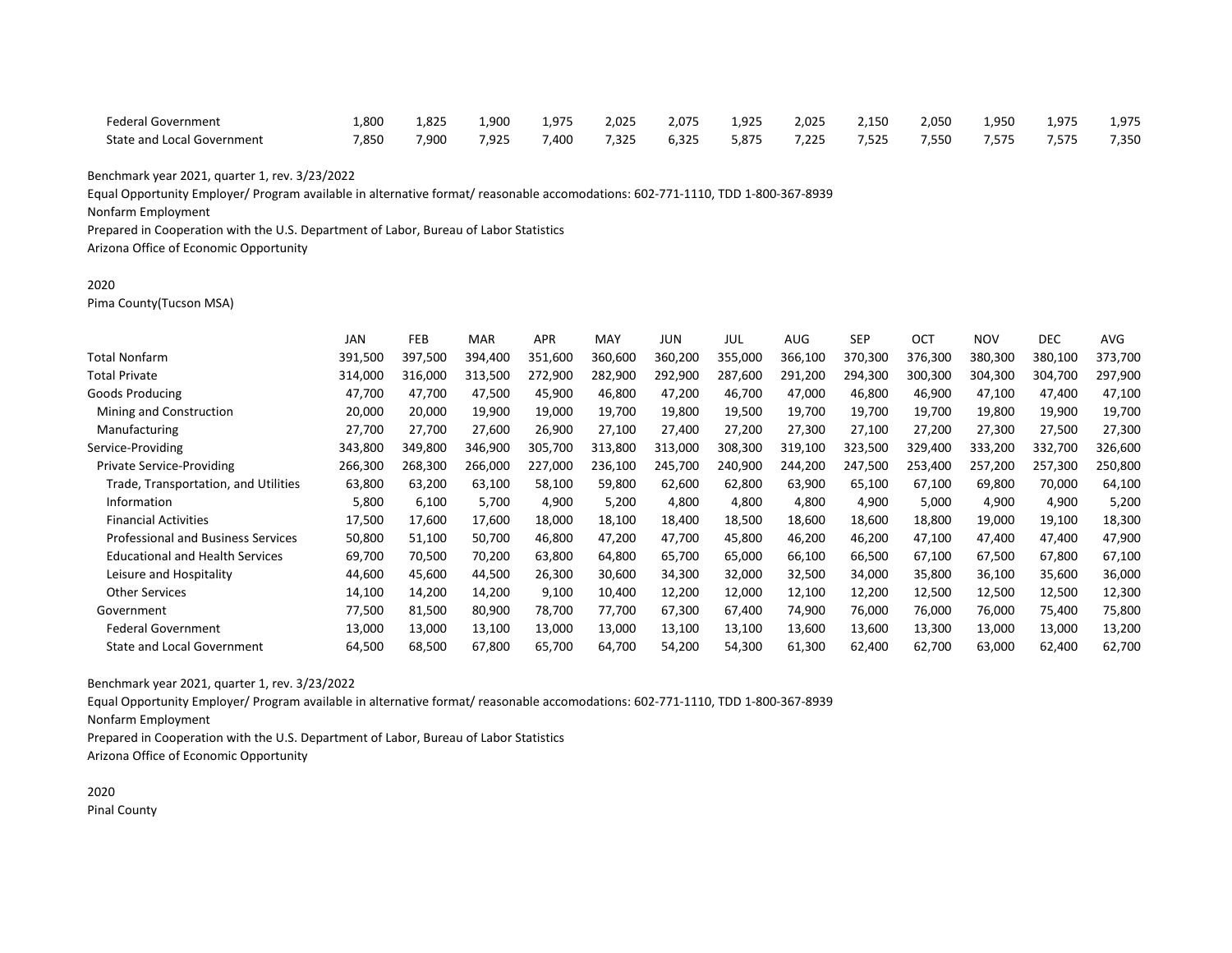| Federal Government         | 1,800 | 1,825 | 900.ء | 1.975 | 2,025 | 2,075 | 1,925 | 2.025 | 2.150 | 2,050 | 1,950 | 1,975 | 1,975 |
|----------------------------|-------|-------|-------|-------|-------|-------|-------|-------|-------|-------|-------|-------|-------|
| State and Local Government | 7,850 | 900,  | 7,925 | 7,400 | 7,325 | 6,325 | 5,875 | 7,225 | 7,525 | 7,550 | 7,575 | 7.575 | 7,350 |

Equal Opportunity Employer/ Program available in alternative format/ reasonable accomodations: 602-771-1110, TDD 1-800-367-8939

Nonfarm Employment

Prepared in Cooperation with the U.S. Department of Labor, Bureau of Labor Statistics

Arizona Office of Economic Opportunity

### 2020

Pima County(Tucson MSA)

|                                           | <b>JAN</b> | FEB     | <b>MAR</b> | <b>APR</b> | <b>MAY</b> | JUN     | JUL     | <b>AUG</b> | <b>SEP</b> | OCT     | <b>NOV</b> | <b>DEC</b> | <b>AVG</b> |
|-------------------------------------------|------------|---------|------------|------------|------------|---------|---------|------------|------------|---------|------------|------------|------------|
| <b>Total Nonfarm</b>                      | 391,500    | 397,500 | 394,400    | 351,600    | 360,600    | 360,200 | 355,000 | 366,100    | 370,300    | 376,300 | 380,300    | 380,100    | 373,700    |
| <b>Total Private</b>                      | 314,000    | 316,000 | 313,500    | 272,900    | 282,900    | 292,900 | 287,600 | 291,200    | 294,300    | 300,300 | 304,300    | 304,700    | 297,900    |
| Goods Producing                           | 47,700     | 47.700  | 47,500     | 45,900     | 46,800     | 47,200  | 46,700  | 47,000     | 46,800     | 46,900  | 47,100     | 47,400     | 47,100     |
| Mining and Construction                   | 20,000     | 20,000  | 19,900     | 19,000     | 19,700     | 19,800  | 19,500  | 19,700     | 19,700     | 19,700  | 19,800     | 19,900     | 19,700     |
| Manufacturing                             | 27,700     | 27,700  | 27,600     | 26,900     | 27,100     | 27,400  | 27,200  | 27,300     | 27,100     | 27,200  | 27,300     | 27,500     | 27,300     |
| Service-Providing                         | 343,800    | 349,800 | 346,900    | 305,700    | 313,800    | 313,000 | 308,300 | 319,100    | 323,500    | 329,400 | 333,200    | 332,700    | 326,600    |
| <b>Private Service-Providing</b>          | 266,300    | 268,300 | 266,000    | 227,000    | 236,100    | 245,700 | 240,900 | 244,200    | 247,500    | 253,400 | 257,200    | 257,300    | 250,800    |
| Trade, Transportation, and Utilities      | 63,800     | 63,200  | 63,100     | 58,100     | 59,800     | 62,600  | 62,800  | 63,900     | 65,100     | 67,100  | 69,800     | 70,000     | 64,100     |
| Information                               | 5,800      | 6,100   | 5,700      | 4,900      | 5,200      | 4,800   | 4,800   | 4,800      | 4,900      | 5,000   | 4,900      | 4,900      | 5,200      |
| <b>Financial Activities</b>               | 17,500     | 17,600  | 17,600     | 18,000     | 18,100     | 18,400  | 18,500  | 18,600     | 18,600     | 18,800  | 19,000     | 19,100     | 18,300     |
| <b>Professional and Business Services</b> | 50,800     | 51,100  | 50,700     | 46,800     | 47,200     | 47,700  | 45,800  | 46,200     | 46,200     | 47,100  | 47,400     | 47,400     | 47,900     |
| <b>Educational and Health Services</b>    | 69,700     | 70,500  | 70,200     | 63,800     | 64,800     | 65,700  | 65,000  | 66,100     | 66,500     | 67,100  | 67,500     | 67,800     | 67,100     |
| Leisure and Hospitality                   | 44,600     | 45,600  | 44,500     | 26,300     | 30,600     | 34,300  | 32,000  | 32,500     | 34,000     | 35,800  | 36,100     | 35,600     | 36,000     |
| <b>Other Services</b>                     | 14,100     | 14,200  | 14,200     | 9,100      | 10,400     | 12,200  | 12,000  | 12,100     | 12,200     | 12,500  | 12,500     | 12,500     | 12,300     |
| Government                                | 77,500     | 81,500  | 80,900     | 78,700     | 77,700     | 67,300  | 67,400  | 74,900     | 76,000     | 76,000  | 76,000     | 75,400     | 75,800     |
| <b>Federal Government</b>                 | 13,000     | 13,000  | 13,100     | 13,000     | 13,000     | 13,100  | 13,100  | 13,600     | 13,600     | 13,300  | 13,000     | 13,000     | 13,200     |
| <b>State and Local Government</b>         | 64,500     | 68,500  | 67,800     | 65,700     | 64,700     | 54,200  | 54,300  | 61,300     | 62,400     | 62,700  | 63,000     | 62,400     | 62,700     |
|                                           |            |         |            |            |            |         |         |            |            |         |            |            |            |

Benchmark year 2021, quarter 1, rev. 3/23/2022

Equal Opportunity Employer/ Program available in alternative format/ reasonable accomodations: 602-771-1110, TDD 1-800-367-8939

Nonfarm Employment

Prepared in Cooperation with the U.S. Department of Labor, Bureau of Labor Statistics Arizona Office of Economic Opportunity

2020 Pinal County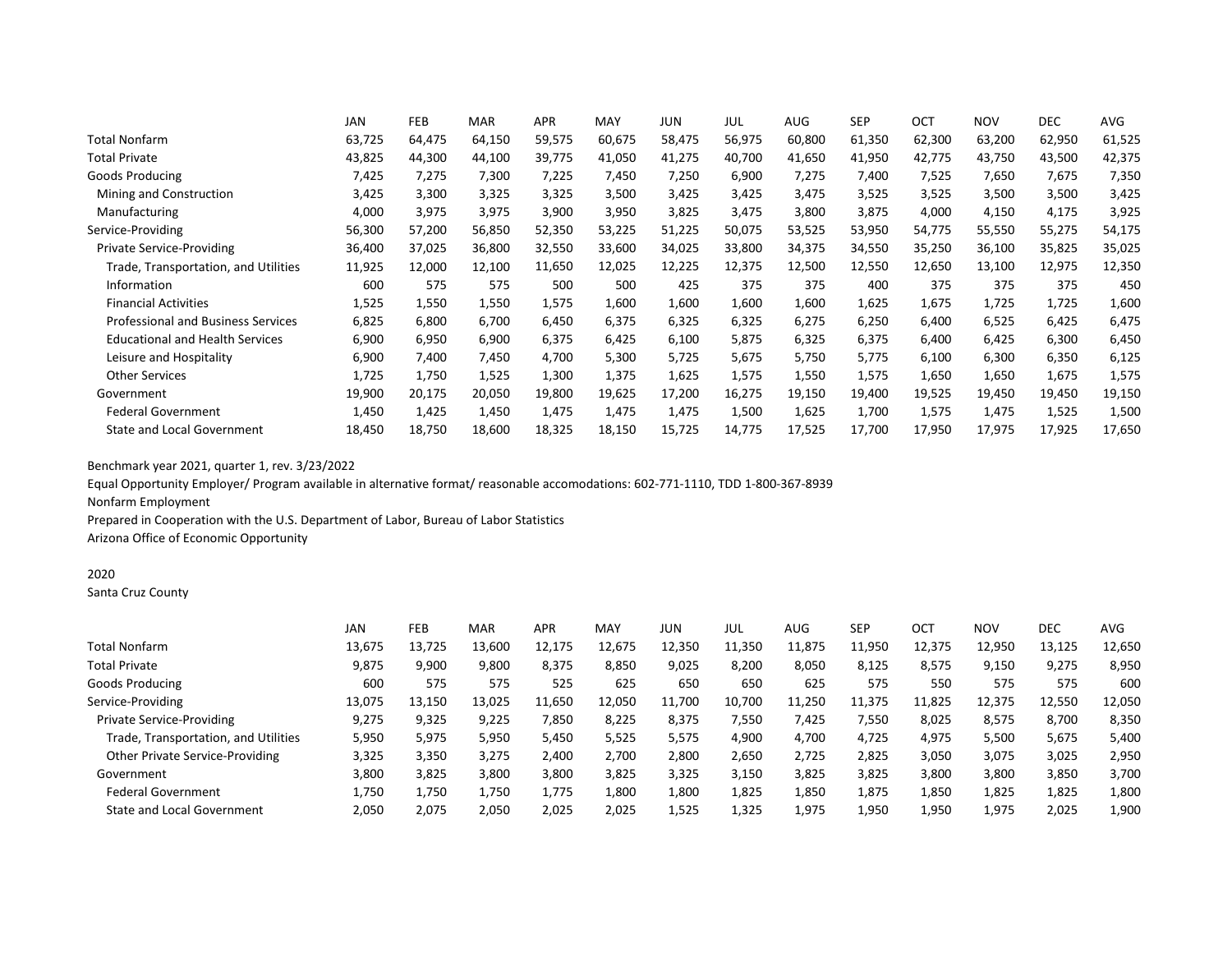|                                           | <b>JAN</b> | <b>FEB</b> | <b>MAR</b> | <b>APR</b> | MAY    | JUN    | JUL    | <b>AUG</b> | <b>SEP</b> | OCT    | <b>NOV</b> | <b>DEC</b> | AVG    |
|-------------------------------------------|------------|------------|------------|------------|--------|--------|--------|------------|------------|--------|------------|------------|--------|
| <b>Total Nonfarm</b>                      | 63,725     | 64,475     | 64,150     | 59,575     | 60,675 | 58,475 | 56,975 | 60,800     | 61,350     | 62,300 | 63,200     | 62,950     | 61,525 |
| <b>Total Private</b>                      | 43,825     | 44,300     | 44,100     | 39,775     | 41,050 | 41,275 | 40,700 | 41,650     | 41,950     | 42,775 | 43,750     | 43,500     | 42,375 |
| Goods Producing                           | 7,425      | 7,275      | 7,300      | 7,225      | 7,450  | 7,250  | 6,900  | 7,275      | 7,400      | 7,525  | 7,650      | 7,675      | 7,350  |
| Mining and Construction                   | 3,425      | 3,300      | 3,325      | 3,325      | 3,500  | 3,425  | 3,425  | 3,475      | 3,525      | 3,525  | 3,500      | 3,500      | 3,425  |
| Manufacturing                             | 4,000      | 3,975      | 3,975      | 3,900      | 3,950  | 3,825  | 3,475  | 3,800      | 3,875      | 4,000  | 4,150      | 4,175      | 3,925  |
| Service-Providing                         | 56,300     | 57,200     | 56,850     | 52,350     | 53,225 | 51,225 | 50,075 | 53,525     | 53,950     | 54,775 | 55,550     | 55,275     | 54,175 |
| <b>Private Service-Providing</b>          | 36,400     | 37,025     | 36,800     | 32,550     | 33,600 | 34,025 | 33,800 | 34,375     | 34,550     | 35,250 | 36,100     | 35,825     | 35,025 |
| Trade, Transportation, and Utilities      | 11,925     | 12,000     | 12,100     | 11,650     | 12,025 | 12,225 | 12,375 | 12,500     | 12,550     | 12,650 | 13,100     | 12,975     | 12,350 |
| Information                               | 600        | 575        | 575        | 500        | 500    | 425    | 375    | 375        | 400        | 375    | 375        | 375        | 450    |
| <b>Financial Activities</b>               | 1,525      | 1,550      | 1,550      | 1,575      | 1,600  | 1,600  | 1,600  | 1,600      | 1,625      | 1,675  | 1,725      | 1,725      | 1,600  |
| <b>Professional and Business Services</b> | 6,825      | 6,800      | 6,700      | 6,450      | 6,375  | 6,325  | 6,325  | 6,275      | 6,250      | 6,400  | 6,525      | 6,425      | 6,475  |
| <b>Educational and Health Services</b>    | 6,900      | 6,950      | 6,900      | 6,375      | 6,425  | 6,100  | 5,875  | 6,325      | 6,375      | 6,400  | 6,425      | 6,300      | 6,450  |
| Leisure and Hospitality                   | 6,900      | 7,400      | 7,450      | 4,700      | 5,300  | 5,725  | 5,675  | 5,750      | 5,775      | 6,100  | 6,300      | 6,350      | 6,125  |
| <b>Other Services</b>                     | 1,725      | 1,750      | 1,525      | 1,300      | 1,375  | 1,625  | 1,575  | 1,550      | 1,575      | 1,650  | 1,650      | 1,675      | 1,575  |
| Government                                | 19,900     | 20,175     | 20,050     | 19,800     | 19,625 | 17,200 | 16,275 | 19,150     | 19,400     | 19,525 | 19,450     | 19,450     | 19,150 |
| <b>Federal Government</b>                 | 1,450      | 1,425      | 1,450      | 1,475      | 1,475  | 1,475  | 1,500  | 1,625      | 1,700      | 1,575  | 1,475      | 1,525      | 1,500  |
| <b>State and Local Government</b>         | 18,450     | 18,750     | 18,600     | 18,325     | 18,150 | 15,725 | 14,775 | 17,525     | 17,700     | 17,950 | 17,975     | 17,925     | 17,650 |

Equal Opportunity Employer/ Program available in alternative format/ reasonable accomodations: 602-771-1110, TDD 1-800-367-8939 Nonfarm Employment

Prepared in Cooperation with the U.S. Department of Labor, Bureau of Labor Statistics Arizona Office of Economic Opportunity

# 2020

Santa Cruz County

|                                      | <b>JAN</b> | FEB    | <b>MAR</b> | <b>APR</b> | MAY    | JUN    | JUL    | AUG    | <b>SEP</b> | OCT    | <b>NOV</b> | DEC    | AVG    |
|--------------------------------------|------------|--------|------------|------------|--------|--------|--------|--------|------------|--------|------------|--------|--------|
| <b>Total Nonfarm</b>                 | 13,675     | 13,725 | 13,600     | 12,175     | 12,675 | 12,350 | 11,350 | 11,875 | 11,950     | 12,375 | 12,950     | 13,125 | 12,650 |
| <b>Total Private</b>                 | 9,875      | 9,900  | 9,800      | 8,375      | 8,850  | 9,025  | 8,200  | 8,050  | 8,125      | 8,575  | 9,150      | 9,275  | 8,950  |
| Goods Producing                      | 600        | 575    | 575        | 525        | 625    | 650    | 650    | 625    | 575        | 550    | 575        | 575    | 600    |
| Service-Providing                    | 13,075     | 13,150 | 13,025     | 11,650     | 12,050 | 11,700 | 10,700 | 11,250 | 11,375     | 11,825 | 12,375     | 12,550 | 12,050 |
| Private Service-Providing            | 9,275      | 9,325  | 9,225      | 7,850      | 8,225  | 8,375  | 7,550  | 7.425  | 7,550      | 8,025  | 8,575      | 8,700  | 8,350  |
| Trade, Transportation, and Utilities | 5,950      | 5,975  | 5,950      | 5,450      | 5,525  | 5,575  | 4,900  | 4,700  | 4,725      | 4,975  | 5,500      | 5,675  | 5,400  |
| Other Private Service-Providing      | 3,325      | 3,350  | 3,275      | 2,400      | 2.700  | 2,800  | 2,650  | 2.725  | 2,825      | 3,050  | 3,075      | 3,025  | 2,950  |
| Government                           | 3,800      | 3,825  | 3,800      | 3,800      | 3,825  | 3,325  | 3,150  | 3,825  | 3,825      | 3,800  | 3,800      | 3,850  | 3,700  |
| <b>Federal Government</b>            | 1,750      | 1,750  | 1,750      | 1,775      | 1,800  | 1,800  | 1,825  | 1,850  | 1,875      | 1,850  | 1,825      | 1,825  | 1,800  |
| State and Local Government           | 2,050      | 2,075  | 2,050      | 2,025      | 2,025  | 1,525  | 1,325  | 1,975  | 1,950      | 1,950  | 1,975      | 2,025  | 1,900  |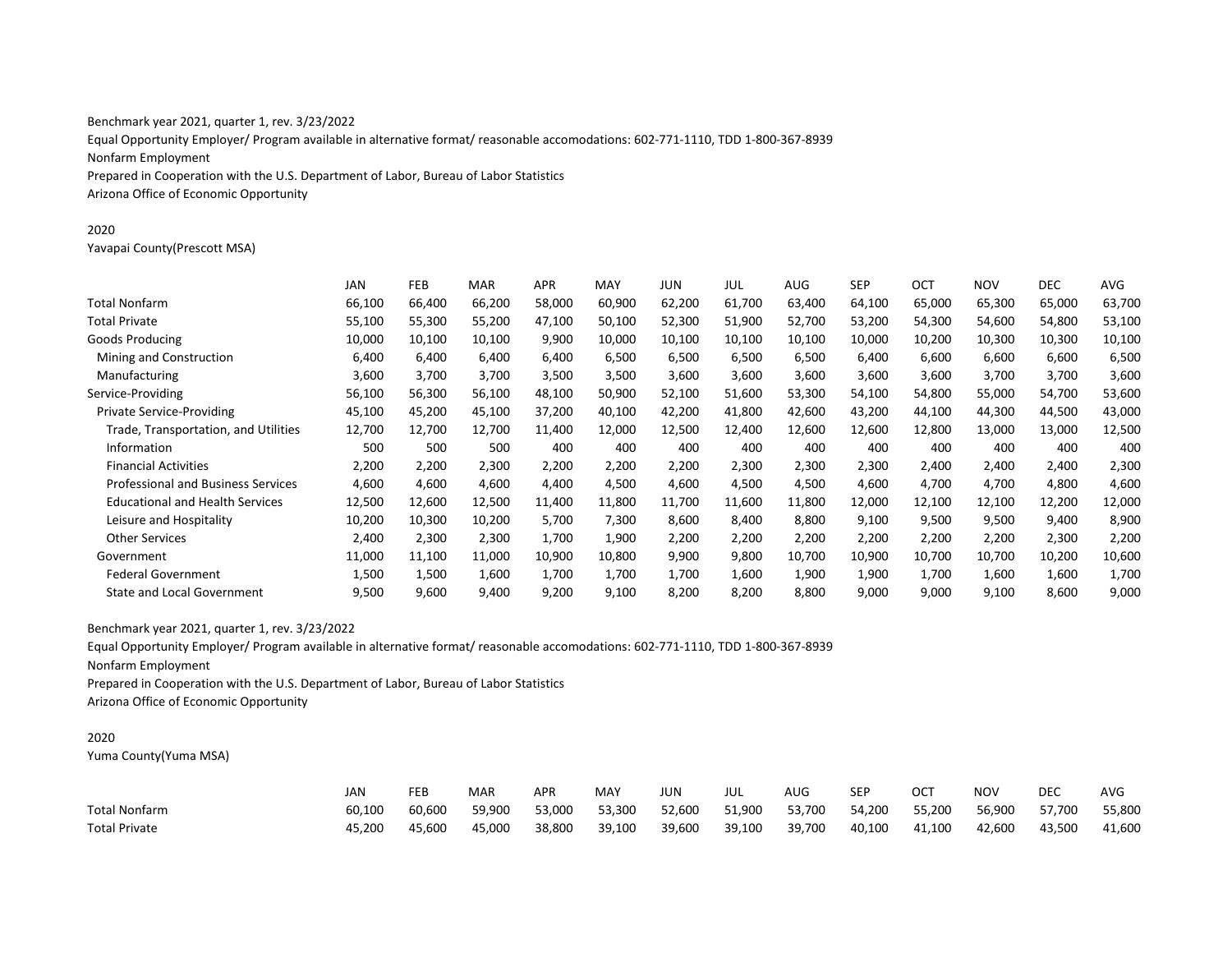Equal Opportunity Employer/ Program available in alternative format/ reasonable accomodations: 602-771-1110, TDD 1-800-367-8939 Nonfarm Employment Prepared in Cooperation with the U.S. Department of Labor, Bureau of Labor Statistics Arizona Office of Economic Opportunity

#### 2020

Yavapai County(Prescott MSA)

|                                           | <b>JAN</b> | <b>FEB</b> | <b>MAR</b> | <b>APR</b> | <b>MAY</b> | JUN    | JUL    | AUG    | <b>SEP</b> | OCT    | <b>NOV</b> | <b>DEC</b> | AVG    |
|-------------------------------------------|------------|------------|------------|------------|------------|--------|--------|--------|------------|--------|------------|------------|--------|
| <b>Total Nonfarm</b>                      | 66,100     | 66,400     | 66,200     | 58,000     | 60,900     | 62,200 | 61,700 | 63,400 | 64,100     | 65,000 | 65,300     | 65,000     | 63,700 |
| <b>Total Private</b>                      | 55,100     | 55,300     | 55,200     | 47,100     | 50,100     | 52,300 | 51,900 | 52,700 | 53,200     | 54,300 | 54,600     | 54,800     | 53,100 |
| Goods Producing                           | 10,000     | 10,100     | 10,100     | 9,900      | 10,000     | 10,100 | 10,100 | 10,100 | 10,000     | 10,200 | 10,300     | 10,300     | 10,100 |
| Mining and Construction                   | 6,400      | 6,400      | 6,400      | 6,400      | 6,500      | 6,500  | 6,500  | 6,500  | 6,400      | 6,600  | 6,600      | 6,600      | 6,500  |
| Manufacturing                             | 3,600      | 3,700      | 3,700      | 3,500      | 3,500      | 3,600  | 3,600  | 3,600  | 3,600      | 3,600  | 3,700      | 3,700      | 3,600  |
| Service-Providing                         | 56,100     | 56,300     | 56,100     | 48,100     | 50,900     | 52,100 | 51,600 | 53,300 | 54,100     | 54,800 | 55,000     | 54,700     | 53,600 |
| <b>Private Service-Providing</b>          | 45,100     | 45,200     | 45,100     | 37,200     | 40,100     | 42,200 | 41,800 | 42,600 | 43,200     | 44,100 | 44,300     | 44,500     | 43,000 |
| Trade, Transportation, and Utilities      | 12,700     | 12,700     | 12,700     | 11,400     | 12,000     | 12,500 | 12,400 | 12,600 | 12,600     | 12,800 | 13,000     | 13,000     | 12,500 |
| Information                               | 500        | 500        | 500        | 400        | 400        | 400    | 400    | 400    | 400        | 400    | 400        | 400        | 400    |
| <b>Financial Activities</b>               | 2,200      | 2,200      | 2,300      | 2,200      | 2,200      | 2,200  | 2,300  | 2,300  | 2,300      | 2,400  | 2,400      | 2,400      | 2,300  |
| <b>Professional and Business Services</b> | 4,600      | 4,600      | 4,600      | 4,400      | 4,500      | 4,600  | 4,500  | 4,500  | 4,600      | 4,700  | 4,700      | 4,800      | 4,600  |
| <b>Educational and Health Services</b>    | 12,500     | 12,600     | 12,500     | 11,400     | 11,800     | 11,700 | 11,600 | 11,800 | 12,000     | 12,100 | 12,100     | 12,200     | 12,000 |
| Leisure and Hospitality                   | 10,200     | 10,300     | 10,200     | 5,700      | 7,300      | 8,600  | 8,400  | 8,800  | 9,100      | 9,500  | 9,500      | 9,400      | 8,900  |
| <b>Other Services</b>                     | 2,400      | 2,300      | 2,300      | 1,700      | 1,900      | 2,200  | 2,200  | 2,200  | 2,200      | 2,200  | 2,200      | 2,300      | 2,200  |
| Government                                | 11,000     | 11,100     | 11,000     | 10,900     | 10,800     | 9,900  | 9,800  | 10,700 | 10,900     | 10,700 | 10,700     | 10,200     | 10,600 |
| <b>Federal Government</b>                 | 1,500      | 1,500      | 1,600      | 1,700      | 1,700      | 1,700  | 1,600  | 1,900  | 1,900      | 1,700  | 1,600      | 1,600      | 1,700  |
| <b>State and Local Government</b>         | 9,500      | 9,600      | 9,400      | 9,200      | 9,100      | 8,200  | 8,200  | 8,800  | 9,000      | 9,000  | 9,100      | 8,600      | 9,000  |

Benchmark year 2021, quarter 1, rev. 3/23/2022

Equal Opportunity Employer/ Program available in alternative format/ reasonable accomodations: 602-771-1110, TDD 1-800-367-8939

Nonfarm Employment

Prepared in Cooperation with the U.S. Department of Labor, Bureau of Labor Statistics

Arizona Office of Economic Opportunity

## 2020

Yuma County(Yuma MSA)

|                      | JAN    | FEB    | <b>MAR</b> | <b>APR</b> | MAY    | JUN    | JUL    | AUG    | <b>SEP</b> | ОСТ    | <b>NOV</b> | DEC    | <b>AVG</b> |
|----------------------|--------|--------|------------|------------|--------|--------|--------|--------|------------|--------|------------|--------|------------|
| Total Nonfarm        | 60.100 | 60.600 | 59.900     | 53.000     | 53,300 | 52,600 | 51,900 | 53,700 | 54,200     | 55,200 | 56.900     | 57.700 | 55,800     |
| <b>Total Private</b> | 45,200 | 45,600 | 45,000     | 38,800     | 39,100 | 39,600 | 39,100 | 39,700 | 40,100     | 41,100 | 42,600     | 43,500 | 41,600     |